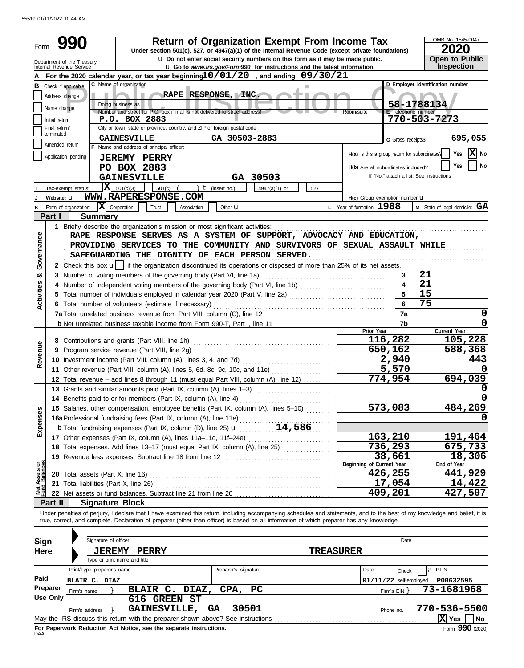55519 01/11/2022 10:44 AM

| Form              |                                                  | <b>Return of Organization Exempt From Income Tax</b><br>990<br>Under section 501(c), 527, or 4947(a)(1) of the Internal Revenue Code (except private foundations)                                                          |     |                                               |                           | OMB No. 1545-0047<br>2020                  |  |  |  |  |  |
|-------------------|--------------------------------------------------|----------------------------------------------------------------------------------------------------------------------------------------------------------------------------------------------------------------------------|-----|-----------------------------------------------|---------------------------|--------------------------------------------|--|--|--|--|--|
|                   |                                                  | u Do not enter social security numbers on this form as it may be made public.<br>Department of the Treasury<br>Internal Revenue Service<br><b>u</b> Go to www.irs.gov/Form990 for instructions and the latest information. |     |                                               |                           | <b>Open to Public</b><br><b>Inspection</b> |  |  |  |  |  |
|                   |                                                  | For the 2020 calendar year, or tax year beginning 10/01/20, and ending 09/30/21                                                                                                                                            |     |                                               |                           |                                            |  |  |  |  |  |
|                   |                                                  | C Name of organization<br><b>B</b> Check if applicable:                                                                                                                                                                    |     |                                               |                           | D Employer identification number           |  |  |  |  |  |
|                   | Address change                                   | RAPE RESPONSE, INC.                                                                                                                                                                                                        |     |                                               |                           |                                            |  |  |  |  |  |
|                   | Name change                                      | Doing business as<br>Number and street (or P.O. box if mail is not delivered to street address)                                                                                                                            |     | Room/suite                                    | <b>E</b> Telephone number | 58-1788134                                 |  |  |  |  |  |
|                   | Initial return                                   | P.O. BOX 2883                                                                                                                                                                                                              |     |                                               |                           | 770-503-7273                               |  |  |  |  |  |
|                   | Final return/                                    | City or town, state or province, country, and ZIP or foreign postal code                                                                                                                                                   |     |                                               |                           |                                            |  |  |  |  |  |
|                   | terminated                                       | GA 30503-2883<br><b>GAINESVILLE</b>                                                                                                                                                                                        |     |                                               | G Gross receipts\$        | 695,055                                    |  |  |  |  |  |
|                   | Amended return                                   | F Name and address of principal officer:                                                                                                                                                                                   |     |                                               |                           | X No                                       |  |  |  |  |  |
|                   |                                                  | Application pending<br><b>JEREMY PERRY</b><br>PO BOX 2883                                                                                                                                                                  |     | H(a) Is this a group return for subordinates? |                           | Yes                                        |  |  |  |  |  |
|                   | No<br>Yes<br>H(b) Are all subordinates included? |                                                                                                                                                                                                                            |     |                                               |                           |                                            |  |  |  |  |  |
|                   |                                                  | GA 30503<br><b>GAINESVILLE</b>                                                                                                                                                                                             |     |                                               |                           | If "No," attach a list. See instructions   |  |  |  |  |  |
|                   |                                                  | $X = 501(c)(3)$<br>) $t$ (insert no.)<br>501(c)<br>4947(a)(1) or<br>Tax-exempt status:                                                                                                                                     | 527 |                                               |                           |                                            |  |  |  |  |  |
|                   | Website: U                                       | WWW.RAPERESPONSE.COM                                                                                                                                                                                                       |     | H(c) Group exemption number U                 |                           |                                            |  |  |  |  |  |
|                   |                                                  | $ \mathbf{X} $ Corporation<br>Trust<br>Form of organization:<br>Association<br>Other <b>u</b>                                                                                                                              |     | $L$ Year of formation: $1988$                 |                           | M State of legal domicile: GA              |  |  |  |  |  |
|                   | Part I                                           | <b>Summary</b>                                                                                                                                                                                                             |     |                                               |                           |                                            |  |  |  |  |  |
|                   |                                                  | 1 Briefly describe the organization's mission or most significant activities:<br>RAPE RESPONSE SERVES AS A SYSTEM OF SUPPORT, ADVOCACY AND EDUCATION,                                                                      |     |                                               |                           |                                            |  |  |  |  |  |
| Governance        |                                                  | PROVIDING SERVICES TO THE COMMUNITY AND SURVIVORS OF SEXUAL ASSAULT WHILE                                                                                                                                                  |     |                                               |                           |                                            |  |  |  |  |  |
|                   |                                                  | SAFEGUARDING THE DIGNITY OF EACH PERSON SERVED.                                                                                                                                                                            |     |                                               |                           |                                            |  |  |  |  |  |
|                   |                                                  | 2 Check this box u    if the organization discontinued its operations or disposed of more than 25% of its net assets.                                                                                                      |     |                                               |                           |                                            |  |  |  |  |  |
| න්                |                                                  | 3 Number of voting members of the governing body (Part VI, line 1a)                                                                                                                                                        |     |                                               | 3                         | 21                                         |  |  |  |  |  |
|                   |                                                  | 4 Number of independent voting members of the governing body (Part VI, line 1b) [1] [1] [1] Number of independent voting members of the governing body (Part VI, line 1b)                                                  |     |                                               | $\overline{\mathbf{4}}$   | 21                                         |  |  |  |  |  |
|                   |                                                  | 5 Total number of individuals employed in calendar year 2020 (Part V, line 2a) [[[[[[[[[[[[[[[[[[[[[[[[[[[[[[[                                                                                                             |     |                                               | 5                         | 15                                         |  |  |  |  |  |
| <b>Activities</b> |                                                  | 6 Total number of volunteers (estimate if necessary)                                                                                                                                                                       |     | 6                                             | 75                        |                                            |  |  |  |  |  |
|                   |                                                  |                                                                                                                                                                                                                            | 7a  | 0                                             |                           |                                            |  |  |  |  |  |
|                   |                                                  |                                                                                                                                                                                                                            |     | 7b                                            | 0                         |                                            |  |  |  |  |  |
|                   |                                                  |                                                                                                                                                                                                                            |     | Prior Year                                    |                           | Current Year                               |  |  |  |  |  |
|                   |                                                  |                                                                                                                                                                                                                            |     | 116,282                                       | 105,228                   |                                            |  |  |  |  |  |
| Revenue           |                                                  |                                                                                                                                                                                                                            |     |                                               | 650,162<br>2,940          | 588,368<br>443                             |  |  |  |  |  |
|                   |                                                  | 11 Other revenue (Part VIII, column (A), lines 5, 6d, 8c, 9c, 10c, and 11e)                                                                                                                                                |     |                                               |                           |                                            |  |  |  |  |  |
|                   |                                                  | 12 Total revenue - add lines 8 through 11 (must equal Part VIII, column (A), line 12)                                                                                                                                      |     | 5,570<br>774,954                              | 694,039                   |                                            |  |  |  |  |  |
|                   |                                                  | 13 Grants and similar amounts paid (Part IX, column (A), lines 1-3)                                                                                                                                                        |     |                                               |                           |                                            |  |  |  |  |  |
|                   |                                                  | 14 Benefits paid to or for members (Part IX, column (A), line 4)                                                                                                                                                           |     |                                               |                           | 0                                          |  |  |  |  |  |
|                   |                                                  | 15 Salaries, other compensation, employee benefits (Part IX, column (A), lines 5-10)                                                                                                                                       |     |                                               | 573,083                   | 484,269                                    |  |  |  |  |  |
| Expenses          |                                                  | 16a Professional fundraising fees (Part IX, column (A), line 11e)                                                                                                                                                          |     |                                               |                           | 0                                          |  |  |  |  |  |
|                   |                                                  |                                                                                                                                                                                                                            |     |                                               |                           |                                            |  |  |  |  |  |
|                   |                                                  |                                                                                                                                                                                                                            |     |                                               | 163,210                   | 191,464                                    |  |  |  |  |  |
|                   |                                                  | 18 Total expenses. Add lines 13-17 (must equal Part IX, column (A), line 25)                                                                                                                                               |     |                                               | 736,293                   | 675,733                                    |  |  |  |  |  |
|                   |                                                  |                                                                                                                                                                                                                            |     |                                               | 38,661                    | 18,306                                     |  |  |  |  |  |
| हर्               |                                                  |                                                                                                                                                                                                                            |     | Beginning of Current Year                     | 426,255                   | End of Year<br>441,929                     |  |  |  |  |  |
| Assets<br>Balanc  |                                                  | 21 Total liabilities (Part X, line 26)                                                                                                                                                                                     |     |                                               | 17,054                    | 14,422                                     |  |  |  |  |  |
|                   |                                                  |                                                                                                                                                                                                                            |     |                                               | 409,201                   | 427,507                                    |  |  |  |  |  |
|                   | Part II                                          | <b>Signature Block</b>                                                                                                                                                                                                     |     |                                               |                           |                                            |  |  |  |  |  |
|                   |                                                  | Under penalties of perjury, I declare that I have examined this return, including accompanying schedules and statements, and to the best of my knowledge and belief, it is                                                 |     |                                               |                           |                                            |  |  |  |  |  |
|                   |                                                  | true, correct, and complete. Declaration of preparer (other than officer) is based on all information of which preparer has any knowledge.                                                                                 |     |                                               |                           |                                            |  |  |  |  |  |
|                   |                                                  |                                                                                                                                                                                                                            |     |                                               |                           |                                            |  |  |  |  |  |
| <b>Sign</b>       |                                                  | Signature of officer                                                                                                                                                                                                       |     |                                               | Date                      |                                            |  |  |  |  |  |
| Here              |                                                  | <b>JEREMY</b><br><b>PERRY</b>                                                                                                                                                                                              |     | <b>TREASURER</b>                              |                           |                                            |  |  |  |  |  |
|                   |                                                  | Type or print name and title                                                                                                                                                                                               |     |                                               |                           |                                            |  |  |  |  |  |
| Paid              |                                                  | Print/Type preparer's name<br>Preparer's signature                                                                                                                                                                         |     | Date                                          | Check                     | <b>PTIN</b>                                |  |  |  |  |  |
|                   | Preparer                                         | <b>BLAIR C. DIAZ</b>                                                                                                                                                                                                       |     |                                               | $01/11/22$ self-employed  | P00632595                                  |  |  |  |  |  |
|                   | Use Only                                         | BLAIR C. DIAZ,<br>CPA,<br>PC<br>Firm's name                                                                                                                                                                                |     |                                               | Firm's $EIN$ }            | 73-1681968                                 |  |  |  |  |  |
|                   |                                                  | 616 GREEN ST<br>GAINESVILLE,<br>30501<br>GA                                                                                                                                                                                |     |                                               |                           | 770-536-5500                               |  |  |  |  |  |
|                   |                                                  | Firm's address<br>May the IRS discuss this return with the preparer shown above? See instructions                                                                                                                          |     |                                               | Phone no.                 | $\mathbf{\overline{X}}$ Yes<br>  No        |  |  |  |  |  |
|                   |                                                  |                                                                                                                                                                                                                            |     |                                               |                           |                                            |  |  |  |  |  |

| DAA | For Paperwork Reduction Act Notice, see the separate instructions. |  |
|-----|--------------------------------------------------------------------|--|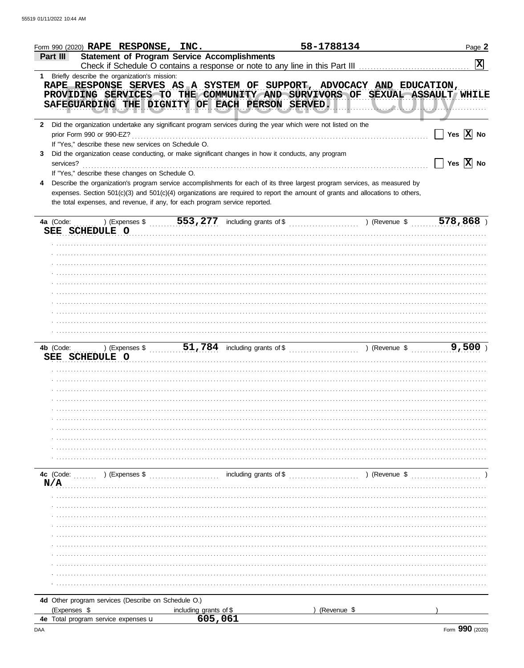| <b>Statement of Program Service Accomplishments</b><br>Part III<br>$\overline{\mathbf{x}}$<br>1 Briefly describe the organization's mission:<br>RAPE RESPONSE SERVES AS A SYSTEM OF SUPPORT, ADVOCACY AND EDUCATION,<br>PROVIDING SERVICES TO THE COMMUNITY AND SURVIVORS OF SEXUAL ASSAULT WHILE<br>SAFEGUARDING THE DIGNITY OF EACH PERSON SERVED.<br>$$ <i>r</i><br>2 Did the organization undertake any significant program services during the year which were not listed on the<br>Yes $ \mathbf{X} $ No<br>prior Form 990 or 990-EZ?<br>If "Yes," describe these new services on Schedule O.<br>Did the organization cease conducting, or make significant changes in how it conducts, any program<br>3<br>Yes $\overline{X}$ No<br>services?<br>If "Yes," describe these changes on Schedule O.<br>Describe the organization's program service accomplishments for each of its three largest program services, as measured by<br>expenses. Section 501(c)(3) and 501(c)(4) organizations are required to report the amount of grants and allocations to others,<br>the total expenses, and revenue, if any, for each program service reported.<br>553, 277 including grants of \$<br>578,868<br>) (Expenses \$<br>) (Revenue \$<br>4a (Code:<br>SEE SCHEDULE O<br>4b (Code:<br>) (Expenses \$<br>SEE SCHEDULE O<br>including grants of \$<br>) (Revenue \$<br>4c (Code:<br>$\ldots$ (Expenses \$<br>N/A<br>4d Other program services (Describe on Schedule O.)<br>(Expenses \$<br>(Revenue \$<br>including grants of \$<br>605,061<br>4e Total program service expenses u | Form 990 (2020) RAPE RESPONSE, INC. |  | 58-1788134 | Page 2 |
|-----------------------------------------------------------------------------------------------------------------------------------------------------------------------------------------------------------------------------------------------------------------------------------------------------------------------------------------------------------------------------------------------------------------------------------------------------------------------------------------------------------------------------------------------------------------------------------------------------------------------------------------------------------------------------------------------------------------------------------------------------------------------------------------------------------------------------------------------------------------------------------------------------------------------------------------------------------------------------------------------------------------------------------------------------------------------------------------------------------------------------------------------------------------------------------------------------------------------------------------------------------------------------------------------------------------------------------------------------------------------------------------------------------------------------------------------------------------------------------------------------------------------------------------------------------------------------------|-------------------------------------|--|------------|--------|
|                                                                                                                                                                                                                                                                                                                                                                                                                                                                                                                                                                                                                                                                                                                                                                                                                                                                                                                                                                                                                                                                                                                                                                                                                                                                                                                                                                                                                                                                                                                                                                                   |                                     |  |            |        |
|                                                                                                                                                                                                                                                                                                                                                                                                                                                                                                                                                                                                                                                                                                                                                                                                                                                                                                                                                                                                                                                                                                                                                                                                                                                                                                                                                                                                                                                                                                                                                                                   |                                     |  |            |        |
|                                                                                                                                                                                                                                                                                                                                                                                                                                                                                                                                                                                                                                                                                                                                                                                                                                                                                                                                                                                                                                                                                                                                                                                                                                                                                                                                                                                                                                                                                                                                                                                   |                                     |  |            |        |
|                                                                                                                                                                                                                                                                                                                                                                                                                                                                                                                                                                                                                                                                                                                                                                                                                                                                                                                                                                                                                                                                                                                                                                                                                                                                                                                                                                                                                                                                                                                                                                                   |                                     |  |            |        |
|                                                                                                                                                                                                                                                                                                                                                                                                                                                                                                                                                                                                                                                                                                                                                                                                                                                                                                                                                                                                                                                                                                                                                                                                                                                                                                                                                                                                                                                                                                                                                                                   |                                     |  |            |        |
|                                                                                                                                                                                                                                                                                                                                                                                                                                                                                                                                                                                                                                                                                                                                                                                                                                                                                                                                                                                                                                                                                                                                                                                                                                                                                                                                                                                                                                                                                                                                                                                   |                                     |  |            |        |
|                                                                                                                                                                                                                                                                                                                                                                                                                                                                                                                                                                                                                                                                                                                                                                                                                                                                                                                                                                                                                                                                                                                                                                                                                                                                                                                                                                                                                                                                                                                                                                                   |                                     |  |            |        |
|                                                                                                                                                                                                                                                                                                                                                                                                                                                                                                                                                                                                                                                                                                                                                                                                                                                                                                                                                                                                                                                                                                                                                                                                                                                                                                                                                                                                                                                                                                                                                                                   |                                     |  |            |        |
|                                                                                                                                                                                                                                                                                                                                                                                                                                                                                                                                                                                                                                                                                                                                                                                                                                                                                                                                                                                                                                                                                                                                                                                                                                                                                                                                                                                                                                                                                                                                                                                   |                                     |  |            |        |
|                                                                                                                                                                                                                                                                                                                                                                                                                                                                                                                                                                                                                                                                                                                                                                                                                                                                                                                                                                                                                                                                                                                                                                                                                                                                                                                                                                                                                                                                                                                                                                                   |                                     |  |            |        |
|                                                                                                                                                                                                                                                                                                                                                                                                                                                                                                                                                                                                                                                                                                                                                                                                                                                                                                                                                                                                                                                                                                                                                                                                                                                                                                                                                                                                                                                                                                                                                                                   |                                     |  |            |        |
|                                                                                                                                                                                                                                                                                                                                                                                                                                                                                                                                                                                                                                                                                                                                                                                                                                                                                                                                                                                                                                                                                                                                                                                                                                                                                                                                                                                                                                                                                                                                                                                   |                                     |  |            |        |
|                                                                                                                                                                                                                                                                                                                                                                                                                                                                                                                                                                                                                                                                                                                                                                                                                                                                                                                                                                                                                                                                                                                                                                                                                                                                                                                                                                                                                                                                                                                                                                                   |                                     |  |            |        |
|                                                                                                                                                                                                                                                                                                                                                                                                                                                                                                                                                                                                                                                                                                                                                                                                                                                                                                                                                                                                                                                                                                                                                                                                                                                                                                                                                                                                                                                                                                                                                                                   |                                     |  |            |        |
|                                                                                                                                                                                                                                                                                                                                                                                                                                                                                                                                                                                                                                                                                                                                                                                                                                                                                                                                                                                                                                                                                                                                                                                                                                                                                                                                                                                                                                                                                                                                                                                   |                                     |  |            |        |
|                                                                                                                                                                                                                                                                                                                                                                                                                                                                                                                                                                                                                                                                                                                                                                                                                                                                                                                                                                                                                                                                                                                                                                                                                                                                                                                                                                                                                                                                                                                                                                                   |                                     |  |            |        |
|                                                                                                                                                                                                                                                                                                                                                                                                                                                                                                                                                                                                                                                                                                                                                                                                                                                                                                                                                                                                                                                                                                                                                                                                                                                                                                                                                                                                                                                                                                                                                                                   |                                     |  |            |        |
|                                                                                                                                                                                                                                                                                                                                                                                                                                                                                                                                                                                                                                                                                                                                                                                                                                                                                                                                                                                                                                                                                                                                                                                                                                                                                                                                                                                                                                                                                                                                                                                   |                                     |  |            |        |
|                                                                                                                                                                                                                                                                                                                                                                                                                                                                                                                                                                                                                                                                                                                                                                                                                                                                                                                                                                                                                                                                                                                                                                                                                                                                                                                                                                                                                                                                                                                                                                                   |                                     |  |            |        |
|                                                                                                                                                                                                                                                                                                                                                                                                                                                                                                                                                                                                                                                                                                                                                                                                                                                                                                                                                                                                                                                                                                                                                                                                                                                                                                                                                                                                                                                                                                                                                                                   |                                     |  |            |        |
|                                                                                                                                                                                                                                                                                                                                                                                                                                                                                                                                                                                                                                                                                                                                                                                                                                                                                                                                                                                                                                                                                                                                                                                                                                                                                                                                                                                                                                                                                                                                                                                   |                                     |  |            |        |
|                                                                                                                                                                                                                                                                                                                                                                                                                                                                                                                                                                                                                                                                                                                                                                                                                                                                                                                                                                                                                                                                                                                                                                                                                                                                                                                                                                                                                                                                                                                                                                                   |                                     |  |            |        |
|                                                                                                                                                                                                                                                                                                                                                                                                                                                                                                                                                                                                                                                                                                                                                                                                                                                                                                                                                                                                                                                                                                                                                                                                                                                                                                                                                                                                                                                                                                                                                                                   |                                     |  |            |        |
|                                                                                                                                                                                                                                                                                                                                                                                                                                                                                                                                                                                                                                                                                                                                                                                                                                                                                                                                                                                                                                                                                                                                                                                                                                                                                                                                                                                                                                                                                                                                                                                   |                                     |  |            |        |
|                                                                                                                                                                                                                                                                                                                                                                                                                                                                                                                                                                                                                                                                                                                                                                                                                                                                                                                                                                                                                                                                                                                                                                                                                                                                                                                                                                                                                                                                                                                                                                                   |                                     |  |            |        |
|                                                                                                                                                                                                                                                                                                                                                                                                                                                                                                                                                                                                                                                                                                                                                                                                                                                                                                                                                                                                                                                                                                                                                                                                                                                                                                                                                                                                                                                                                                                                                                                   |                                     |  |            |        |
|                                                                                                                                                                                                                                                                                                                                                                                                                                                                                                                                                                                                                                                                                                                                                                                                                                                                                                                                                                                                                                                                                                                                                                                                                                                                                                                                                                                                                                                                                                                                                                                   |                                     |  |            |        |
|                                                                                                                                                                                                                                                                                                                                                                                                                                                                                                                                                                                                                                                                                                                                                                                                                                                                                                                                                                                                                                                                                                                                                                                                                                                                                                                                                                                                                                                                                                                                                                                   |                                     |  |            |        |
|                                                                                                                                                                                                                                                                                                                                                                                                                                                                                                                                                                                                                                                                                                                                                                                                                                                                                                                                                                                                                                                                                                                                                                                                                                                                                                                                                                                                                                                                                                                                                                                   |                                     |  |            |        |
|                                                                                                                                                                                                                                                                                                                                                                                                                                                                                                                                                                                                                                                                                                                                                                                                                                                                                                                                                                                                                                                                                                                                                                                                                                                                                                                                                                                                                                                                                                                                                                                   |                                     |  |            |        |
|                                                                                                                                                                                                                                                                                                                                                                                                                                                                                                                                                                                                                                                                                                                                                                                                                                                                                                                                                                                                                                                                                                                                                                                                                                                                                                                                                                                                                                                                                                                                                                                   |                                     |  |            |        |
|                                                                                                                                                                                                                                                                                                                                                                                                                                                                                                                                                                                                                                                                                                                                                                                                                                                                                                                                                                                                                                                                                                                                                                                                                                                                                                                                                                                                                                                                                                                                                                                   |                                     |  |            |        |
|                                                                                                                                                                                                                                                                                                                                                                                                                                                                                                                                                                                                                                                                                                                                                                                                                                                                                                                                                                                                                                                                                                                                                                                                                                                                                                                                                                                                                                                                                                                                                                                   |                                     |  |            |        |
|                                                                                                                                                                                                                                                                                                                                                                                                                                                                                                                                                                                                                                                                                                                                                                                                                                                                                                                                                                                                                                                                                                                                                                                                                                                                                                                                                                                                                                                                                                                                                                                   |                                     |  |            |        |
|                                                                                                                                                                                                                                                                                                                                                                                                                                                                                                                                                                                                                                                                                                                                                                                                                                                                                                                                                                                                                                                                                                                                                                                                                                                                                                                                                                                                                                                                                                                                                                                   |                                     |  |            |        |
|                                                                                                                                                                                                                                                                                                                                                                                                                                                                                                                                                                                                                                                                                                                                                                                                                                                                                                                                                                                                                                                                                                                                                                                                                                                                                                                                                                                                                                                                                                                                                                                   |                                     |  |            |        |
|                                                                                                                                                                                                                                                                                                                                                                                                                                                                                                                                                                                                                                                                                                                                                                                                                                                                                                                                                                                                                                                                                                                                                                                                                                                                                                                                                                                                                                                                                                                                                                                   |                                     |  |            |        |
|                                                                                                                                                                                                                                                                                                                                                                                                                                                                                                                                                                                                                                                                                                                                                                                                                                                                                                                                                                                                                                                                                                                                                                                                                                                                                                                                                                                                                                                                                                                                                                                   |                                     |  |            |        |
|                                                                                                                                                                                                                                                                                                                                                                                                                                                                                                                                                                                                                                                                                                                                                                                                                                                                                                                                                                                                                                                                                                                                                                                                                                                                                                                                                                                                                                                                                                                                                                                   |                                     |  |            |        |
|                                                                                                                                                                                                                                                                                                                                                                                                                                                                                                                                                                                                                                                                                                                                                                                                                                                                                                                                                                                                                                                                                                                                                                                                                                                                                                                                                                                                                                                                                                                                                                                   |                                     |  |            |        |
|                                                                                                                                                                                                                                                                                                                                                                                                                                                                                                                                                                                                                                                                                                                                                                                                                                                                                                                                                                                                                                                                                                                                                                                                                                                                                                                                                                                                                                                                                                                                                                                   |                                     |  |            |        |
|                                                                                                                                                                                                                                                                                                                                                                                                                                                                                                                                                                                                                                                                                                                                                                                                                                                                                                                                                                                                                                                                                                                                                                                                                                                                                                                                                                                                                                                                                                                                                                                   |                                     |  |            |        |
|                                                                                                                                                                                                                                                                                                                                                                                                                                                                                                                                                                                                                                                                                                                                                                                                                                                                                                                                                                                                                                                                                                                                                                                                                                                                                                                                                                                                                                                                                                                                                                                   |                                     |  |            |        |
|                                                                                                                                                                                                                                                                                                                                                                                                                                                                                                                                                                                                                                                                                                                                                                                                                                                                                                                                                                                                                                                                                                                                                                                                                                                                                                                                                                                                                                                                                                                                                                                   |                                     |  |            |        |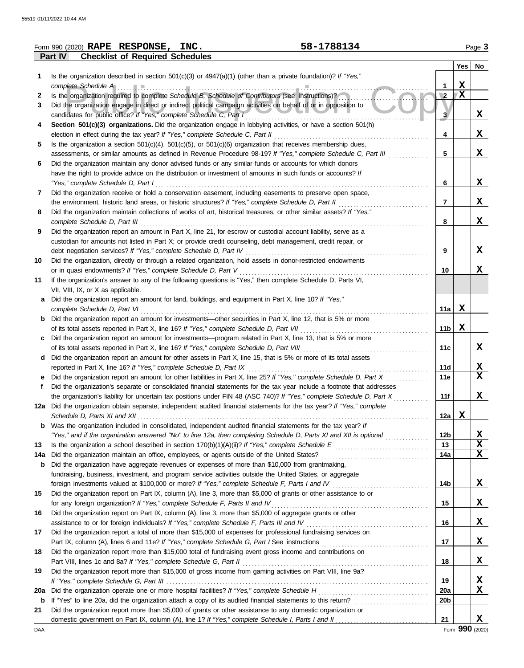|            | 58-1788134<br>Form 990 (2020) RAPE RESPONSE, INC.                                                                                                    |                         |             | Page 3       |
|------------|------------------------------------------------------------------------------------------------------------------------------------------------------|-------------------------|-------------|--------------|
|            | <b>Checklist of Required Schedules</b><br>Part IV                                                                                                    |                         |             |              |
|            |                                                                                                                                                      |                         | Yes         | No           |
| 1          | Is the organization described in section $501(c)(3)$ or $4947(a)(1)$ (other than a private foundation)? If "Yes,"                                    |                         |             |              |
|            | complete Schedule A executive and complete Schedule A                                                                                                | 1                       | $\mathbf x$ |              |
| 2          | Is the organization required to complete Schedule B, Schedule of Contributors (see instructions)?                                                    | $\overline{\mathbf{2}}$ | X           |              |
| 3          | Did the organization engage in direct or indirect political campaign activities on behalf of or in opposition to                                     |                         |             |              |
|            | candidates for public office? If "Yes," complete Schedule C, Part I                                                                                  | 3                       |             | X            |
| 4          | Section 501(c)(3) organizations. Did the organization engage in lobbying activities, or have a section 501(h)                                        |                         |             |              |
|            |                                                                                                                                                      | 4                       |             | X            |
| 5          | Is the organization a section $501(c)(4)$ , $501(c)(5)$ , or $501(c)(6)$ organization that receives membership dues,                                 |                         |             |              |
|            | assessments, or similar amounts as defined in Revenue Procedure 98-19? If "Yes," complete Schedule C, Part III                                       | 5                       |             | X            |
| 6          | Did the organization maintain any donor advised funds or any similar funds or accounts for which donors                                              |                         |             |              |
|            | have the right to provide advice on the distribution or investment of amounts in such funds or accounts? If                                          |                         |             |              |
|            | "Yes," complete Schedule D, Part I                                                                                                                   | 6                       |             | X            |
| 7          | Did the organization receive or hold a conservation easement, including easements to preserve open space,                                            |                         |             | X            |
|            | the environment, historic land areas, or historic structures? If "Yes," complete Schedule D, Part II                                                 | $\overline{7}$          |             |              |
| 8          | Did the organization maintain collections of works of art, historical treasures, or other similar assets? If "Yes,"<br>complete Schedule D, Part III |                         |             | X            |
| 9          | Did the organization report an amount in Part X, line 21, for escrow or custodial account liability, serve as a                                      | 8                       |             |              |
|            | custodian for amounts not listed in Part X; or provide credit counseling, debt management, credit repair, or                                         |                         |             |              |
|            |                                                                                                                                                      | 9                       |             | X            |
| 10         | Did the organization, directly or through a related organization, hold assets in donor-restricted endowments                                         |                         |             |              |
|            | or in quasi endowments? If "Yes," complete Schedule D, Part V                                                                                        | 10                      |             | X            |
| 11         | If the organization's answer to any of the following questions is "Yes," then complete Schedule D, Parts VI,                                         |                         |             |              |
|            | VII, VIII, IX, or X as applicable.                                                                                                                   |                         |             |              |
| a          | Did the organization report an amount for land, buildings, and equipment in Part X, line 10? If "Yes,"                                               |                         |             |              |
|            | complete Schedule D, Part VI                                                                                                                         | 11a                     | X           |              |
|            | <b>b</b> Did the organization report an amount for investments—other securities in Part X, line 12, that is 5% or more                               |                         |             |              |
|            |                                                                                                                                                      | 11 <sub>b</sub>         | X           |              |
| c          | Did the organization report an amount for investments—program related in Part X, line 13, that is 5% or more                                         |                         |             |              |
|            |                                                                                                                                                      | 11c                     |             | X            |
|            | d Did the organization report an amount for other assets in Part X, line 15, that is 5% or more of its total assets                                  |                         |             |              |
|            |                                                                                                                                                      | 11d                     |             | X            |
| е          | Did the organization report an amount for other liabilities in Part X, line 25? If "Yes," complete Schedule D, Part X                                | 11e                     |             | $\mathbf{x}$ |
|            | Did the organization's separate or consolidated financial statements for the tax year include a footnote that addresses                              |                         |             |              |
|            | the organization's liability for uncertain tax positions under FIN 48 (ASC 740)? If "Yes," complete Schedule D, Part X                               | 11f                     |             | X            |
|            | 12a Did the organization obtain separate, independent audited financial statements for the tax year? If "Yes," complete                              |                         |             |              |
|            |                                                                                                                                                      | 12a                     | X           |              |
| b          | Was the organization included in consolidated, independent audited financial statements for the tax year? If                                         |                         |             |              |
|            | "Yes," and if the organization answered "No" to line 12a, then completing Schedule D, Parts XI and XII is optional                                   | 12 <sub>b</sub>         |             | $\mathbf{x}$ |
| 13         |                                                                                                                                                      | 13                      |             | X            |
| 14a        |                                                                                                                                                      | 14a                     |             | X            |
| b          | Did the organization have aggregate revenues or expenses of more than \$10,000 from grantmaking,                                                     |                         |             |              |
|            | fundraising, business, investment, and program service activities outside the United States, or aggregate                                            |                         |             |              |
|            |                                                                                                                                                      | 14b                     |             | X            |
| 15         | Did the organization report on Part IX, column (A), line 3, more than \$5,000 of grants or other assistance to or                                    | 15                      |             | X            |
| 16         | Did the organization report on Part IX, column (A), line 3, more than \$5,000 of aggregate grants or other                                           |                         |             |              |
|            |                                                                                                                                                      | 16                      |             | X            |
| 17         | Did the organization report a total of more than \$15,000 of expenses for professional fundraising services on                                       |                         |             |              |
|            |                                                                                                                                                      | 17                      |             | X            |
| 18         | Did the organization report more than \$15,000 total of fundraising event gross income and contributions on                                          |                         |             |              |
|            |                                                                                                                                                      | 18                      |             | X            |
| 19         | Did the organization report more than \$15,000 of gross income from gaming activities on Part VIII, line 9a?                                         |                         |             |              |
|            |                                                                                                                                                      | 19                      |             | X            |
| <b>20a</b> |                                                                                                                                                      | 20a                     |             | X            |
| b          | If "Yes" to line 20a, did the organization attach a copy of its audited financial statements to this return?                                         | 20 <sub>b</sub>         |             |              |
| 21         | Did the organization report more than \$5,000 of grants or other assistance to any domestic organization or                                          |                         |             |              |
|            |                                                                                                                                                      | 21                      |             | X            |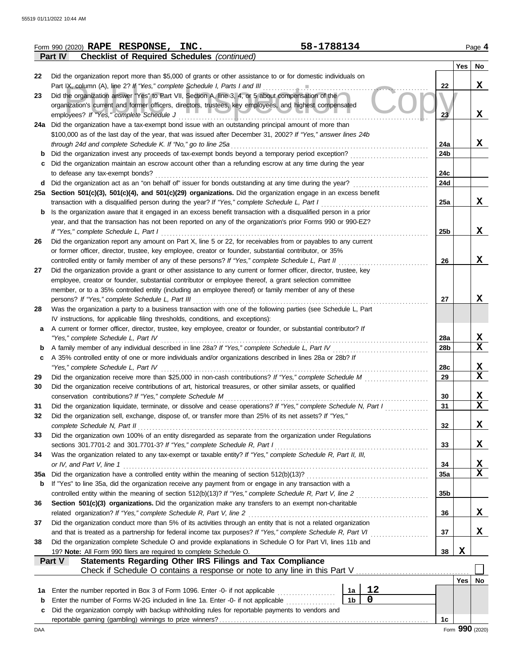|     | 58-1788134<br>Form 990 (2020) RAPE RESPONSE, INC.                                                                                                                                                            |     |             | Page 4                  |
|-----|--------------------------------------------------------------------------------------------------------------------------------------------------------------------------------------------------------------|-----|-------------|-------------------------|
|     | <b>Checklist of Required Schedules (continued)</b><br>Part IV                                                                                                                                                |     |             |                         |
|     |                                                                                                                                                                                                              |     | Yes         | No                      |
| 22  | Did the organization report more than \$5,000 of grants or other assistance to or for domestic individuals on                                                                                                |     |             |                         |
|     | Part IX, column (A), line 2? If "Yes," complete Schedule I, Parts I and III                                                                                                                                  | 22  |             | X                       |
| 23  | Did the organization answer "Yes" to Part VII, Section A, line 3, 4, or 5 about compensation of the                                                                                                          |     |             |                         |
|     | organization's current and former officers, directors, trustees, key employees, and highest compensated                                                                                                      |     |             |                         |
|     | employees? If "Yes," complete Schedule J                                                                                                                                                                     | 23  |             | X                       |
|     | 24a Did the organization have a tax-exempt bond issue with an outstanding principal amount of more than                                                                                                      |     |             |                         |
|     | \$100,000 as of the last day of the year, that was issued after December 31, 2002? If "Yes," answer lines 24b                                                                                                |     |             |                         |
|     | through 24d and complete Schedule K. If "No," go to line 25a                                                                                                                                                 | 24a |             | X                       |
| b   | Did the organization invest any proceeds of tax-exempt bonds beyond a temporary period exception?                                                                                                            | 24b |             |                         |
| С   | Did the organization maintain an escrow account other than a refunding escrow at any time during the year                                                                                                    |     |             |                         |
|     | to defease any tax-exempt bonds?                                                                                                                                                                             | 24c |             |                         |
| d   | Did the organization act as an "on behalf of" issuer for bonds outstanding at any time during the year?                                                                                                      | 24d |             |                         |
|     | 25a Section 501(c)(3), 501(c)(4), and 501(c)(29) organizations. Did the organization engage in an excess benefit                                                                                             |     |             |                         |
|     | transaction with a disqualified person during the year? If "Yes," complete Schedule L, Part I                                                                                                                | 25a |             | X                       |
| b   | Is the organization aware that it engaged in an excess benefit transaction with a disqualified person in a prior                                                                                             |     |             |                         |
|     | year, and that the transaction has not been reported on any of the organization's prior Forms 990 or 990-EZ?                                                                                                 |     |             |                         |
|     | If "Yes," complete Schedule L, Part I                                                                                                                                                                        | 25b |             | X                       |
| 26  | Did the organization report any amount on Part X, line 5 or 22, for receivables from or payables to any current                                                                                              |     |             |                         |
|     | or former officer, director, trustee, key employee, creator or founder, substantial contributor, or 35%                                                                                                      |     |             |                         |
|     | controlled entity or family member of any of these persons? If "Yes," complete Schedule L, Part II                                                                                                           | 26  |             | X                       |
| 27  | Did the organization provide a grant or other assistance to any current or former officer, director, trustee, key                                                                                            |     |             |                         |
|     | employee, creator or founder, substantial contributor or employee thereof, a grant selection committee                                                                                                       |     |             |                         |
|     | member, or to a 35% controlled entity (including an employee thereof) or family member of any of these                                                                                                       |     |             |                         |
|     | persons? If "Yes," complete Schedule L, Part III                                                                                                                                                             | 27  |             | X                       |
| 28  | Was the organization a party to a business transaction with one of the following parties (see Schedule L, Part                                                                                               |     |             |                         |
|     | IV instructions, for applicable filing thresholds, conditions, and exceptions):                                                                                                                              |     |             |                         |
| a   | A current or former officer, director, trustee, key employee, creator or founder, or substantial contributor? If                                                                                             |     |             |                         |
|     | "Yes," complete Schedule L, Part IV<br>.                                                                                                                                                                     | 28a |             | X<br>$\mathbf x$        |
| b   | A family member of any individual described in line 28a? If "Yes," complete Schedule L, Part IV<br>A 35% controlled entity of one or more individuals and/or organizations described in lines 28a or 28b? If | 28b |             |                         |
| c   | "Yes," complete Schedule L, Part IV                                                                                                                                                                          | 28c |             | X                       |
| 29  | Did the organization receive more than \$25,000 in non-cash contributions? If "Yes," complete Schedule M                                                                                                     | 29  |             | $\mathbf X$             |
| 30  | Did the organization receive contributions of art, historical treasures, or other similar assets, or qualified                                                                                               |     |             |                         |
|     | conservation contributions? If "Yes," complete Schedule M                                                                                                                                                    | 30  |             | Х                       |
| 31  | Did the organization liquidate, terminate, or dissolve and cease operations? If "Yes," complete Schedule N, Part I                                                                                           | 31  |             | $\overline{\mathbf{x}}$ |
| 32  | Did the organization sell, exchange, dispose of, or transfer more than 25% of its net assets? If "Yes,"                                                                                                      |     |             |                         |
|     | complete Schedule N, Part II                                                                                                                                                                                 | 32  |             | X                       |
| 33  | Did the organization own 100% of an entity disregarded as separate from the organization under Regulations                                                                                                   |     |             |                         |
|     | sections 301.7701-2 and 301.7701-3? If "Yes," complete Schedule R, Part I                                                                                                                                    | 33  |             | X                       |
| 34  | Was the organization related to any tax-exempt or taxable entity? If "Yes," complete Schedule R, Part II, III,                                                                                               |     |             |                         |
|     | or IV, and Part V, line 1                                                                                                                                                                                    | 34  |             | <u>x</u>                |
| 35a |                                                                                                                                                                                                              | 35a |             | $\mathbf X$             |
| b   | If "Yes" to line 35a, did the organization receive any payment from or engage in any transaction with a                                                                                                      |     |             |                         |
|     | controlled entity within the meaning of section 512(b)(13)? If "Yes," complete Schedule R, Part V, line 2                                                                                                    | 35b |             |                         |
| 36  | Section 501(c)(3) organizations. Did the organization make any transfers to an exempt non-charitable                                                                                                         |     |             |                         |
|     | related organization? If "Yes," complete Schedule R, Part V, line 2                                                                                                                                          | 36  |             | X                       |
| 37  | Did the organization conduct more than 5% of its activities through an entity that is not a related organization                                                                                             |     |             |                         |
|     |                                                                                                                                                                                                              | 37  |             | X                       |
| 38  | Did the organization complete Schedule O and provide explanations in Schedule O for Part VI, lines 11b and                                                                                                   |     |             |                         |
|     | 19? Note: All Form 990 filers are required to complete Schedule O.                                                                                                                                           | 38  | $\mathbf x$ |                         |
|     | Statements Regarding Other IRS Filings and Tax Compliance<br>Part V                                                                                                                                          |     |             |                         |
|     | Check if Schedule O contains a response or note to any line in this Part V                                                                                                                                   |     |             |                         |
|     |                                                                                                                                                                                                              |     | Yes   No    |                         |
| 1a  | 12<br>Enter the number reported in Box 3 of Form 1096. Enter -0- if not applicable<br>1a<br>.<br>$\mathbf 0$                                                                                                 |     |             |                         |
| b   | 1 <sub>b</sub><br>Enter the number of Forms W-2G included in line 1a. Enter -0- if not applicable                                                                                                            |     |             |                         |
| c   | Did the organization comply with backup withholding rules for reportable payments to vendors and                                                                                                             |     |             |                         |
|     |                                                                                                                                                                                                              | 1c  |             | Form 990 (2020)         |
| DAA |                                                                                                                                                                                                              |     |             |                         |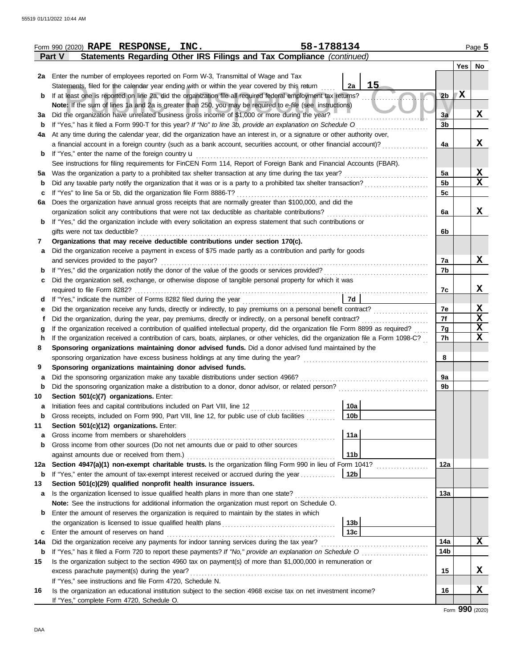|        | 58-1788134<br>Form 990 (2020) RAPE RESPONSE, INC.                                                                                            |                             |     | Page 5 |
|--------|----------------------------------------------------------------------------------------------------------------------------------------------|-----------------------------|-----|--------|
|        | Statements Regarding Other IRS Filings and Tax Compliance (continued)<br><b>Part V</b>                                                       |                             |     |        |
|        |                                                                                                                                              |                             | Yes | No     |
| 2a     | Enter the number of employees reported on Form W-3, Transmittal of Wage and Tax                                                              |                             |     |        |
|        | Statements, filed for the calendar year ending with or within the year covered by this return                                                | 15<br>2a                    |     |        |
| b      | If at least one is reported on line 2a, did the organization file all required federal employment tax returns?                               | 2 <sub>b</sub>              | X   |        |
|        | Note: If the sum of lines 1a and 2a is greater than 250, you may be required to e-file (see instructions)                                    |                             |     |        |
| За     | Did the organization have unrelated business gross income of \$1,000 or more during the year?                                                | 3a                          |     | x      |
| b      | If "Yes," has it filed a Form 990-T for this year? If "No" to line 3b, provide an explanation on Schedule O                                  | $\overline{3}$ <sub>b</sub> |     |        |
| 4a     | At any time during the calendar year, did the organization have an interest in, or a signature or other authority over,                      |                             |     |        |
|        | a financial account in a foreign country (such as a bank account, securities account, or other financial account)?                           | 4a                          |     | X      |
| b      | If "Yes," enter the name of the foreign country <b>u</b>                                                                                     |                             |     |        |
|        | See instructions for filing requirements for FinCEN Form 114, Report of Foreign Bank and Financial Accounts (FBAR).                          |                             |     |        |
| 5а     | Was the organization a party to a prohibited tax shelter transaction at any time during the tax year?                                        | 5a                          |     | X      |
| b      | Did any taxable party notify the organization that it was or is a party to a prohibited tax shelter transaction?                             | 5 <sub>b</sub>              |     | X      |
| c      | If "Yes" to line 5a or 5b, did the organization file Form 8886-T?                                                                            | 5c                          |     |        |
| 6a     | Does the organization have annual gross receipts that are normally greater than \$100,000, and did the                                       |                             |     |        |
|        | organization solicit any contributions that were not tax deductible as charitable contributions?                                             | 6a                          |     | x      |
| b      | If "Yes," did the organization include with every solicitation an express statement that such contributions or                               |                             |     |        |
|        | gifts were not tax deductible?                                                                                                               | 6b                          |     |        |
| 7      | Organizations that may receive deductible contributions under section 170(c).                                                                |                             |     |        |
| а      | Did the organization receive a payment in excess of \$75 made partly as a contribution and partly for goods                                  |                             |     |        |
|        | and services provided to the payor?                                                                                                          | 7a                          |     | x      |
| b      |                                                                                                                                              | 7b                          |     |        |
| с      | Did the organization sell, exchange, or otherwise dispose of tangible personal property for which it was                                     |                             |     |        |
|        | required to file Form 8282?                                                                                                                  | 7c                          |     | x      |
| d      |                                                                                                                                              | 7d                          |     |        |
| е      | Did the organization receive any funds, directly or indirectly, to pay premiums on a personal benefit contract?                              | 7e                          |     | x      |
|        | Did the organization, during the year, pay premiums, directly or indirectly, on a personal benefit contract?                                 | 7f                          |     | X      |
| g      | If the organization received a contribution of qualified intellectual property, did the organization file Form 8899 as required?             | 7g                          |     | X      |
| h      | If the organization received a contribution of cars, boats, airplanes, or other vehicles, did the organization file a Form 1098-C?           | 7h                          |     | X      |
| 8      | Sponsoring organizations maintaining donor advised funds. Did a donor advised fund maintained by the                                         |                             |     |        |
|        |                                                                                                                                              | 8                           |     |        |
| 9      | Sponsoring organizations maintaining donor advised funds.                                                                                    |                             |     |        |
| а      | Did the sponsoring organization make any taxable distributions under section 4966?                                                           | 9a<br>9b                    |     |        |
| b      | Did the sponsoring organization make a distribution to a donor, donor advisor, or related person?<br>Section 501(c)(7) organizations. Enter: |                             |     |        |
| 10     |                                                                                                                                              | 10a                         |     |        |
| а<br>b | Gross receipts, included on Form 990, Part VIII, line 12, for public use of club facilities                                                  | 10 <sub>b</sub>             |     |        |
| 11     | Section 501(c)(12) organizations. Enter:                                                                                                     |                             |     |        |
| а      | Gross income from members or shareholders                                                                                                    | 11a                         |     |        |
| b      | Gross income from other sources (Do not net amounts due or paid to other sources                                                             |                             |     |        |
|        | against amounts due or received from them.)                                                                                                  | 11 <sub>b</sub>             |     |        |
| 12a    |                                                                                                                                              | 12a                         |     |        |
| b      | If "Yes," enter the amount of tax-exempt interest received or accrued during the year                                                        | 12b                         |     |        |
| 13     | Section 501(c)(29) qualified nonprofit health insurance issuers.                                                                             |                             |     |        |
| a      | Is the organization licensed to issue qualified health plans in more than one state?                                                         | 13a                         |     |        |
|        | Note: See the instructions for additional information the organization must report on Schedule O.                                            |                             |     |        |
| b      | Enter the amount of reserves the organization is required to maintain by the states in which                                                 |                             |     |        |
|        |                                                                                                                                              | 13 <sub>b</sub>             |     |        |
| c      | Enter the amount of reserves on hand                                                                                                         | 13c                         |     |        |
| 14a    | Did the organization receive any payments for indoor tanning services during the tax year?                                                   | 14a                         |     | x      |
| b      |                                                                                                                                              | 14b                         |     |        |
| 15     | Is the organization subject to the section 4960 tax on payment(s) of more than \$1,000,000 in remuneration or                                |                             |     |        |
|        | excess parachute payment(s) during the year?                                                                                                 | 15                          |     | x      |
|        | If "Yes," see instructions and file Form 4720, Schedule N.                                                                                   |                             |     |        |
| 16     | Is the organization an educational institution subject to the section 4968 excise tax on net investment income?                              | 16                          |     | X      |
|        | If "Yes," complete Form 4720, Schedule O.                                                                                                    |                             |     |        |
|        |                                                                                                                                              |                             |     |        |

Form **990** (2020)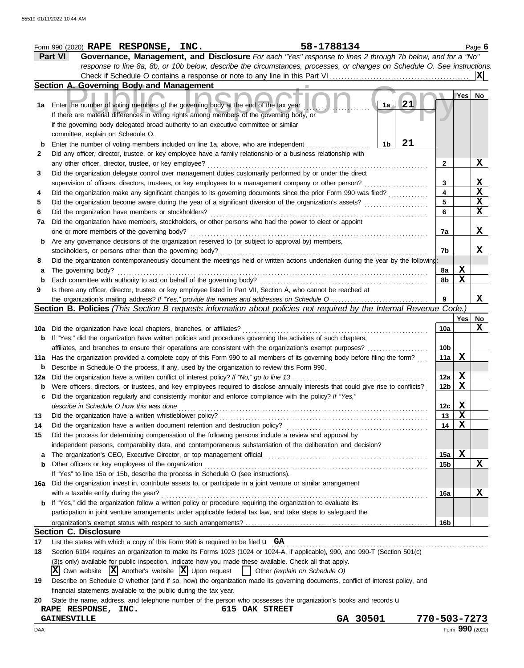|        | 58-1788134<br>Form 990 (2020) RAPE RESPONSE, INC.                                                                                                                                                          |                 |     | Page 6                          |
|--------|------------------------------------------------------------------------------------------------------------------------------------------------------------------------------------------------------------|-----------------|-----|---------------------------------|
|        | Governance, Management, and Disclosure For each "Yes" response to lines 2 through 7b below, and for a "No"<br>Part VI                                                                                      |                 |     |                                 |
|        | response to line 8a, 8b, or 10b below, describe the circumstances, processes, or changes on Schedule O. See instructions.                                                                                  |                 |     |                                 |
|        | Check if Schedule O contains a response or note to any line in this Part VI                                                                                                                                |                 |     | X                               |
|        | Section A. Governing Body and Management                                                                                                                                                                   |                 |     |                                 |
| 1a     | 21<br>Enter the number of voting members of the governing body at the end of the tax year<br>1a<br>If there are material differences in voting rights among members of the governing body, or              |                 | Yes | No                              |
|        | if the governing body delegated broad authority to an executive committee or similar                                                                                                                       |                 |     |                                 |
|        | committee, explain on Schedule O.<br>21                                                                                                                                                                    |                 |     |                                 |
| b<br>2 | Enter the number of voting members included on line 1a, above, who are independent<br>1b<br>Did any officer, director, trustee, or key employee have a family relationship or a business relationship with |                 |     |                                 |
|        | any other officer, director, trustee, or key employee?                                                                                                                                                     | 2               |     | x                               |
| 3      | Did the organization delegate control over management duties customarily performed by or under the direct                                                                                                  |                 |     |                                 |
|        | supervision of officers, directors, trustees, or key employees to a management company or other person?                                                                                                    | 3               |     |                                 |
| 4      | Did the organization make any significant changes to its governing documents since the prior Form 990 was filed?                                                                                           | 4               |     | $\frac{\mathbf{x}}{\mathbf{x}}$ |
| 5      | Did the organization become aware during the year of a significant diversion of the organization's assets?                                                                                                 | 5               |     | $\overline{\mathbf{X}}$         |
| 6      | Did the organization have members or stockholders?                                                                                                                                                         | 6               |     | $\mathbf x$                     |
| 7a     | Did the organization have members, stockholders, or other persons who had the power to elect or appoint                                                                                                    |                 |     |                                 |
|        | one or more members of the governing body?                                                                                                                                                                 | 7a              |     | X                               |
| b      | Are any governance decisions of the organization reserved to (or subject to approval by) members,                                                                                                          |                 |     |                                 |
|        | stockholders, or persons other than the governing body?                                                                                                                                                    | 7b              |     | X                               |
| 8      | Did the organization contemporaneously document the meetings held or written actions undertaken during the year by the following:                                                                          |                 |     |                                 |
| а      | The governing body?                                                                                                                                                                                        | 8a              | X   |                                 |
| b      | Each committee with authority to act on behalf of the governing body?                                                                                                                                      | 8b              | X   |                                 |
| 9      | Is there any officer, director, trustee, or key employee listed in Part VII, Section A, who cannot be reached at                                                                                           |                 |     |                                 |
|        | the organization's mailing address? If "Yes," provide the names and addresses on Schedule O                                                                                                                | 9               |     | X                               |
|        | Section B. Policies (This Section B requests information about policies not required by the Internal Revenue Code.)                                                                                        |                 |     |                                 |
|        |                                                                                                                                                                                                            |                 | Yes | No<br>X                         |
| 10a    | Did the organization have local chapters, branches, or affiliates?<br>If "Yes," did the organization have written policies and procedures governing the activities of such chapters,                       | 10a             |     |                                 |
| b      | affiliates, and branches to ensure their operations are consistent with the organization's exempt purposes?                                                                                                | 10 <sub>b</sub> |     |                                 |
| 11a    | Has the organization provided a complete copy of this Form 990 to all members of its governing body before filing the form?                                                                                | 11a             | X   |                                 |
| b      | Describe in Schedule O the process, if any, used by the organization to review this Form 990.                                                                                                              |                 |     |                                 |
| 12a    | Did the organization have a written conflict of interest policy? If "No," go to line 13                                                                                                                    | 12a             | X   |                                 |
| b      | Were officers, directors, or trustees, and key employees required to disclose annually interests that could give rise to conflicts?                                                                        | 12 <sub>b</sub> | X   |                                 |
| c      | Did the organization regularly and consistently monitor and enforce compliance with the policy? If "Yes,"                                                                                                  |                 |     |                                 |
|        | describe in Schedule O how this was done                                                                                                                                                                   | 12c             | X   |                                 |
| 13     | Did the organization have a written whistleblower policy?                                                                                                                                                  | 13              | X   |                                 |
| 14     | Did the organization have a written document retention and destruction policy?                                                                                                                             | 14              | X   |                                 |
| 15     | Did the process for determining compensation of the following persons include a review and approval by                                                                                                     |                 |     |                                 |
|        | independent persons, comparability data, and contemporaneous substantiation of the deliberation and decision?                                                                                              |                 |     |                                 |
|        |                                                                                                                                                                                                            | 15a             | X   |                                 |
| b      | Other officers or key employees of the organization                                                                                                                                                        | 15b             |     | X                               |
|        | If "Yes" to line 15a or 15b, describe the process in Schedule O (see instructions).                                                                                                                        |                 |     |                                 |
| 16a    | Did the organization invest in, contribute assets to, or participate in a joint venture or similar arrangement<br>with a taxable entity during the year?                                                   |                 |     | X                               |
| b      | If "Yes," did the organization follow a written policy or procedure requiring the organization to evaluate its                                                                                             | 16a             |     |                                 |
|        | participation in joint venture arrangements under applicable federal tax law, and take steps to safeguard the                                                                                              |                 |     |                                 |
|        |                                                                                                                                                                                                            | 16b             |     |                                 |
|        | <b>Section C. Disclosure</b>                                                                                                                                                                               |                 |     |                                 |
| 17     | List the states with which a copy of this Form 990 is required to be filed $\mathbf{u}$ GA                                                                                                                 |                 |     |                                 |
| 18     | Section 6104 requires an organization to make its Forms 1023 (1024 or 1024-A, if applicable), 990, and 990-T (Section 501(c)                                                                               |                 |     |                                 |
|        | (3)s only) available for public inspection. Indicate how you made these available. Check all that apply.                                                                                                   |                 |     |                                 |
|        | $ \mathbf{X} $ Own website $ \mathbf{X} $ Another's website $ \mathbf{X} $ Upon request<br>Other (explain on Schedule O)                                                                                   |                 |     |                                 |
| 19     | Describe on Schedule O whether (and if so, how) the organization made its governing documents, conflict of interest policy, and                                                                            |                 |     |                                 |
|        | financial statements available to the public during the tax year.                                                                                                                                          |                 |     |                                 |
| 20     | State the name, address, and telephone number of the person who possesses the organization's books and records u                                                                                           |                 |     |                                 |
|        | RAPE RESPONSE, INC.<br><b>615 OAK STREET</b>                                                                                                                                                               |                 |     |                                 |
|        | GA 30501<br><b>GAINESVILLE</b><br>770-503-7273                                                                                                                                                             |                 |     |                                 |
| DAA    |                                                                                                                                                                                                            |                 |     | Form 990 (2020)                 |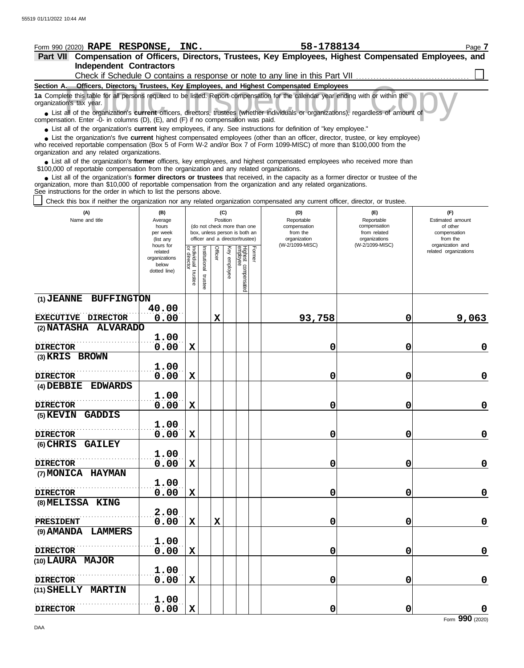| Form 990 (2020) RAPE RESPONSE, INC.                                                                                                                                                                                                                                                                                           |                        |                                   |               |             |              |                                                              |        | 58-1788134                                                                   |                                  | Page 7                       |
|-------------------------------------------------------------------------------------------------------------------------------------------------------------------------------------------------------------------------------------------------------------------------------------------------------------------------------|------------------------|-----------------------------------|---------------|-------------|--------------|--------------------------------------------------------------|--------|------------------------------------------------------------------------------|----------------------------------|------------------------------|
| Part VII Compensation of Officers, Directors, Trustees, Key Employees, Highest Compensated Employees, and                                                                                                                                                                                                                     |                        |                                   |               |             |              |                                                              |        |                                                                              |                                  |                              |
| <b>Independent Contractors</b>                                                                                                                                                                                                                                                                                                |                        |                                   |               |             |              |                                                              |        |                                                                              |                                  |                              |
|                                                                                                                                                                                                                                                                                                                               |                        |                                   |               |             |              |                                                              |        | Check if Schedule O contains a response or note to any line in this Part VII |                                  |                              |
| Section A. Officers, Directors, Trustees, Key Employees, and Highest Compensated Employees                                                                                                                                                                                                                                    |                        |                                   |               |             |              |                                                              |        |                                                                              |                                  |                              |
| 1a Complete this table for all persons required to be listed. Report compensation for the calendar year ending with or within the<br>organization's tax year.                                                                                                                                                                 |                        |                                   |               |             |              |                                                              |        |                                                                              |                                  |                              |
| • List all of the organization's current officers, directors, trustees (whether individuals or organizations), regardless of amount of<br>compensation. Enter -0- in columns (D), (E), and (F) if no compensation was paid.                                                                                                   |                        |                                   |               |             |              |                                                              |        |                                                                              |                                  |                              |
| • List all of the organization's current key employees, if any. See instructions for definition of "key employee."                                                                                                                                                                                                            |                        |                                   |               |             |              |                                                              |        |                                                                              |                                  |                              |
| • List the organization's five current highest compensated employees (other than an officer, director, trustee, or key employee)<br>who received reportable compensation (Box 5 of Form W-2 and/or Box 7 of Form 1099-MISC) of more than \$100,000 from the<br>organization and any related organizations.                    |                        |                                   |               |             |              |                                                              |        |                                                                              |                                  |                              |
| • List all of the organization's former officers, key employees, and highest compensated employees who received more than<br>\$100,000 of reportable compensation from the organization and any related organizations.                                                                                                        |                        |                                   |               |             |              |                                                              |        |                                                                              |                                  |                              |
| • List all of the organization's former directors or trustees that received, in the capacity as a former director or trustee of the<br>organization, more than \$10,000 of reportable compensation from the organization and any related organizations.<br>See instructions for the order in which to list the persons above. |                        |                                   |               |             |              |                                                              |        |                                                                              |                                  |                              |
| Check this box if neither the organization nor any related organization compensated any current officer, director, or trustee.                                                                                                                                                                                                |                        |                                   |               |             |              |                                                              |        |                                                                              |                                  |                              |
| (A)                                                                                                                                                                                                                                                                                                                           | (B)                    |                                   |               |             | (C)          |                                                              |        | (D)                                                                          | (E)                              | (F)                          |
| Name and title                                                                                                                                                                                                                                                                                                                | Average                |                                   |               |             | Position     |                                                              |        | Reportable                                                                   | Reportable                       | Estimated amount             |
|                                                                                                                                                                                                                                                                                                                               | hours<br>per week      |                                   |               |             |              | (do not check more than one<br>box, unless person is both an |        | compensation<br>from the                                                     | compensation<br>from related     | of other<br>compensation     |
|                                                                                                                                                                                                                                                                                                                               | (list any<br>hours for |                                   |               |             |              | officer and a director/trustee)                              |        | organization<br>(W-2/1099-MISC)                                              | organizations<br>(W-2/1099-MISC) | from the<br>organization and |
|                                                                                                                                                                                                                                                                                                                               | related                |                                   |               | Officer     |              |                                                              | Former |                                                                              |                                  | related organizations        |
|                                                                                                                                                                                                                                                                                                                               | organizations<br>below |                                   | Institutional |             |              |                                                              |        |                                                                              |                                  |                              |
|                                                                                                                                                                                                                                                                                                                               | dotted line)           | Individual trustee<br>or director |               |             | Key employee |                                                              |        |                                                                              |                                  |                              |
|                                                                                                                                                                                                                                                                                                                               |                        |                                   | trustee       |             |              | Highest compensated<br>employee                              |        |                                                                              |                                  |                              |
| <b>BUFFINGTON</b><br>$(1)$ JEANNE                                                                                                                                                                                                                                                                                             |                        |                                   |               |             |              |                                                              |        |                                                                              |                                  |                              |
|                                                                                                                                                                                                                                                                                                                               | 40.00                  |                                   |               |             |              |                                                              |        |                                                                              |                                  |                              |
| EXECUTIVE DIRECTOR                                                                                                                                                                                                                                                                                                            | 0.00                   |                                   |               | $\mathbf x$ |              |                                                              |        | 93,758                                                                       | 0                                | 9,063                        |
| <b>ALVARADO</b><br>(2) NATASHA                                                                                                                                                                                                                                                                                                |                        |                                   |               |             |              |                                                              |        |                                                                              |                                  |                              |
|                                                                                                                                                                                                                                                                                                                               | 1.00                   |                                   |               |             |              |                                                              |        |                                                                              |                                  |                              |
| <b>DIRECTOR</b>                                                                                                                                                                                                                                                                                                               | 0.00                   | X                                 |               |             |              |                                                              |        | 0                                                                            | 0                                | $\mathbf 0$                  |
| (3) KRIS BROWN                                                                                                                                                                                                                                                                                                                | 1.00                   |                                   |               |             |              |                                                              |        |                                                                              |                                  |                              |
| <b>DIRECTOR</b>                                                                                                                                                                                                                                                                                                               | 0.00                   | X                                 |               |             |              |                                                              |        | 0                                                                            | 0                                | $\mathbf 0$                  |
| <b>EDWARDS</b><br>$(4)$ DEBBIE                                                                                                                                                                                                                                                                                                |                        |                                   |               |             |              |                                                              |        |                                                                              |                                  |                              |
|                                                                                                                                                                                                                                                                                                                               | 1.00                   |                                   |               |             |              |                                                              |        |                                                                              |                                  |                              |
| <b>DIRECTOR</b>                                                                                                                                                                                                                                                                                                               | 0.00                   | X                                 |               |             |              |                                                              |        | 0                                                                            | 0                                | $\mathbf 0$                  |
| (5) KEVIN GADDIS                                                                                                                                                                                                                                                                                                              |                        |                                   |               |             |              |                                                              |        |                                                                              |                                  |                              |
|                                                                                                                                                                                                                                                                                                                               | 1.00                   |                                   |               |             |              |                                                              |        |                                                                              |                                  |                              |
| <b>DIRECTOR</b><br>(6) CHRIS GAILEY                                                                                                                                                                                                                                                                                           | 0.00                   | X                                 |               |             |              |                                                              |        | 0                                                                            | 0                                | $\mathbf 0$                  |
|                                                                                                                                                                                                                                                                                                                               | 1.00                   |                                   |               |             |              |                                                              |        |                                                                              |                                  |                              |
| <b>DIRECTOR</b>                                                                                                                                                                                                                                                                                                               | 0.00                   | X                                 |               |             |              |                                                              |        | 0                                                                            | 0                                | $\mathbf 0$                  |
| (7) MONICA HAYMAN                                                                                                                                                                                                                                                                                                             |                        |                                   |               |             |              |                                                              |        |                                                                              |                                  |                              |
|                                                                                                                                                                                                                                                                                                                               | 1.00                   |                                   |               |             |              |                                                              |        |                                                                              |                                  |                              |
| <b>DIRECTOR</b>                                                                                                                                                                                                                                                                                                               | 0.00                   | X                                 |               |             |              |                                                              |        | 0                                                                            | 0                                | $\mathbf 0$                  |
| (8) MELISSA KING                                                                                                                                                                                                                                                                                                              |                        |                                   |               |             |              |                                                              |        |                                                                              |                                  |                              |
|                                                                                                                                                                                                                                                                                                                               | 2.00                   |                                   |               |             |              |                                                              |        |                                                                              |                                  |                              |
| PRESIDENT<br>(9) AMANDA LAMMERS                                                                                                                                                                                                                                                                                               | 0.00                   | X                                 |               | $\mathbf x$ |              |                                                              |        | 0                                                                            | 0                                | $\mathbf 0$                  |
|                                                                                                                                                                                                                                                                                                                               | 1.00                   |                                   |               |             |              |                                                              |        |                                                                              |                                  |                              |
| <b>DIRECTOR</b>                                                                                                                                                                                                                                                                                                               | 0.00                   | X                                 |               |             |              |                                                              |        | 0                                                                            | 0                                | $\mathbf 0$                  |
| (10) LAURA MAJOR                                                                                                                                                                                                                                                                                                              |                        |                                   |               |             |              |                                                              |        |                                                                              |                                  |                              |
|                                                                                                                                                                                                                                                                                                                               | 1.00                   |                                   |               |             |              |                                                              |        |                                                                              |                                  |                              |
| <b>DIRECTOR</b>                                                                                                                                                                                                                                                                                                               | 0.00                   | X                                 |               |             |              |                                                              |        | 0                                                                            | 0                                | 0                            |
| (11) SHELLY MARTIN                                                                                                                                                                                                                                                                                                            |                        |                                   |               |             |              |                                                              |        |                                                                              |                                  |                              |
|                                                                                                                                                                                                                                                                                                                               | 1.00                   |                                   |               |             |              |                                                              |        |                                                                              | 0                                |                              |
| <b>DIRECTOR</b>                                                                                                                                                                                                                                                                                                               | 0.00                   | X                                 |               |             |              |                                                              |        | 0                                                                            |                                  | $\mathbf 0$                  |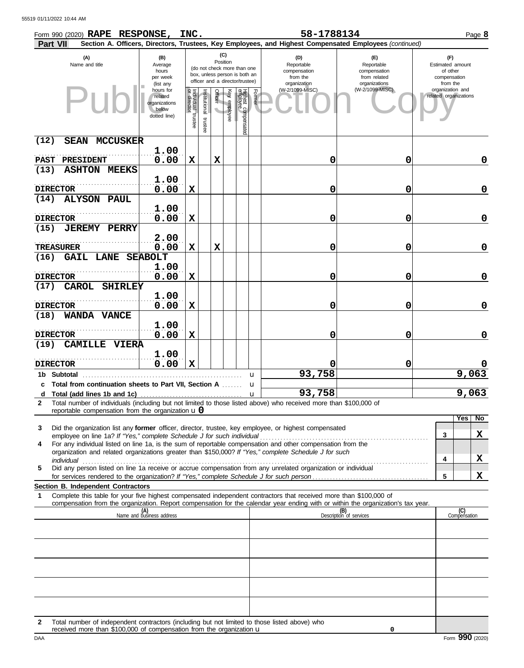| Form 990 (2020) RAPE RESPONSE, INC.<br>Part VII                                                                                                                                      |                                                                |                                   |                       |                 |              |                                                                                                 |                                                                                                                                     | 58-1788134      | Section A. Officers, Directors, Trustees, Key Employees, and Highest Compensated Employees (continued) |  |                                                                 | Page 8              |
|--------------------------------------------------------------------------------------------------------------------------------------------------------------------------------------|----------------------------------------------------------------|-----------------------------------|-----------------------|-----------------|--------------|-------------------------------------------------------------------------------------------------|-------------------------------------------------------------------------------------------------------------------------------------|-----------------|--------------------------------------------------------------------------------------------------------|--|-----------------------------------------------------------------|---------------------|
| (A)<br>Name and title                                                                                                                                                                | (B)<br>Average<br>hours<br>per week<br>(list any               |                                   |                       | (C)<br>Position |              | (do not check more than one<br>box, unless person is both an<br>officer and a director/trustee) | (D)<br>(E)<br>Reportable<br>Reportable<br>compensation<br>compensation<br>from the<br>from related<br>organization<br>organizations |                 |                                                                                                        |  | (F)<br>Estimated amount<br>of other<br>compensation<br>from the |                     |
|                                                                                                                                                                                      | hours for<br>related<br>organizations<br>below<br>dotted line) | Individual trustee<br>or director | Institutional trustee | Officer         | Key employee | Highest compensated<br>employee                                                                 | Former                                                                                                                              | (W-2/1099-MISC) | (W-2/1099-MISC)                                                                                        |  | organization and<br>related organizations                       |                     |
| (12)<br><b>MCCUSKER</b><br><b>SEAN</b>                                                                                                                                               |                                                                |                                   |                       |                 |              |                                                                                                 |                                                                                                                                     |                 |                                                                                                        |  |                                                                 |                     |
| PRESIDENT<br><b>PAST</b>                                                                                                                                                             | 1.00<br>0.00                                                   | $\mathbf x$                       |                       | $\mathbf x$     |              |                                                                                                 |                                                                                                                                     | 0               | 0                                                                                                      |  |                                                                 | 0                   |
| (13)<br><b>ASHTON MEEKS</b>                                                                                                                                                          |                                                                |                                   |                       |                 |              |                                                                                                 |                                                                                                                                     |                 |                                                                                                        |  |                                                                 |                     |
|                                                                                                                                                                                      | 1.00                                                           |                                   |                       |                 |              |                                                                                                 |                                                                                                                                     |                 |                                                                                                        |  |                                                                 |                     |
| <b>DIRECTOR</b><br>(14)<br><b>ALYSON PAUL</b>                                                                                                                                        | 0.00                                                           | $\mathbf x$                       |                       |                 |              |                                                                                                 |                                                                                                                                     | 0               | 0                                                                                                      |  |                                                                 | 0                   |
|                                                                                                                                                                                      | 1.00                                                           |                                   |                       |                 |              |                                                                                                 |                                                                                                                                     |                 |                                                                                                        |  |                                                                 |                     |
| <b>DIRECTOR</b>                                                                                                                                                                      | 0.00                                                           | $\mathbf x$                       |                       |                 |              |                                                                                                 |                                                                                                                                     | 0               | 0                                                                                                      |  |                                                                 | 0                   |
| (15)<br><b>JEREMY PERRY</b>                                                                                                                                                          | 2.00                                                           |                                   |                       |                 |              |                                                                                                 |                                                                                                                                     |                 |                                                                                                        |  |                                                                 |                     |
| <b>TREASURER</b>                                                                                                                                                                     | 0.00                                                           | $\mathbf x$                       |                       | $\mathbf x$     |              |                                                                                                 |                                                                                                                                     | 0               | 0                                                                                                      |  |                                                                 | 0                   |
| (16)<br><b>GAIL LANE</b>                                                                                                                                                             | <b>SEABOLT</b>                                                 |                                   |                       |                 |              |                                                                                                 |                                                                                                                                     |                 |                                                                                                        |  |                                                                 |                     |
| <b>DIRECTOR</b>                                                                                                                                                                      | 1.00<br>0.00                                                   | $\mathbf x$                       |                       |                 |              |                                                                                                 |                                                                                                                                     | 0               | 0                                                                                                      |  |                                                                 | 0                   |
| (17)<br>CAROL<br><b>SHIRLEY</b>                                                                                                                                                      |                                                                |                                   |                       |                 |              |                                                                                                 |                                                                                                                                     |                 |                                                                                                        |  |                                                                 |                     |
|                                                                                                                                                                                      | 1.00                                                           |                                   |                       |                 |              |                                                                                                 |                                                                                                                                     |                 |                                                                                                        |  |                                                                 |                     |
| <b>DIRECTOR</b><br>(18)<br>WANDA VANCE                                                                                                                                               | 0.00                                                           | $\mathbf x$                       |                       |                 |              |                                                                                                 |                                                                                                                                     | 0               | 0                                                                                                      |  |                                                                 | 0                   |
|                                                                                                                                                                                      | 1.00                                                           |                                   |                       |                 |              |                                                                                                 |                                                                                                                                     |                 |                                                                                                        |  |                                                                 |                     |
| <b>DIRECTOR</b>                                                                                                                                                                      | 0.00                                                           | X                                 |                       |                 |              |                                                                                                 |                                                                                                                                     | 0               | 0                                                                                                      |  |                                                                 | 0                   |
| (19)<br><b>CAMILLE</b><br><b>VIERA</b>                                                                                                                                               | 1.00                                                           |                                   |                       |                 |              |                                                                                                 |                                                                                                                                     |                 |                                                                                                        |  |                                                                 |                     |
| <b>DIRECTOR</b>                                                                                                                                                                      | 0.00                                                           | $\mathbf x$                       |                       |                 |              |                                                                                                 |                                                                                                                                     |                 | 0                                                                                                      |  |                                                                 |                     |
| 1b Subtotal                                                                                                                                                                          |                                                                |                                   |                       |                 |              |                                                                                                 | u                                                                                                                                   | 93,758          |                                                                                                        |  |                                                                 | 9,063               |
| c Total from continuation sheets to Part VII, Section A<br>d                                                                                                                         |                                                                |                                   |                       |                 |              | u<br>$\mathbf u$                                                                                |                                                                                                                                     | 93,758          |                                                                                                        |  |                                                                 | 9,063               |
| Total number of individuals (including but not limited to those listed above) who received more than \$100,000 of<br>$\mathbf{2}$                                                    |                                                                |                                   |                       |                 |              |                                                                                                 |                                                                                                                                     |                 |                                                                                                        |  |                                                                 |                     |
| reportable compensation from the organization $\mathbf{u}$ 0                                                                                                                         |                                                                |                                   |                       |                 |              |                                                                                                 |                                                                                                                                     |                 |                                                                                                        |  |                                                                 | Yes   No            |
| Did the organization list any former officer, director, trustee, key employee, or highest compensated<br>3<br>employee on line 1a? If "Yes," complete Schedule J for such individual |                                                                |                                   |                       |                 |              |                                                                                                 |                                                                                                                                     |                 |                                                                                                        |  | 3                                                               | X                   |
| For any individual listed on line 1a, is the sum of reportable compensation and other compensation from the<br>4                                                                     |                                                                |                                   |                       |                 |              |                                                                                                 |                                                                                                                                     |                 |                                                                                                        |  |                                                                 |                     |
| organization and related organizations greater than \$150,000? If "Yes," complete Schedule J for such<br>individual                                                                  |                                                                |                                   |                       |                 |              |                                                                                                 |                                                                                                                                     |                 |                                                                                                        |  | 4                                                               | X                   |
| Did any person listed on line 1a receive or accrue compensation from any unrelated organization or individual<br>5                                                                   |                                                                |                                   |                       |                 |              |                                                                                                 |                                                                                                                                     |                 |                                                                                                        |  |                                                                 |                     |
| Section B. Independent Contractors                                                                                                                                                   |                                                                |                                   |                       |                 |              |                                                                                                 |                                                                                                                                     |                 |                                                                                                        |  | 5                                                               | x                   |
| Complete this table for your five highest compensated independent contractors that received more than \$100,000 of<br>-1                                                             |                                                                |                                   |                       |                 |              |                                                                                                 |                                                                                                                                     |                 |                                                                                                        |  |                                                                 |                     |
| compensation from the organization. Report compensation for the calendar year ending with or within the organization's tax year.                                                     | (A)<br>Name and business address                               |                                   |                       |                 |              |                                                                                                 |                                                                                                                                     |                 | (B)                                                                                                    |  |                                                                 | (C)<br>Compensation |
|                                                                                                                                                                                      |                                                                |                                   |                       |                 |              |                                                                                                 |                                                                                                                                     |                 | Description of services                                                                                |  |                                                                 |                     |
|                                                                                                                                                                                      |                                                                |                                   |                       |                 |              |                                                                                                 |                                                                                                                                     |                 |                                                                                                        |  |                                                                 |                     |
|                                                                                                                                                                                      |                                                                |                                   |                       |                 |              |                                                                                                 |                                                                                                                                     |                 |                                                                                                        |  |                                                                 |                     |
|                                                                                                                                                                                      |                                                                |                                   |                       |                 |              |                                                                                                 |                                                                                                                                     |                 |                                                                                                        |  |                                                                 |                     |
|                                                                                                                                                                                      |                                                                |                                   |                       |                 |              |                                                                                                 |                                                                                                                                     |                 |                                                                                                        |  |                                                                 |                     |
|                                                                                                                                                                                      |                                                                |                                   |                       |                 |              |                                                                                                 |                                                                                                                                     |                 |                                                                                                        |  |                                                                 |                     |
|                                                                                                                                                                                      |                                                                |                                   |                       |                 |              |                                                                                                 |                                                                                                                                     |                 |                                                                                                        |  |                                                                 |                     |
|                                                                                                                                                                                      |                                                                |                                   |                       |                 |              |                                                                                                 |                                                                                                                                     |                 |                                                                                                        |  |                                                                 |                     |

DAA Form 990 (2020) **2** Total number of independent contractors (including but not limited to those listed above) who received more than \$100,000 of compensation from the organization u

**0**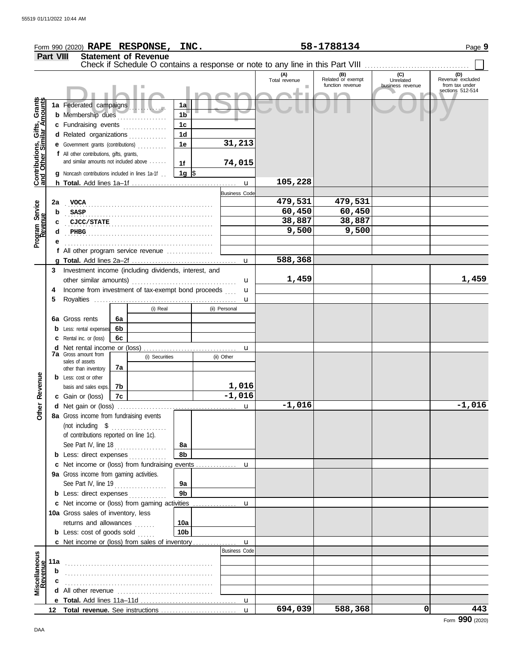|                                                                  |                  | Form 990 (2020) RAPE RESPONSE, INC.                                                                    |          |                             |                 |                      | 58-1788134                                                                    | Page 9                                       |                                      |                                                               |
|------------------------------------------------------------------|------------------|--------------------------------------------------------------------------------------------------------|----------|-----------------------------|-----------------|----------------------|-------------------------------------------------------------------------------|----------------------------------------------|--------------------------------------|---------------------------------------------------------------|
|                                                                  | <b>Part VIII</b> |                                                                                                        |          | <b>Statement of Revenue</b> |                 |                      |                                                                               |                                              |                                      |                                                               |
|                                                                  |                  |                                                                                                        |          |                             |                 |                      | Check if Schedule O contains a response or note to any line in this Part VIII |                                              |                                      |                                                               |
|                                                                  |                  |                                                                                                        |          |                             |                 |                      | (A)<br>Total revenue                                                          | (B)<br>Related or exempt<br>function revenue | (C)<br>Unrelated<br>business revenue | (D)<br>Revenue excluded<br>from tax under<br>sections 512-514 |
|                                                                  |                  | 1a Federated campaigns                                                                                 |          |                             | 1a              |                      |                                                                               |                                              |                                      |                                                               |
|                                                                  |                  | <b>b</b> Membership dues                                                                               |          |                             | 1 <sub>b</sub>  |                      |                                                                               |                                              |                                      |                                                               |
|                                                                  |                  | c Fundraising events                                                                                   |          | .                           | 1 <sub>c</sub>  |                      |                                                                               |                                              |                                      |                                                               |
|                                                                  |                  | d Related organizations                                                                                |          |                             | 1 <sub>d</sub>  |                      |                                                                               |                                              |                                      |                                                               |
|                                                                  |                  | e Government grants (contributions)                                                                    |          |                             | 1e              | 31,213               |                                                                               |                                              |                                      |                                                               |
|                                                                  |                  | f All other contributions, gifts, grants,                                                              |          |                             |                 |                      |                                                                               |                                              |                                      |                                                               |
|                                                                  |                  | and similar amounts not included above                                                                 |          |                             | 1f              | 74,015               |                                                                               |                                              |                                      |                                                               |
| <b>Contributions, Gifts, Grants</b><br>and Other Similar Amounts |                  | <b>g</b> Noncash contributions included in lines 1a-1f                                                 |          |                             | 1g $\sqrt{3}$   |                      |                                                                               |                                              |                                      |                                                               |
|                                                                  |                  |                                                                                                        |          |                             |                 | $\mathbf{u}$         | 105,228                                                                       |                                              |                                      |                                                               |
|                                                                  |                  |                                                                                                        |          |                             |                 | <b>Business Code</b> | 479,531                                                                       | 479,531                                      |                                      |                                                               |
|                                                                  | 2a<br>b          | VOCA                                                                                                   |          |                             |                 |                      | 60,450                                                                        | 60,450                                       |                                      |                                                               |
|                                                                  | c                | <b>SASP</b><br>CJCC/STATE                                                                              |          |                             |                 |                      | 38,887                                                                        | 38,887                                       |                                      |                                                               |
|                                                                  | d                | PHBG                                                                                                   |          |                             |                 |                      | 9,500                                                                         | 9,500                                        |                                      |                                                               |
| Program Service<br>Revenue                                       |                  |                                                                                                        |          |                             |                 |                      |                                                                               |                                              |                                      |                                                               |
|                                                                  |                  | f All other program service revenue <i>contained</i>                                                   |          |                             |                 |                      |                                                                               |                                              |                                      |                                                               |
|                                                                  |                  |                                                                                                        |          |                             |                 | u                    | 588,368                                                                       |                                              |                                      |                                                               |
|                                                                  | 3                | Investment income (including dividends, interest, and                                                  |          |                             |                 |                      |                                                                               |                                              |                                      |                                                               |
|                                                                  |                  | other similar amounts)                                                                                 |          |                             |                 | u                    | 1,459                                                                         |                                              |                                      | 1,459                                                         |
|                                                                  | 4                | Income from investment of tax-exempt bond proceeds                                                     |          |                             |                 | u                    |                                                                               |                                              |                                      |                                                               |
|                                                                  | 5                |                                                                                                        |          |                             |                 | u                    |                                                                               |                                              |                                      |                                                               |
|                                                                  |                  |                                                                                                        |          | (i) Real                    |                 | (ii) Personal        |                                                                               |                                              |                                      |                                                               |
|                                                                  | 6a               | Gross rents                                                                                            | 6a       |                             |                 |                      |                                                                               |                                              |                                      |                                                               |
|                                                                  |                  | <b>b</b> Less: rental expenses                                                                         | 6b<br>6с |                             |                 |                      |                                                                               |                                              |                                      |                                                               |
|                                                                  | d                | <b>c</b> Rental inc. or (loss)                                                                         |          |                             |                 | u                    |                                                                               |                                              |                                      |                                                               |
|                                                                  |                  | <b>7a</b> Gross amount from                                                                            |          | (i) Securities              |                 | (ii) Other           |                                                                               |                                              |                                      |                                                               |
|                                                                  |                  | sales of assets<br>other than inventory                                                                | 7a       |                             |                 |                      |                                                                               |                                              |                                      |                                                               |
|                                                                  |                  | <b>b</b> Less: cost or other                                                                           |          |                             |                 |                      |                                                                               |                                              |                                      |                                                               |
| Revenue                                                          |                  | basis and sales exps.                                                                                  | 7b       |                             |                 | 1,016                |                                                                               |                                              |                                      |                                                               |
|                                                                  |                  | c Gain or (loss)                                                                                       | 7c       |                             |                 | $-1,016$             |                                                                               |                                              |                                      |                                                               |
| Other                                                            |                  |                                                                                                        |          |                             |                 | u                    | $-1,016$                                                                      |                                              |                                      | $-1,016$                                                      |
|                                                                  |                  | 8a Gross income from fundraising events                                                                |          |                             |                 |                      |                                                                               |                                              |                                      |                                                               |
|                                                                  |                  |                                                                                                        |          |                             |                 |                      |                                                                               |                                              |                                      |                                                               |
|                                                                  |                  | of contributions reported on line 1c).                                                                 |          |                             |                 |                      |                                                                               |                                              |                                      |                                                               |
|                                                                  |                  | See Part IV, line 18<br><b>b</b> Less: direct expenses <i>[[[[[[[[[[[[[[[[[[[[[[[[[[[[[[[[[]]</i> ]]]] |          |                             | 8а<br>8b        |                      |                                                                               |                                              |                                      |                                                               |
|                                                                  |                  | c Net income or (loss) from fundraising events                                                         |          |                             |                 | u                    |                                                                               |                                              |                                      |                                                               |
|                                                                  |                  | 9a Gross income from gaming activities.                                                                |          |                             |                 |                      |                                                                               |                                              |                                      |                                                               |
|                                                                  |                  | See Part IV, line 19                                                                                   |          |                             | 9a              |                      |                                                                               |                                              |                                      |                                                               |
|                                                                  |                  | <b>b</b> Less: direct expenses                                                                         |          |                             | 9 <sub>b</sub>  |                      |                                                                               |                                              |                                      |                                                               |
|                                                                  |                  | c Net income or (loss) from gaming activities                                                          |          |                             |                 | u                    |                                                                               |                                              |                                      |                                                               |
|                                                                  |                  | 10a Gross sales of inventory, less                                                                     |          |                             |                 |                      |                                                                               |                                              |                                      |                                                               |
|                                                                  |                  | returns and allowances                                                                                 |          |                             | 10a             |                      |                                                                               |                                              |                                      |                                                               |
|                                                                  |                  | <b>b</b> Less: cost of goods sold $\ldots$                                                             |          |                             | 10 <sub>b</sub> |                      |                                                                               |                                              |                                      |                                                               |
|                                                                  |                  |                                                                                                        |          |                             |                 | $\mathbf{u}$         |                                                                               |                                              |                                      |                                                               |
|                                                                  |                  |                                                                                                        |          |                             |                 | <b>Business Code</b> |                                                                               |                                              |                                      |                                                               |
| Miscellaneous<br>Revenue                                         | 11a              |                                                                                                        |          |                             |                 |                      |                                                                               |                                              |                                      |                                                               |
|                                                                  | b                |                                                                                                        |          |                             |                 |                      |                                                                               |                                              |                                      |                                                               |
|                                                                  |                  |                                                                                                        |          |                             |                 |                      |                                                                               |                                              |                                      |                                                               |
|                                                                  |                  |                                                                                                        |          |                             |                 |                      |                                                                               |                                              |                                      |                                                               |
|                                                                  |                  |                                                                                                        |          |                             |                 |                      | 694,039<br>$\mathbf{u}$                                                       | 588,368                                      | 0                                    | 443                                                           |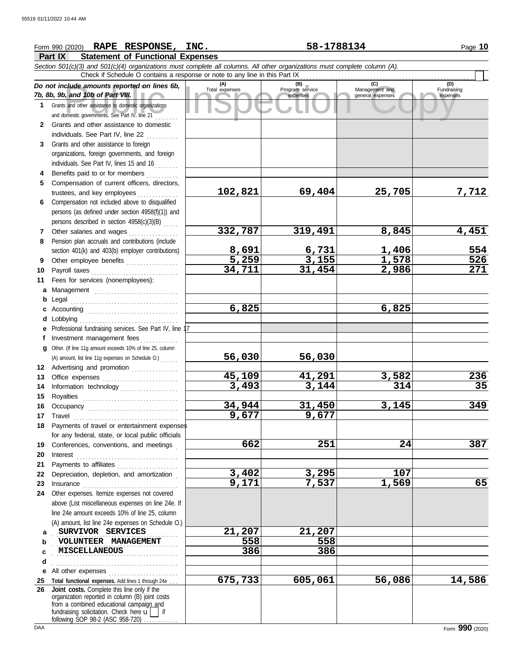## Copyright School (C) and 10b of Part VIII.<br>
Program service Management and Engineeral expenses<br>
and other assistance to domestic organizations<br>
Sand other assistance to domestic organizations<br>
Sand other assistance to dome **Part IX Statement of Functional Expenses** Form 990 (2020) Page **10 RAPE RESPONSE, INC. 58-1788134** *Section 501(c)(3) and 501(c)(4) organizations must complete all columns. All other organizations must complete column (A). Do not include amounts reported on lines 6b, 7b, 8b, 9b, and 10b of Part VIII.* **1 2 3 4 5 6** Compensation not included above to disqualified **7 8 9 10** Payroll taxes . . . . . . . . . . . . . . . . . . . . . . . . . . . . . . **11 a** Management ............................. **b** Legal . . . . . . . . . . . . . . . . . . . . . . . . . . . . . . . . . . . . . **c** Accounting . . . . . . . . . . . . . . . . . . . . . . . . . . . . . . . **d** Lobbying . . . . . . . . . . . . . . . . . . . . . . . . . . . . . . . . . . **e** Professional fundraising services. See Part IV, line 17 **f g** Other. (If line 11g amount exceeds 10% of line 25, column **12** Advertising and promotion ................ **13** Office expenses **.......................**... **14 15 16 17** Travel . . . . . . . . . . . . . . . . . . . . . . . . . . . . . . . . . . . . **18 19 20 21 22** Depreciation, depletion, and amortization . **23** Insurance . . . . . . . . . . . . . . . . . . . . . . . . . . . . . . . . . **24** Other expenses. Itemize expenses not covered **a b c d e** All other expenses . . . . . . . . . . . . . . . . . . . . . . . . Grants and other assistance to domestic organizations and domestic governments. See Part IV, line 21 . . . . . . . . Grants and other assistance to domestic individuals. See Part IV, line 22 Grants and other assistance to foreign organizations, foreign governments, and foreign individuals. See Part IV, lines 15 and 16 Benefits paid to or for members ............ Compensation of current officers, directors, trustees, and key employees . . . . . . . . . . . . persons (as defined under section 4958(f)(1)) and persons described in section  $4958(c)(3)(B)$  .... Other salaries and wages . . . . . . . . . . . . . . . . Pension plan accruals and contributions (include section 401(k) and 403(b) employer contributions) Other employee benefits .................. Fees for services (nonemployees): Investment management fees .............. Information technology Royalties . . . . . . . . . . . . . . . . . . . . . . . . . . . . . . . . . Occupancy . . . . . . . . . . . . . . . . . . . . . . . . . . . . . . . Payments of travel or entertainment expenses for any federal, state, or local public officials Conferences, conventions, and meetings Interest . . . . . . . . . . . . . . . . . . . . . . . . . . . . . . . . . . . Payments to affiliates ..................... above (List miscellaneous expenses on line 24e. If line 24e amount exceeds 10% of line 25, column (A) amount, list line 24e expenses on Schedule O.) **(A) (B) (C) (C) (C) Total expenses Program service Management and** (B)<br>Program service<br>expenses expenses general expenses (D)<br>Fundraising expenses . . . . . . . . . . . . . . . . . . . . . . . . . . . . . . . . . . . . . . . . . . . **SURVIVOR SERVICES 21,207 21,207** . . . . . . . . . . . . . . . . . . . . . . . . . . . . . . . . . . . . . . . . . . . **VOLUNTEER MANAGEMENT 558 558** . . . . . . . . . . . . . . . . . . . . . . . . . . . . . . . . . . . . . . . . . . . **MISCELLANEOUS 386 386** . . . . . . . . . . . . . . . . . . . . . . . . . . . . . . . . . . . . . . . . . . . Check if Schedule O contains a response or note to any line in this Part IX (A) amount, list line 11g expenses on Schedule O.) . . . . . . **102,821 69,404 25,705 7,712 332,787 319,491 8,845 4,451 8,691 6,731 1,406 554 5,259 3,155 1,578 526 34,711 31,454 2,986 271 6,825 6,825 56,030 56,030 45,109 41,291 3,582 236 3,493 3,144 314 35 34,944 31,450 3,145 349 9,677 9,677 662 251 24 387 3,402 3,295 107 9,171 7,537 1,569 65 675,733 605,061 56,086 14,586**

**25 Total functional expenses.** Add lines 1 through 24e . . . **26 Joint costs.** Complete this line only if the fundraising solicitation. Check here  $\mathbf{u}$  if organization reported in column (B) joint costs from a combined educational campaign and following SOP 98-2 (ASC 958-720)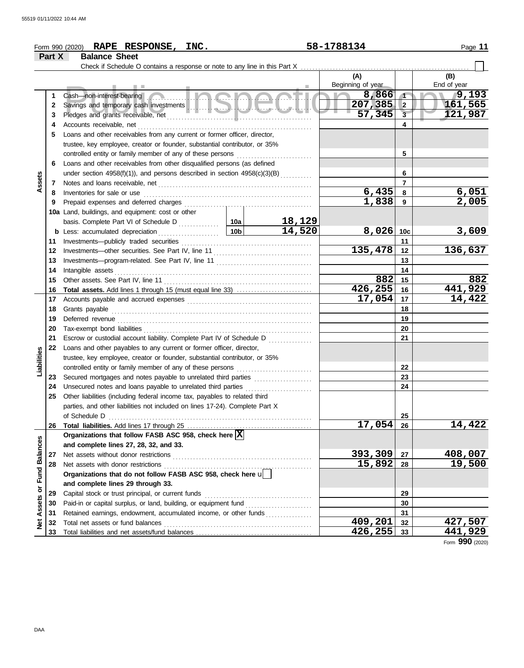|                      |        | Form 990 (2020) RAPE RESPONSE, INC.                                                                                                                                                                                                      |                 | 58-1788134 |                   | Page 11              |                |
|----------------------|--------|------------------------------------------------------------------------------------------------------------------------------------------------------------------------------------------------------------------------------------------|-----------------|------------|-------------------|----------------------|----------------|
|                      | Part X | <b>Balance Sheet</b>                                                                                                                                                                                                                     |                 |            |                   |                      |                |
|                      |        | Check if Schedule O contains a response or note to any line in this Part X                                                                                                                                                               |                 |            |                   |                      |                |
|                      |        |                                                                                                                                                                                                                                          |                 |            | (A)               |                      | (B)            |
|                      |        |                                                                                                                                                                                                                                          |                 |            | Beginning of year |                      | End of year    |
|                      | 1      | Cash—non-interest-bearing Communication Communication Communication                                                                                                                                                                      |                 |            | 8,866             | $\blacktriangleleft$ | 79,193         |
|                      | 2      |                                                                                                                                                                                                                                          |                 |            | 207,385           | $\overline{2}$       | 161,565        |
|                      | 3      |                                                                                                                                                                                                                                          |                 |            | 57,345            | $\overline{3}$       | 121,987        |
|                      | 4      | Accounts receivable, net                                                                                                                                                                                                                 |                 |            |                   | 4                    |                |
|                      | 5      | Loans and other receivables from any current or former officer, director,                                                                                                                                                                |                 |            |                   |                      |                |
|                      |        | trustee, key employee, creator or founder, substantial contributor, or 35%                                                                                                                                                               |                 |            |                   |                      |                |
|                      |        | controlled entity or family member of any of these persons                                                                                                                                                                               |                 |            |                   | 5                    |                |
|                      | 6      | Loans and other receivables from other disqualified persons (as defined                                                                                                                                                                  |                 |            |                   |                      |                |
|                      |        | under section 4958(f)(1)), and persons described in section 4958(c)(3)(B)                                                                                                                                                                |                 |            |                   | 6                    |                |
| Assets               | 7      |                                                                                                                                                                                                                                          |                 |            |                   | 7                    |                |
|                      | 8      | Inventories for sale or use <i>contained a contained a series</i> of the sale or use <i>contained a series</i> and the series of the series of the series of the series of the series of the series of the series of the series of the s |                 |            | 6,435             | 8                    | 6,051          |
|                      | 9      |                                                                                                                                                                                                                                          |                 |            | 1,838             | 9                    | 2,005          |
|                      |        | 10a Land, buildings, and equipment: cost or other                                                                                                                                                                                        |                 |            |                   |                      |                |
|                      |        |                                                                                                                                                                                                                                          |                 | 18,129     |                   |                      |                |
|                      |        | <b>b</b> Less: accumulated depreciation<br>.                                                                                                                                                                                             | 10 <sub>b</sub> | 14,520     | 8,026             | 10 <sub>c</sub>      | 3,609          |
|                      | 11     |                                                                                                                                                                                                                                          |                 | 11         |                   |                      |                |
|                      | 12     |                                                                                                                                                                                                                                          |                 | 135,478    | 12                | 136,637              |                |
|                      | 13     |                                                                                                                                                                                                                                          |                 | 13         |                   |                      |                |
|                      | 14     | Intangible assets                                                                                                                                                                                                                        |                 |            | 14                |                      |                |
|                      | 15     |                                                                                                                                                                                                                                          |                 |            | 882               | 15                   | 882            |
|                      | 16     | <b>Total assets.</b> Add lines 1 through 15 (must equal line 33)                                                                                                                                                                         |                 |            | 426,255           | 16                   | 441,929        |
|                      | 17     |                                                                                                                                                                                                                                          |                 |            | 17,054            | 17                   | 14,422         |
|                      | 18     |                                                                                                                                                                                                                                          |                 |            | 18                |                      |                |
|                      | 19     |                                                                                                                                                                                                                                          |                 |            |                   | 19                   |                |
|                      | 20     |                                                                                                                                                                                                                                          |                 |            |                   | 20                   |                |
|                      | 21     | Escrow or custodial account liability. Complete Part IV of Schedule D                                                                                                                                                                    |                 |            |                   | 21                   |                |
|                      | 22     | Loans and other payables to any current or former officer, director,                                                                                                                                                                     |                 |            |                   |                      |                |
|                      |        | trustee, key employee, creator or founder, substantial contributor, or 35%                                                                                                                                                               |                 |            |                   |                      |                |
| Liabilities          |        | controlled entity or family member of any of these persons                                                                                                                                                                               |                 |            |                   | 22                   |                |
|                      | 23     |                                                                                                                                                                                                                                          |                 |            |                   | 23                   |                |
|                      | 24     | Unsecured notes and loans payable to unrelated third parties                                                                                                                                                                             |                 |            |                   | 24                   |                |
|                      | 25     | Other liabilities (including federal income tax, payables to related third                                                                                                                                                               |                 |            |                   |                      |                |
|                      |        | parties, and other liabilities not included on lines 17-24). Complete Part X                                                                                                                                                             |                 |            |                   |                      |                |
|                      |        |                                                                                                                                                                                                                                          |                 |            |                   | 25                   |                |
|                      | 26     |                                                                                                                                                                                                                                          |                 |            | 17,054            | 26                   | 14,422         |
|                      |        | Organizations that follow FASB ASC 958, check here $ X $                                                                                                                                                                                 |                 |            |                   |                      |                |
|                      |        | and complete lines 27, 28, 32, and 33.                                                                                                                                                                                                   |                 |            |                   |                      |                |
|                      | 27     | Net assets without donor restrictions                                                                                                                                                                                                    |                 |            | 393,309           | 27                   | 408,007        |
|                      | 28     |                                                                                                                                                                                                                                          |                 |            | 15,892            | 28                   | 19,500         |
| <b>Fund Balances</b> |        | Organizations that do not follow FASB ASC 958, check here u                                                                                                                                                                              |                 |            |                   |                      |                |
|                      |        | and complete lines 29 through 33.                                                                                                                                                                                                        |                 |            |                   |                      |                |
| ŏ                    | 29     | Capital stock or trust principal, or current funds                                                                                                                                                                                       |                 |            |                   | 29                   |                |
| Assets               | 30     |                                                                                                                                                                                                                                          |                 |            |                   | 30                   |                |
|                      | 31     | Retained earnings, endowment, accumulated income, or other funds                                                                                                                                                                         |                 |            |                   | 31                   |                |
| <b>Net</b>           | 32     |                                                                                                                                                                                                                                          |                 |            | 409,201           | 32                   | 427,507        |
|                      | 33     |                                                                                                                                                                                                                                          |                 |            | 426,255           | 33                   | <u>441,929</u> |

Form **990** (2020)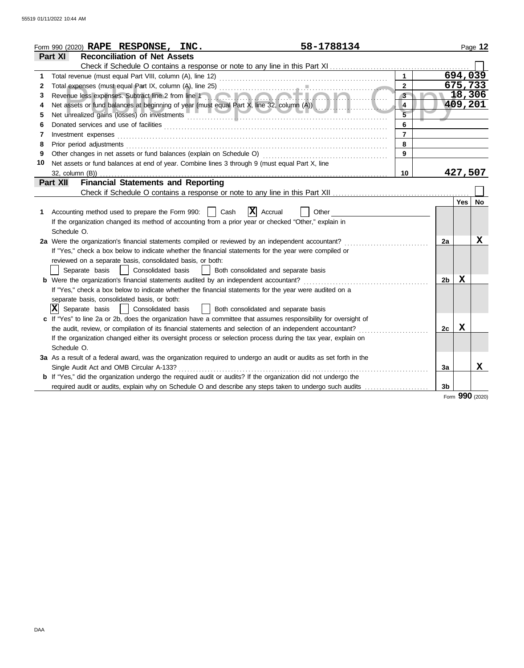|    | 58-1788134<br>Form 990 (2020) RAPE RESPONSE, INC.                                                                                                                                                                              |                         |                |            | Page 12 |
|----|--------------------------------------------------------------------------------------------------------------------------------------------------------------------------------------------------------------------------------|-------------------------|----------------|------------|---------|
|    | <b>Reconciliation of Net Assets</b><br><b>Part XI</b>                                                                                                                                                                          |                         |                |            |         |
|    |                                                                                                                                                                                                                                |                         |                |            |         |
| 1  |                                                                                                                                                                                                                                | $\mathbf{1}$            |                | 694,039    |         |
| 2  | Total expenses (must equal Part IX, column (A), line 25) [Contract responses to the contract response to the contract response to the contract response of the contract response of the contract response of the contract resp | $\overline{2}$          |                | 675,733    |         |
| 3  | Revenue less expenses. Subtract line 2 from line 1                                                                                                                                                                             | $3 -$                   |                | 18,306     |         |
| 4  | Net assets or fund balances at beginning of year (must equal Part X, line 32, column (A))                                                                                                                                      | $\overline{\mathbf{4}}$ |                | 409,201    |         |
| 5  |                                                                                                                                                                                                                                | $\overline{5}$          |                |            |         |
| 6  |                                                                                                                                                                                                                                | 6                       |                |            |         |
| 7  | Investment expenses <b>constant expenses constant expenses constant expenses constant expenses</b>                                                                                                                             | $\overline{7}$          |                |            |         |
| 8  |                                                                                                                                                                                                                                | 8                       |                |            |         |
| 9  |                                                                                                                                                                                                                                | $\mathbf{9}$            |                |            |         |
| 10 | Net assets or fund balances at end of year. Combine lines 3 through 9 (must equal Part X, line                                                                                                                                 |                         |                |            |         |
|    | 32, column (B))                                                                                                                                                                                                                | 10                      |                | 427,507    |         |
|    | <b>Financial Statements and Reporting</b><br><b>Part XII</b>                                                                                                                                                                   |                         |                |            |         |
|    |                                                                                                                                                                                                                                |                         |                |            |         |
|    |                                                                                                                                                                                                                                |                         |                | Yes        | No      |
| 1. | $\mathbf{X}$ Accrual<br>Cash<br>Accounting method used to prepare the Form 990:    <br>Other                                                                                                                                   |                         |                |            |         |
|    | If the organization changed its method of accounting from a prior year or checked "Other," explain in                                                                                                                          |                         |                |            |         |
|    | Schedule O.                                                                                                                                                                                                                    |                         |                |            |         |
|    | 2a Were the organization's financial statements compiled or reviewed by an independent accountant?                                                                                                                             |                         | 2a             |            | x       |
|    | If "Yes," check a box below to indicate whether the financial statements for the year were compiled or                                                                                                                         |                         |                |            |         |
|    | reviewed on a separate basis, consolidated basis, or both:                                                                                                                                                                     |                         |                |            |         |
|    | Consolidated basis<br>Both consolidated and separate basis<br>Separate basis                                                                                                                                                   |                         |                |            |         |
|    | <b>b</b> Were the organization's financial statements audited by an independent accountant?                                                                                                                                    |                         | 2 <sub>b</sub> | х          |         |
|    | If "Yes," check a box below to indicate whether the financial statements for the year were audited on a                                                                                                                        |                         |                |            |         |
|    | separate basis, consolidated basis, or both:                                                                                                                                                                                   |                         |                |            |         |
|    | $ \mathbf{X} $ Separate basis<br>Consolidated basis<br>  Both consolidated and separate basis                                                                                                                                  |                         |                |            |         |
|    | c If "Yes" to line 2a or 2b, does the organization have a committee that assumes responsibility for oversight of                                                                                                               |                         |                |            |         |
|    | the audit, review, or compilation of its financial statements and selection of an independent accountant?                                                                                                                      |                         | 2c             | х          |         |
|    | If the organization changed either its oversight process or selection process during the tax year, explain on                                                                                                                  |                         |                |            |         |
|    | Schedule O.                                                                                                                                                                                                                    |                         |                |            |         |
|    |                                                                                                                                                                                                                                |                         |                |            |         |
|    | 3a As a result of a federal award, was the organization required to undergo an audit or audits as set forth in the                                                                                                             |                         |                |            | X       |
|    | Single Audit Act and OMB Circular A-133?                                                                                                                                                                                       |                         | 3a             |            |         |
|    | <b>b</b> If "Yes," did the organization undergo the required audit or audits? If the organization did not undergo the                                                                                                          |                         |                |            |         |
|    |                                                                                                                                                                                                                                |                         | 3b             | <b>agn</b> |         |

## Form **990** (2020)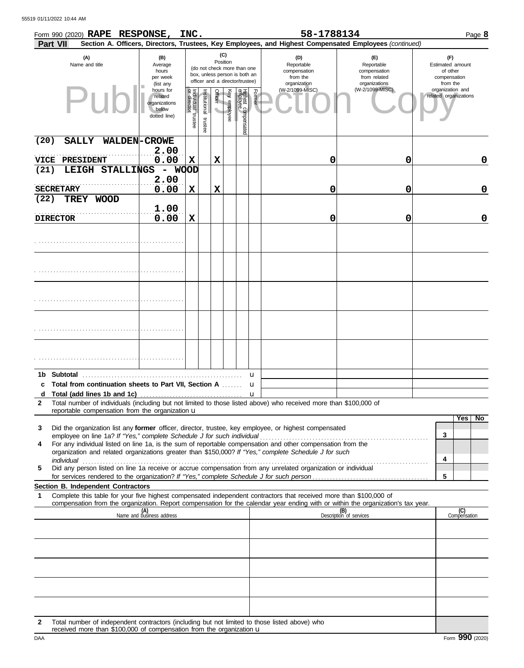| (C)<br>(A)<br>(B)<br>(D)<br>(E)<br>(F)<br>Position<br>Name and title<br>Reportable<br>Reportable<br>Estimated amount<br>Average<br>(do not check more than one<br>hours<br>compensation<br>compensation<br>of other<br>box, unless person is both an<br>from the<br>from related<br>per week<br>compensation<br>officer and a director/trustee)<br>organization<br>organizations<br>from the<br>(list any<br>(W-2/1099-MISC)<br>(W-2/1099-MISC)<br>organization and<br>hours for<br>Individual trustee<br>or director<br><b>Officer</b><br>Key employee<br>Highest compensated<br>employee<br>Former<br>nstitutional trustee<br>related organizations<br>related<br>organizations<br>$\overline{\phantom{0}}$<br>below<br>dotted line)<br>(20)<br>SALLY WALDEN-CROWE<br>2.00<br>0.00<br>X<br>X<br>0<br>0<br>VICE<br><b>PRESIDENT</b><br>0<br>(21)<br>LEIGH STALLINGS<br>- WOOD<br>2.00<br>0.00<br>$\mathbf x$<br>$\mathbf 0$<br><b>SECRETARY</b><br>X<br>0<br>0<br>(22)<br>TREY WOOD |
|--------------------------------------------------------------------------------------------------------------------------------------------------------------------------------------------------------------------------------------------------------------------------------------------------------------------------------------------------------------------------------------------------------------------------------------------------------------------------------------------------------------------------------------------------------------------------------------------------------------------------------------------------------------------------------------------------------------------------------------------------------------------------------------------------------------------------------------------------------------------------------------------------------------------------------------------------------------------------------------|
|                                                                                                                                                                                                                                                                                                                                                                                                                                                                                                                                                                                                                                                                                                                                                                                                                                                                                                                                                                                      |
|                                                                                                                                                                                                                                                                                                                                                                                                                                                                                                                                                                                                                                                                                                                                                                                                                                                                                                                                                                                      |
|                                                                                                                                                                                                                                                                                                                                                                                                                                                                                                                                                                                                                                                                                                                                                                                                                                                                                                                                                                                      |
|                                                                                                                                                                                                                                                                                                                                                                                                                                                                                                                                                                                                                                                                                                                                                                                                                                                                                                                                                                                      |
|                                                                                                                                                                                                                                                                                                                                                                                                                                                                                                                                                                                                                                                                                                                                                                                                                                                                                                                                                                                      |
|                                                                                                                                                                                                                                                                                                                                                                                                                                                                                                                                                                                                                                                                                                                                                                                                                                                                                                                                                                                      |
|                                                                                                                                                                                                                                                                                                                                                                                                                                                                                                                                                                                                                                                                                                                                                                                                                                                                                                                                                                                      |
| 1.00<br>0.00<br>0<br>X<br>0<br><b>DIRECTOR</b><br>0                                                                                                                                                                                                                                                                                                                                                                                                                                                                                                                                                                                                                                                                                                                                                                                                                                                                                                                                  |
|                                                                                                                                                                                                                                                                                                                                                                                                                                                                                                                                                                                                                                                                                                                                                                                                                                                                                                                                                                                      |
|                                                                                                                                                                                                                                                                                                                                                                                                                                                                                                                                                                                                                                                                                                                                                                                                                                                                                                                                                                                      |
|                                                                                                                                                                                                                                                                                                                                                                                                                                                                                                                                                                                                                                                                                                                                                                                                                                                                                                                                                                                      |
|                                                                                                                                                                                                                                                                                                                                                                                                                                                                                                                                                                                                                                                                                                                                                                                                                                                                                                                                                                                      |
|                                                                                                                                                                                                                                                                                                                                                                                                                                                                                                                                                                                                                                                                                                                                                                                                                                                                                                                                                                                      |
| <b>Subtotal</b><br>1b.<br>u                                                                                                                                                                                                                                                                                                                                                                                                                                                                                                                                                                                                                                                                                                                                                                                                                                                                                                                                                          |
| Total from continuation sheets to Part VII, Section A<br>c<br>u                                                                                                                                                                                                                                                                                                                                                                                                                                                                                                                                                                                                                                                                                                                                                                                                                                                                                                                      |
| u<br>d<br>Total number of individuals (including but not limited to those listed above) who received more than \$100,000 of<br>$\mathbf{2}$                                                                                                                                                                                                                                                                                                                                                                                                                                                                                                                                                                                                                                                                                                                                                                                                                                          |
| reportable compensation from the organization $\mathbf u$                                                                                                                                                                                                                                                                                                                                                                                                                                                                                                                                                                                                                                                                                                                                                                                                                                                                                                                            |
| Yes l<br><b>No</b><br>Did the organization list any former officer, director, trustee, key employee, or highest compensated<br>3                                                                                                                                                                                                                                                                                                                                                                                                                                                                                                                                                                                                                                                                                                                                                                                                                                                     |
| 3                                                                                                                                                                                                                                                                                                                                                                                                                                                                                                                                                                                                                                                                                                                                                                                                                                                                                                                                                                                    |
| For any individual listed on line 1a, is the sum of reportable compensation and other compensation from the<br>4<br>organization and related organizations greater than \$150,000? If "Yes," complete Schedule J for such                                                                                                                                                                                                                                                                                                                                                                                                                                                                                                                                                                                                                                                                                                                                                            |
| 4<br>individual<br>individual<br>Did any person listed on line 1a receive or accrue compensation from any unrelated organization or individual<br>5                                                                                                                                                                                                                                                                                                                                                                                                                                                                                                                                                                                                                                                                                                                                                                                                                                  |
| 5                                                                                                                                                                                                                                                                                                                                                                                                                                                                                                                                                                                                                                                                                                                                                                                                                                                                                                                                                                                    |
| Section B. Independent Contractors<br>Complete this table for your five highest compensated independent contractors that received more than \$100,000 of                                                                                                                                                                                                                                                                                                                                                                                                                                                                                                                                                                                                                                                                                                                                                                                                                             |
| 1<br>compensation from the organization. Report compensation for the calendar year ending with or within the organization's tax year.                                                                                                                                                                                                                                                                                                                                                                                                                                                                                                                                                                                                                                                                                                                                                                                                                                                |
| (C)<br>Compensation<br>(B)<br>Description of services<br>(A)<br>Name and business address                                                                                                                                                                                                                                                                                                                                                                                                                                                                                                                                                                                                                                                                                                                                                                                                                                                                                            |
|                                                                                                                                                                                                                                                                                                                                                                                                                                                                                                                                                                                                                                                                                                                                                                                                                                                                                                                                                                                      |
|                                                                                                                                                                                                                                                                                                                                                                                                                                                                                                                                                                                                                                                                                                                                                                                                                                                                                                                                                                                      |
|                                                                                                                                                                                                                                                                                                                                                                                                                                                                                                                                                                                                                                                                                                                                                                                                                                                                                                                                                                                      |
|                                                                                                                                                                                                                                                                                                                                                                                                                                                                                                                                                                                                                                                                                                                                                                                                                                                                                                                                                                                      |
| Total number of independent contractors (including but not limited to those listed above) who<br>2                                                                                                                                                                                                                                                                                                                                                                                                                                                                                                                                                                                                                                                                                                                                                                                                                                                                                   |

received more than \$100,000 of compensation from the organization u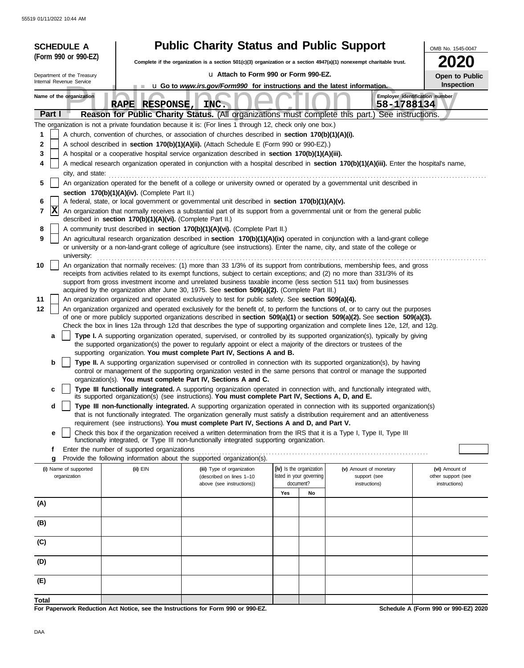| <b>SCHEDULE A</b>          |                                                                                                                                                                                                | <b>Public Charity Status and Public Support</b>                                                                                                                                                                                                                                                                  |     |                          |                        | OMB No. 1545-0047                    |  |  |
|----------------------------|------------------------------------------------------------------------------------------------------------------------------------------------------------------------------------------------|------------------------------------------------------------------------------------------------------------------------------------------------------------------------------------------------------------------------------------------------------------------------------------------------------------------|-----|--------------------------|------------------------|--------------------------------------|--|--|
| (Form 990 or 990-EZ)       |                                                                                                                                                                                                | Complete if the organization is a section 501(c)(3) organization or a section 4947(a)(1) nonexempt charitable trust.                                                                                                                                                                                             |     |                          |                        |                                      |  |  |
| Department of the Treasury |                                                                                                                                                                                                | u Attach to Form 990 or Form 990-EZ.                                                                                                                                                                                                                                                                             |     |                          |                        | Open to Public                       |  |  |
| Internal Revenue Service   |                                                                                                                                                                                                | u Go to www.irs.gov/Form990 for instructions and the latest information.                                                                                                                                                                                                                                         |     |                          |                        | Inspection                           |  |  |
| Name of the organization   | RAPE RESPONSE, INC.                                                                                                                                                                            |                                                                                                                                                                                                                                                                                                                  |     |                          | 58-1788134             | Employer identification number       |  |  |
| Part I                     |                                                                                                                                                                                                | Reason for Public Charity Status. (All organizations must complete this part.) See instructions.                                                                                                                                                                                                                 |     |                          |                        |                                      |  |  |
|                            |                                                                                                                                                                                                | The organization is not a private foundation because it is: (For lines 1 through 12, check only one box.)                                                                                                                                                                                                        |     |                          |                        |                                      |  |  |
| 1<br>2                     |                                                                                                                                                                                                | A church, convention of churches, or association of churches described in section 170(b)(1)(A)(i).                                                                                                                                                                                                               |     |                          |                        |                                      |  |  |
| 3                          | A school described in section 170(b)(1)(A)(ii). (Attach Schedule E (Form 990 or 990-EZ).)<br>A hospital or a cooperative hospital service organization described in section 170(b)(1)(A)(iii). |                                                                                                                                                                                                                                                                                                                  |     |                          |                        |                                      |  |  |
| 4                          | A medical research organization operated in conjunction with a hospital described in section 170(b)(1)(A)(iii). Enter the hospital's name,                                                     |                                                                                                                                                                                                                                                                                                                  |     |                          |                        |                                      |  |  |
| city, and state:<br>5      |                                                                                                                                                                                                | An organization operated for the benefit of a college or university owned or operated by a governmental unit described in                                                                                                                                                                                        |     |                          |                        |                                      |  |  |
|                            | section 170(b)(1)(A)(iv). (Complete Part II.)                                                                                                                                                  |                                                                                                                                                                                                                                                                                                                  |     |                          |                        |                                      |  |  |
| 6<br>$ {\bf X} $<br>7      |                                                                                                                                                                                                | A federal, state, or local government or governmental unit described in section 170(b)(1)(A)(v).<br>An organization that normally receives a substantial part of its support from a governmental unit or from the general public                                                                                 |     |                          |                        |                                      |  |  |
|                            | described in section 170(b)(1)(A)(vi). (Complete Part II.)                                                                                                                                     |                                                                                                                                                                                                                                                                                                                  |     |                          |                        |                                      |  |  |
| 8<br>9                     |                                                                                                                                                                                                | A community trust described in section 170(b)(1)(A)(vi). (Complete Part II.)<br>An agricultural research organization described in section 170(b)(1)(A)(ix) operated in conjunction with a land-grant college                                                                                                    |     |                          |                        |                                      |  |  |
| university:                |                                                                                                                                                                                                | or university or a non-land-grant college of agriculture (see instructions). Enter the name, city, and state of the college or                                                                                                                                                                                   |     |                          |                        |                                      |  |  |
| 10                         |                                                                                                                                                                                                | An organization that normally receives: (1) more than 33 1/3% of its support from contributions, membership fees, and gross                                                                                                                                                                                      |     |                          |                        |                                      |  |  |
|                            |                                                                                                                                                                                                | receipts from activities related to its exempt functions, subject to certain exceptions; and (2) no more than 331/3% of its<br>support from gross investment income and unrelated business taxable income (less section 511 tax) from businesses                                                                 |     |                          |                        |                                      |  |  |
|                            |                                                                                                                                                                                                | acquired by the organization after June 30, 1975. See section 509(a)(2). (Complete Part III.)                                                                                                                                                                                                                    |     |                          |                        |                                      |  |  |
| 11                         |                                                                                                                                                                                                | An organization organized and operated exclusively to test for public safety. See section 509(a)(4).                                                                                                                                                                                                             |     |                          |                        |                                      |  |  |
| 12                         |                                                                                                                                                                                                | An organization organized and operated exclusively for the benefit of, to perform the functions of, or to carry out the purposes<br>of one or more publicly supported organizations described in section 509(a)(1) or section 509(a)(2). See section 509(a)(3).                                                  |     |                          |                        |                                      |  |  |
|                            |                                                                                                                                                                                                | Check the box in lines 12a through 12d that describes the type of supporting organization and complete lines 12e, 12f, and 12g.                                                                                                                                                                                  |     |                          |                        |                                      |  |  |
| a                          |                                                                                                                                                                                                | Type I. A supporting organization operated, supervised, or controlled by its supported organization(s), typically by giving<br>the supported organization(s) the power to regularly appoint or elect a majority of the directors or trustees of the                                                              |     |                          |                        |                                      |  |  |
|                            |                                                                                                                                                                                                | supporting organization. You must complete Part IV, Sections A and B.                                                                                                                                                                                                                                            |     |                          |                        |                                      |  |  |
| b                          |                                                                                                                                                                                                | Type II. A supporting organization supervised or controlled in connection with its supported organization(s), by having<br>control or management of the supporting organization vested in the same persons that control or manage the supported<br>organization(s). You must complete Part IV, Sections A and C. |     |                          |                        |                                      |  |  |
| с                          |                                                                                                                                                                                                | Type III functionally integrated. A supporting organization operated in connection with, and functionally integrated with,<br>its supported organization(s) (see instructions). You must complete Part IV, Sections A, D, and E.                                                                                 |     |                          |                        |                                      |  |  |
| d                          |                                                                                                                                                                                                | Type III non-functionally integrated. A supporting organization operated in connection with its supported organization(s)<br>that is not functionally integrated. The organization generally must satisfy a distribution requirement and an attentiveness                                                        |     |                          |                        |                                      |  |  |
|                            |                                                                                                                                                                                                | requirement (see instructions). You must complete Part IV, Sections A and D, and Part V.                                                                                                                                                                                                                         |     |                          |                        |                                      |  |  |
| е                          |                                                                                                                                                                                                | Check this box if the organization received a written determination from the IRS that it is a Type I, Type II, Type III<br>functionally integrated, or Type III non-functionally integrated supporting organization.                                                                                             |     |                          |                        |                                      |  |  |
| f                          | Enter the number of supported organizations                                                                                                                                                    |                                                                                                                                                                                                                                                                                                                  |     |                          |                        |                                      |  |  |
| g<br>(i) Name of supported | $(ii)$ EIN                                                                                                                                                                                     | Provide the following information about the supported organization(s).<br>(iii) Type of organization                                                                                                                                                                                                             |     | (iv) Is the organization | (v) Amount of monetary | (vi) Amount of                       |  |  |
| organization               |                                                                                                                                                                                                | (described on lines 1-10                                                                                                                                                                                                                                                                                         |     | listed in your governing | support (see           | other support (see                   |  |  |
|                            |                                                                                                                                                                                                | above (see instructions))                                                                                                                                                                                                                                                                                        | Yes | document?<br>No          | instructions)          | instructions)                        |  |  |
| (A)                        |                                                                                                                                                                                                |                                                                                                                                                                                                                                                                                                                  |     |                          |                        |                                      |  |  |
| (B)                        |                                                                                                                                                                                                |                                                                                                                                                                                                                                                                                                                  |     |                          |                        |                                      |  |  |
|                            |                                                                                                                                                                                                |                                                                                                                                                                                                                                                                                                                  |     |                          |                        |                                      |  |  |
| (C)                        |                                                                                                                                                                                                |                                                                                                                                                                                                                                                                                                                  |     |                          |                        |                                      |  |  |
| (D)                        |                                                                                                                                                                                                |                                                                                                                                                                                                                                                                                                                  |     |                          |                        |                                      |  |  |
| (E)                        |                                                                                                                                                                                                |                                                                                                                                                                                                                                                                                                                  |     |                          |                        |                                      |  |  |
| Total                      |                                                                                                                                                                                                | For Paperwork Reduction Act Notice, see the Instructions for Form 990 or 990-EZ.                                                                                                                                                                                                                                 |     |                          |                        | Schedule A (Form 990 or 990-EZ) 2020 |  |  |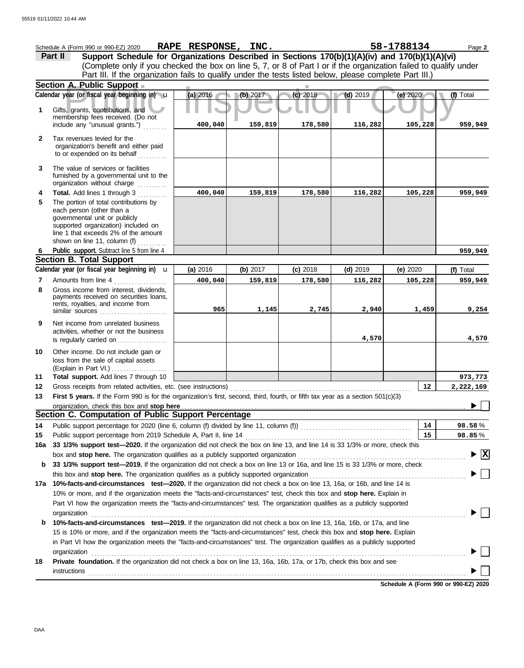|              | Schedule A (Form 990 or 990-EZ) 2020                                                                                                                                                                                                      | RAPE RESPONSE, INC. |          |            |            | 58-1788134 | Page 2                             |
|--------------|-------------------------------------------------------------------------------------------------------------------------------------------------------------------------------------------------------------------------------------------|---------------------|----------|------------|------------|------------|------------------------------------|
|              | Support Schedule for Organizations Described in Sections 170(b)(1)(A)(iv) and 170(b)(1)(A)(vi)<br>Part II                                                                                                                                 |                     |          |            |            |            |                                    |
|              | (Complete only if you checked the box on line 5, 7, or 8 of Part I or if the organization failed to qualify under                                                                                                                         |                     |          |            |            |            |                                    |
|              | Part III. If the organization fails to qualify under the tests listed below, please complete Part III.)                                                                                                                                   |                     |          |            |            |            |                                    |
|              | Section A. Public Support                                                                                                                                                                                                                 |                     |          |            |            |            |                                    |
|              | Calendar year (or fiscal year beginning in) u                                                                                                                                                                                             | (a) 2016            | (b) 2017 | (c) 2018   | $(d)$ 2019 | (e) 2020   | (f) Total                          |
| 1            | Gifts, grants, contributions, and                                                                                                                                                                                                         |                     |          |            |            |            |                                    |
|              | membership fees received. (Do not                                                                                                                                                                                                         | 400,040             |          |            | 116,282    | 105,228    |                                    |
|              | include any "unusual grants.")                                                                                                                                                                                                            |                     | 159,819  | 178,580    |            |            | 959,949                            |
| $\mathbf{2}$ | Tax revenues levied for the                                                                                                                                                                                                               |                     |          |            |            |            |                                    |
|              | organization's benefit and either paid<br>to or expended on its behalf                                                                                                                                                                    |                     |          |            |            |            |                                    |
|              |                                                                                                                                                                                                                                           |                     |          |            |            |            |                                    |
| 3            | The value of services or facilities<br>furnished by a governmental unit to the                                                                                                                                                            |                     |          |            |            |            |                                    |
|              | organization without charge                                                                                                                                                                                                               |                     |          |            |            |            |                                    |
| 4            | Total. Add lines 1 through 3                                                                                                                                                                                                              | 400,040             | 159,819  | 178,580    | 116,282    | 105,228    | 959,949                            |
| 5            | The portion of total contributions by                                                                                                                                                                                                     |                     |          |            |            |            |                                    |
|              | each person (other than a<br>governmental unit or publicly                                                                                                                                                                                |                     |          |            |            |            |                                    |
|              | supported organization) included on                                                                                                                                                                                                       |                     |          |            |            |            |                                    |
|              | line 1 that exceeds 2% of the amount                                                                                                                                                                                                      |                     |          |            |            |            |                                    |
| 6            | shown on line 11, column (f) $\ldots$<br>Public support. Subtract line 5 from line 4.                                                                                                                                                     |                     |          |            |            |            | 959,949                            |
|              | <b>Section B. Total Support</b>                                                                                                                                                                                                           |                     |          |            |            |            |                                    |
|              | Calendar year (or fiscal year beginning in) <b>u</b>                                                                                                                                                                                      | (a) 2016            | (b) 2017 | $(c)$ 2018 | $(d)$ 2019 | (e) 2020   | (f) Total                          |
| 7            | Amounts from line 4                                                                                                                                                                                                                       | 400,040             | 159,819  | 178,580    | 116,282    | 105,228    | 959,949                            |
| 8            | Gross income from interest, dividends,                                                                                                                                                                                                    |                     |          |            |            |            |                                    |
|              | payments received on securities loans,<br>rents, royalties, and income from                                                                                                                                                               |                     |          |            |            |            |                                    |
|              |                                                                                                                                                                                                                                           | 965                 | 1,145    | 2,745      | 2,940      | 1,459      | 9,254                              |
| 9            | Net income from unrelated business                                                                                                                                                                                                        |                     |          |            |            |            |                                    |
|              | activities, whether or not the business                                                                                                                                                                                                   |                     |          |            |            |            |                                    |
|              | is regularly carried on                                                                                                                                                                                                                   |                     |          |            | 4,570      |            | 4,570                              |
| 10           | Other income. Do not include gain or                                                                                                                                                                                                      |                     |          |            |            |            |                                    |
|              | loss from the sale of capital assets<br>(Explain in Part VI.)                                                                                                                                                                             |                     |          |            |            |            |                                    |
| 11           | Total support. Add lines 7 through 10                                                                                                                                                                                                     |                     |          |            |            |            | 973,773                            |
| 12           | Gross receipts from related activities, etc. (see instructions)                                                                                                                                                                           |                     |          |            |            | 12         | 2,222,169                          |
| 13           | First 5 years. If the Form 990 is for the organization's first, second, third, fourth, or fifth tax year as a section 501(c)(3)                                                                                                           |                     |          |            |            |            |                                    |
|              |                                                                                                                                                                                                                                           |                     |          |            |            |            |                                    |
|              | Section C. Computation of Public Support Percentage                                                                                                                                                                                       |                     |          |            |            |            |                                    |
| 14           | Public support percentage for 2020 (line 6, column (f) divided by line 11, column (f) [[[[[[[[[[[[[[[[[[[[[[[                                                                                                                             |                     |          |            |            | 14         | 98.58%                             |
| 15           |                                                                                                                                                                                                                                           |                     |          |            |            | 15         | 98.85%                             |
| 16a          | 33 1/3% support test-2020. If the organization did not check the box on line 13, and line 14 is 33 1/3% or more, check this                                                                                                               |                     |          |            |            |            | $\blacktriangleright \overline{X}$ |
| b            | 33 1/3% support test-2019. If the organization did not check a box on line 13 or 16a, and line 15 is 33 1/3% or more, check                                                                                                               |                     |          |            |            |            |                                    |
|              |                                                                                                                                                                                                                                           |                     |          |            |            |            |                                    |
|              | 17a 10%-facts-and-circumstances test-2020. If the organization did not check a box on line 13, 16a, or 16b, and line 14 is                                                                                                                |                     |          |            |            |            |                                    |
|              | 10% or more, and if the organization meets the "facts-and-circumstances" test, check this box and stop here. Explain in                                                                                                                   |                     |          |            |            |            |                                    |
|              | Part VI how the organization meets the "facts-and-circumstances" test. The organization qualifies as a publicly supported                                                                                                                 |                     |          |            |            |            |                                    |
|              | organization<br><u>expanization</u>                                                                                                                                                                                                       |                     |          |            |            |            |                                    |
| b            | 10%-facts-and-circumstances test-2019. If the organization did not check a box on line 13, 16a, 16b, or 17a, and line                                                                                                                     |                     |          |            |            |            |                                    |
|              | 15 is 10% or more, and if the organization meets the "facts-and-circumstances" test, check this box and stop here. Explain                                                                                                                |                     |          |            |            |            |                                    |
|              | in Part VI how the organization meets the "facts-and-circumstances" test. The organization qualifies as a publicly supported                                                                                                              |                     |          |            |            |            |                                    |
|              | organization www.commutation.com/www.commutation.com/www.commutation.com/www.commutation.com/www.commutation.com<br>Private foundation. If the organization did not check a box on line 13, 16a, 16b, 17a, or 17b, check this box and see |                     |          |            |            |            |                                    |
| 18           |                                                                                                                                                                                                                                           |                     |          |            |            |            |                                    |
|              | <b>instructions</b>                                                                                                                                                                                                                       |                     |          |            |            |            |                                    |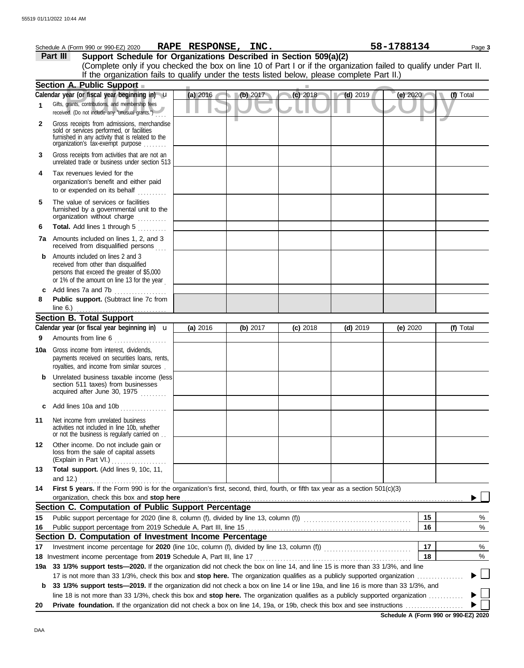|     | Schedule A (Form 990 or 990-EZ) 2020                                                                                                                                              | RAPE RESPONSE, INC. |          |            |                         | 58-1788134 | Page 3    |
|-----|-----------------------------------------------------------------------------------------------------------------------------------------------------------------------------------|---------------------|----------|------------|-------------------------|------------|-----------|
|     | Support Schedule for Organizations Described in Section 509(a)(2)<br>Part III                                                                                                     |                     |          |            |                         |            |           |
|     | (Complete only if you checked the box on line 10 of Part I or if the organization failed to qualify under Part II.                                                                |                     |          |            |                         |            |           |
|     | If the organization fails to qualify under the tests listed below, please complete Part II.)                                                                                      |                     |          |            |                         |            |           |
|     | <b>Section A. Public Support</b>                                                                                                                                                  |                     |          |            |                         |            |           |
|     | Calendar year (or fiscal year beginning in) u                                                                                                                                     | $(a)$ 2016          | (b) 2017 | (c) 2018   | $\blacksquare$ (d) 2019 | (e) 2020   | (f) Total |
| 1   | Gifts, grants, contributions, and membership fees<br>received. (Do not include any "unusual grants.")                                                                             |                     |          |            |                         |            |           |
| 2   | Gross receipts from admissions, merchandise<br>sold or services performed, or facilities<br>furnished in any activity that is related to the<br>organization's fax-exempt purpose |                     |          |            |                         |            |           |
| 3   | Gross receipts from activities that are not an<br>unrelated trade or business under section 513                                                                                   |                     |          |            |                         |            |           |
| 4   | Tax revenues levied for the<br>organization's benefit and either paid<br>to or expended on its behalf<br>.                                                                        |                     |          |            |                         |            |           |
| 5   | The value of services or facilities<br>furnished by a governmental unit to the<br>organization without charge                                                                     |                     |          |            |                         |            |           |
| 6   | Total. Add lines 1 through 5                                                                                                                                                      |                     |          |            |                         |            |           |
|     | <b>7a</b> Amounts included on lines 1, 2, and 3<br>received from disqualified persons                                                                                             |                     |          |            |                         |            |           |
| b   | Amounts included on lines 2 and 3<br>received from other than disqualified<br>persons that exceed the greater of \$5,000<br>or 1% of the amount on line 13 for the year           |                     |          |            |                         |            |           |
| c   | Add lines 7a and 7b                                                                                                                                                               |                     |          |            |                         |            |           |
| 8   | Public support. (Subtract line 7c from<br>line $6.$ )<br>.                                                                                                                        |                     |          |            |                         |            |           |
|     | <b>Section B. Total Support</b>                                                                                                                                                   |                     |          |            |                         |            |           |
|     | Calendar year (or fiscal year beginning in) $\mathbf u$                                                                                                                           | (a) 2016            | (b) 2017 | $(c)$ 2018 | $(d)$ 2019              | (e) $2020$ | (f) Total |
| 9   | Amounts from line 6                                                                                                                                                               |                     |          |            |                         |            |           |
| 10a | Gross income from interest, dividends,<br>payments received on securities loans, rents,<br>royalties, and income from similar sources.                                            |                     |          |            |                         |            |           |
|     | Unrelated business taxable income (less<br>section 511 taxes) from businesses<br>acquired after June 30, 1975                                                                     |                     |          |            |                         |            |           |
|     | Add lines 10a and 10b                                                                                                                                                             |                     |          |            |                         |            |           |
| 11  | Net income from unrelated business<br>activities not included in line 10b, whether<br>or not the business is regularly carried on                                                 |                     |          |            |                         |            |           |
| 12  | Other income. Do not include gain or<br>loss from the sale of capital assets<br>(Explain in Part VI.)<br>.                                                                        |                     |          |            |                         |            |           |
| 13  | Total support. (Add lines 9, 10c, 11,<br>and $12.$ )                                                                                                                              |                     |          |            |                         |            |           |
| 14  | First 5 years. If the Form 990 is for the organization's first, second, third, fourth, or fifth tax year as a section 501(c)(3)                                                   |                     |          |            |                         |            |           |
|     | organization, check this box and stop here<br>Section C. Computation of Public Support Percentage                                                                                 |                     |          |            |                         |            |           |
| 15  | Public support percentage for 2020 (line 8, column (f), divided by line 13, column (f)) [[[[[[[[[[[[[[[[[[[[[                                                                     |                     |          |            |                         | 15         | %         |
| 16  |                                                                                                                                                                                   |                     |          |            |                         | 16         | %         |
|     | Section D. Computation of Investment Income Percentage                                                                                                                            |                     |          |            |                         |            |           |
| 17  |                                                                                                                                                                                   |                     |          |            |                         | 17         | %         |
|     | 18 Investment income percentage from 2019 Schedule A, Part III, line 17                                                                                                           |                     |          |            |                         | 18         | %         |
| 19а | 33 1/3% support tests-2020. If the organization did not check the box on line 14, and line 15 is more than 33 1/3%, and line                                                      |                     |          |            |                         |            |           |
|     | 17 is not more than 33 1/3%, check this box and stop here. The organization qualifies as a publicly supported organization.                                                       |                     |          |            |                         |            |           |
| b   | 33 1/3% support tests—2019. If the organization did not check a box on line 14 or line 19a, and line 16 is more than 33 1/3%, and                                                 |                     |          |            |                         |            |           |
|     | line 18 is not more than 33 1/3%, check this box and stop here. The organization qualifies as a publicly supported organization                                                   |                     |          |            |                         |            |           |
| 20  |                                                                                                                                                                                   |                     |          |            |                         |            |           |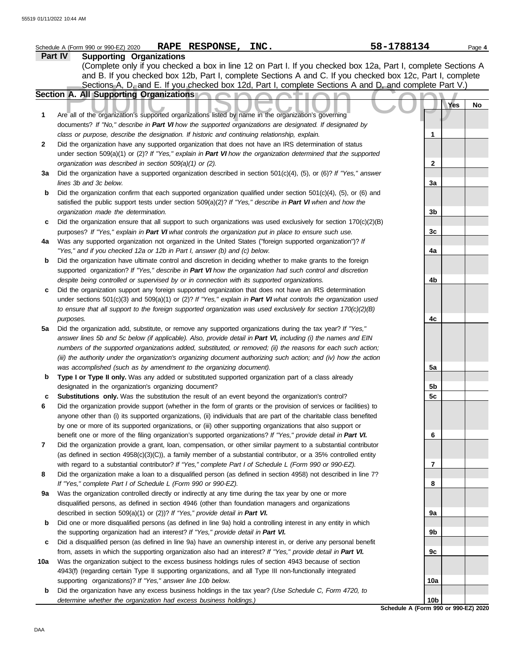|              | RAPE RESPONSE, INC.<br>Schedule A (Form 990 or 990-EZ) 2020                                                              | 58-1788134                                  | Page 4 |
|--------------|--------------------------------------------------------------------------------------------------------------------------|---------------------------------------------|--------|
|              | Part IV<br><b>Supporting Organizations</b>                                                                               |                                             |        |
|              | (Complete only if you checked a box in line 12 on Part I. If you checked box 12a, Part I, complete Sections A            |                                             |        |
|              | and B. If you checked box 12b, Part I, complete Sections A and C. If you checked box 12c, Part I, complete               |                                             |        |
|              | Sections A, D, and E. If you checked box 12d, Part I, complete Sections A and D, and complete Part V.)                   |                                             |        |
|              | Section A. All Supporting Organizations                                                                                  |                                             |        |
|              |                                                                                                                          | Yes                                         | No     |
| 1            | Are all of the organization's supported organizations listed by name in the organization's governing                     |                                             |        |
|              |                                                                                                                          |                                             |        |
|              | documents? If "No," describe in Part VI how the supported organizations are designated. If designated by                 |                                             |        |
|              | class or purpose, describe the designation. If historic and continuing relationship, explain.                            | 1                                           |        |
| $\mathbf{2}$ | Did the organization have any supported organization that does not have an IRS determination of status                   |                                             |        |
|              | under section 509(a)(1) or (2)? If "Yes," explain in Part VI how the organization determined that the supported          |                                             |        |
|              | organization was described in section 509(a)(1) or (2).                                                                  | $\mathbf{2}$                                |        |
| 3a           | Did the organization have a supported organization described in section 501(c)(4), (5), or (6)? If "Yes," answer         |                                             |        |
|              | lines 3b and 3c below.                                                                                                   | За                                          |        |
| $\mathbf b$  | Did the organization confirm that each supported organization qualified under section $501(c)(4)$ , $(5)$ , or $(6)$ and |                                             |        |
|              | satisfied the public support tests under section 509(a)(2)? If "Yes," describe in Part VI when and how the               |                                             |        |
|              | organization made the determination.                                                                                     | 3b                                          |        |
| c            | Did the organization ensure that all support to such organizations was used exclusively for section $170(c)(2)(B)$       |                                             |        |
|              | purposes? If "Yes," explain in Part VI what controls the organization put in place to ensure such use.                   | 3c                                          |        |
| 4a           | Was any supported organization not organized in the United States ("foreign supported organization")? If                 |                                             |        |
|              | "Yes," and if you checked 12a or 12b in Part I, answer (b) and (c) below.                                                | 4a                                          |        |
| b            | Did the organization have ultimate control and discretion in deciding whether to make grants to the foreign              |                                             |        |
|              | supported organization? If "Yes," describe in Part VI how the organization had such control and discretion               |                                             |        |
|              | despite being controlled or supervised by or in connection with its supported organizations.                             | 4b                                          |        |
|              |                                                                                                                          |                                             |        |
| c            | Did the organization support any foreign supported organization that does not have an IRS determination                  |                                             |        |
|              | under sections $501(c)(3)$ and $509(a)(1)$ or $(2)?$ If "Yes," explain in Part VI what controls the organization used    |                                             |        |
|              | to ensure that all support to the foreign supported organization was used exclusively for section $170(c)(2)(B)$         |                                             |        |
|              | purposes.                                                                                                                | 4c                                          |        |
| 5a           | Did the organization add, substitute, or remove any supported organizations during the tax year? If "Yes,"               |                                             |        |
|              | answer lines 5b and 5c below (if applicable). Also, provide detail in Part VI, including (i) the names and EIN           |                                             |        |
|              | numbers of the supported organizations added, substituted, or removed; (ii) the reasons for each such action;            |                                             |        |
|              | (iii) the authority under the organization's organizing document authorizing such action; and (iv) how the action        |                                             |        |
|              | was accomplished (such as by amendment to the organizing document).                                                      | 5a                                          |        |
| b            | Type I or Type II only. Was any added or substituted supported organization part of a class already                      |                                             |        |
|              | designated in the organization's organizing document?                                                                    | 5b                                          |        |
| с            | Substitutions only. Was the substitution the result of an event beyond the organization's control?                       | 5c                                          |        |
| 6            | Did the organization provide support (whether in the form of grants or the provision of services or facilities) to       |                                             |        |
|              | anyone other than (i) its supported organizations, (ii) individuals that are part of the charitable class benefited      |                                             |        |
|              | by one or more of its supported organizations, or (iii) other supporting organizations that also support or              |                                             |        |
|              | benefit one or more of the filing organization's supported organizations? If "Yes," provide detail in Part VI.           | 6                                           |        |
| 7            | Did the organization provide a grant, loan, compensation, or other similar payment to a substantial contributor          |                                             |        |
|              | (as defined in section $4958(c)(3)(C)$ ), a family member of a substantial contributor, or a 35% controlled entity       |                                             |        |
|              | with regard to a substantial contributor? If "Yes," complete Part I of Schedule L (Form 990 or 990-EZ).                  | 7                                           |        |
| 8            | Did the organization make a loan to a disqualified person (as defined in section 4958) not described in line 7?          |                                             |        |
|              | If "Yes," complete Part I of Schedule L (Form 990 or 990-EZ).                                                            | 8                                           |        |
| 9a           | Was the organization controlled directly or indirectly at any time during the tax year by one or more                    |                                             |        |
|              | disqualified persons, as defined in section 4946 (other than foundation managers and organizations                       |                                             |        |
|              | described in section 509(a)(1) or (2))? If "Yes," provide detail in Part VI.                                             | 9а                                          |        |
|              |                                                                                                                          |                                             |        |
| $\mathbf b$  | Did one or more disqualified persons (as defined in line 9a) hold a controlling interest in any entity in which          |                                             |        |
|              | the supporting organization had an interest? If "Yes," provide detail in Part VI.                                        | 9b                                          |        |
| c            | Did a disqualified person (as defined in line 9a) have an ownership interest in, or derive any personal benefit          |                                             |        |
|              | from, assets in which the supporting organization also had an interest? If "Yes," provide detail in Part VI.             | 9c                                          |        |
| 10a          | Was the organization subject to the excess business holdings rules of section 4943 because of section                    |                                             |        |
|              | 4943(f) (regarding certain Type II supporting organizations, and all Type III non-functionally integrated                |                                             |        |
|              | supporting organizations)? If "Yes," answer line 10b below.                                                              | 10a                                         |        |
| b            | Did the organization have any excess business holdings in the tax year? (Use Schedule C, Form 4720, to                   |                                             |        |
|              | determine whether the organization had excess business holdings.)                                                        | 10b<br>Schedule A (Form 990 or 990-F7) 2020 |        |
|              |                                                                                                                          |                                             |        |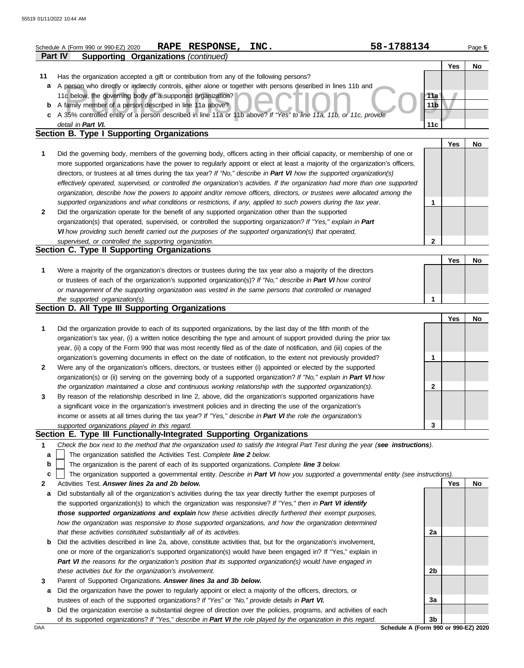|              | RAPE RESPONSE,<br>INC.<br>Schedule A (Form 990 or 990-EZ) 2020                                                                                                                                                                | 58-1788134      |     | Page 5 |
|--------------|-------------------------------------------------------------------------------------------------------------------------------------------------------------------------------------------------------------------------------|-----------------|-----|--------|
|              | <b>Supporting Organizations (continued)</b><br><b>Part IV</b>                                                                                                                                                                 |                 |     |        |
|              |                                                                                                                                                                                                                               |                 | Yes | No     |
| 11           | Has the organization accepted a gift or contribution from any of the following persons?                                                                                                                                       |                 |     |        |
| а            | A person who directly or indirectly controls, either alone or together with persons described in lines 11b and                                                                                                                |                 |     |        |
|              | 11c below, the governing body of a supported organization?                                                                                                                                                                    | 11a             |     |        |
| b            | A family member of a person described in line 11a above?                                                                                                                                                                      | 11 <sub>b</sub> |     |        |
| c            | A 35% controlled entity of a person described in line 11a or 11b above? If "Yes" to line 11a, 11b, or 11c, provide                                                                                                            |                 |     |        |
|              | detail in Part VI.                                                                                                                                                                                                            | 11c             |     |        |
|              | Section B. Type I Supporting Organizations                                                                                                                                                                                    |                 |     |        |
|              |                                                                                                                                                                                                                               |                 | Yes | No     |
| 1            | Did the governing body, members of the governing body, officers acting in their official capacity, or membership of one or                                                                                                    |                 |     |        |
|              | more supported organizations have the power to regularly appoint or elect at least a majority of the organization's officers,                                                                                                 |                 |     |        |
|              | directors, or trustees at all times during the tax year? If "No," describe in Part VI how the supported organization(s)                                                                                                       |                 |     |        |
|              | effectively operated, supervised, or controlled the organization's activities. If the organization had more than one supported                                                                                                |                 |     |        |
|              | organization, describe how the powers to appoint and/or remove officers, directors, or trustees were allocated among the                                                                                                      |                 |     |        |
|              | supported organizations and what conditions or restrictions, if any, applied to such powers during the tax year.                                                                                                              | 1               |     |        |
| $\mathbf{2}$ | Did the organization operate for the benefit of any supported organization other than the supported                                                                                                                           |                 |     |        |
|              | organization(s) that operated, supervised, or controlled the supporting organization? If "Yes," explain in Part                                                                                                               |                 |     |        |
|              | VI how providing such benefit carried out the purposes of the supported organization(s) that operated,                                                                                                                        |                 |     |        |
|              | supervised, or controlled the supporting organization.                                                                                                                                                                        | 2               |     |        |
|              | Section C. Type II Supporting Organizations                                                                                                                                                                                   |                 |     |        |
|              |                                                                                                                                                                                                                               |                 | Yes | No     |
| 1            | Were a majority of the organization's directors or trustees during the tax year also a majority of the directors                                                                                                              |                 |     |        |
|              | or trustees of each of the organization's supported organization(s)? If "No," describe in Part VI how control                                                                                                                 |                 |     |        |
|              | or management of the supporting organization was vested in the same persons that controlled or managed                                                                                                                        |                 |     |        |
|              |                                                                                                                                                                                                                               | 1               |     |        |
|              | the supported organization(s).<br>Section D. All Type III Supporting Organizations                                                                                                                                            |                 |     |        |
|              |                                                                                                                                                                                                                               |                 | Yes | No     |
|              |                                                                                                                                                                                                                               |                 |     |        |
| 1            | Did the organization provide to each of its supported organizations, by the last day of the fifth month of the                                                                                                                |                 |     |        |
|              | organization's tax year, (i) a written notice describing the type and amount of support provided during the prior tax                                                                                                         |                 |     |        |
|              | year, (ii) a copy of the Form 990 that was most recently filed as of the date of notification, and (iii) copies of the                                                                                                        |                 |     |        |
|              | organization's governing documents in effect on the date of notification, to the extent not previously provided?                                                                                                              | 1               |     |        |
| $\mathbf{2}$ | Were any of the organization's officers, directors, or trustees either (i) appointed or elected by the supported                                                                                                              |                 |     |        |
|              | organization(s) or (ii) serving on the governing body of a supported organization? If "No," explain in Part VI how                                                                                                            |                 |     |        |
|              | the organization maintained a close and continuous working relationship with the supported organization(s).                                                                                                                   | 2               |     |        |
|              | By reason of the relationship described in line 2, above, did the organization's supported organizations have                                                                                                                 |                 |     |        |
|              | a significant voice in the organization's investment policies and in directing the use of the organization's                                                                                                                  |                 |     |        |
|              | income or assets at all times during the tax year? If "Yes," describe in Part VI the role the organization's                                                                                                                  |                 |     |        |
|              | supported organizations played in this regard.                                                                                                                                                                                | 3               |     |        |
|              | Section E. Type III Functionally-Integrated Supporting Organizations                                                                                                                                                          |                 |     |        |
| 1            | Check the box next to the method that the organization used to satisfy the Integral Part Test during the year (see instructions).                                                                                             |                 |     |        |
| a            | The organization satisfied the Activities Test. Complete line 2 below.                                                                                                                                                        |                 |     |        |
| b            | The organization is the parent of each of its supported organizations. Complete line 3 below.                                                                                                                                 |                 |     |        |
| c            | The organization supported a governmental entity. Describe in Part VI how you supported a governmental entity (see instructions).                                                                                             |                 |     |        |
| 2            | Activities Test. Answer lines 2a and 2b below.                                                                                                                                                                                |                 | Yes | No     |
| а            | Did substantially all of the organization's activities during the tax year directly further the exempt purposes of                                                                                                            |                 |     |        |
|              | the supported organization(s) to which the organization was responsive? If "Yes," then in Part VI identify                                                                                                                    |                 |     |        |
|              | those supported organizations and explain how these activities directly furthered their exempt purposes,                                                                                                                      |                 |     |        |
|              | how the organization was responsive to those supported organizations, and how the organization determined                                                                                                                     |                 |     |        |
|              | that these activities constituted substantially all of its activities.                                                                                                                                                        | 2a              |     |        |
| b            | Did the activities described in line 2a, above, constitute activities that, but for the organization's involvement,                                                                                                           |                 |     |        |
|              | one or more of the organization's supported organization(s) would have been engaged in? If "Yes," explain in                                                                                                                  |                 |     |        |
|              | Part VI the reasons for the organization's position that its supported organization(s) would have engaged in                                                                                                                  |                 |     |        |
|              | these activities but for the organization's involvement.                                                                                                                                                                      | 2b              |     |        |
| 3            | Parent of Supported Organizations. Answer lines 3a and 3b below.                                                                                                                                                              |                 |     |        |
|              | Did the organization have the power to regularly appoint or elect a majority of the officers, directors, or                                                                                                                   |                 |     |        |
| a            |                                                                                                                                                                                                                               | 3a              |     |        |
|              | trustees of each of the supported organizations? If "Yes" or "No," provide details in Part VI.<br><b>b</b> Did the organization exercise a substantial degree of direction over the policies programs, and activities of each |                 |     |        |

DAA **Schedule A (Form 990 or 990-EZ) 2020 b** Did the organization exercise a substantial degree of direction over the policies, programs, and activities of each of its supported organizations? *If "Yes," describe in Part VI the role played by the organization in this regard.*

**3b**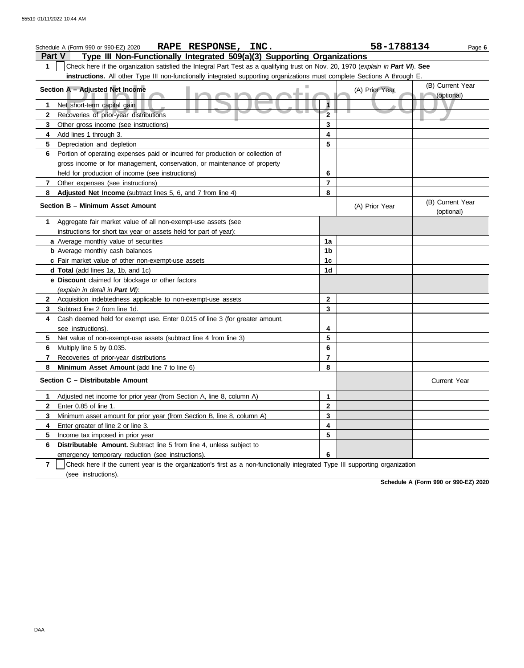| 58-1788134<br>RAPE RESPONSE, INC.<br>Schedule A (Form 990 or 990-EZ) 2020<br>Page 6      |                                                                                                                                  |                         |                                |                                |  |  |  |  |
|------------------------------------------------------------------------------------------|----------------------------------------------------------------------------------------------------------------------------------|-------------------------|--------------------------------|--------------------------------|--|--|--|--|
| Type III Non-Functionally Integrated 509(a)(3) Supporting Organizations<br><b>Part V</b> |                                                                                                                                  |                         |                                |                                |  |  |  |  |
| 1                                                                                        | Check here if the organization satisfied the Integral Part Test as a qualifying trust on Nov. 20, 1970 (explain in Part VI). See |                         |                                |                                |  |  |  |  |
|                                                                                          | instructions. All other Type III non-functionally integrated supporting organizations must complete Sections A through E.        |                         |                                |                                |  |  |  |  |
|                                                                                          | Section A - Adjusted Net Income                                                                                                  | (A) Prior Year          | (B) Current Year<br>(optional) |                                |  |  |  |  |
| 1                                                                                        | Net short-term capital gain                                                                                                      |                         |                                |                                |  |  |  |  |
| 2                                                                                        | Recoveries of prior-year distributions                                                                                           | $\overline{2}$          |                                |                                |  |  |  |  |
| 3                                                                                        | Other gross income (see instructions)                                                                                            | 3                       |                                |                                |  |  |  |  |
| 4                                                                                        | Add lines 1 through 3.                                                                                                           | 4                       |                                |                                |  |  |  |  |
| 5                                                                                        | Depreciation and depletion                                                                                                       | 5                       |                                |                                |  |  |  |  |
| 6                                                                                        | Portion of operating expenses paid or incurred for production or collection of                                                   |                         |                                |                                |  |  |  |  |
|                                                                                          | gross income or for management, conservation, or maintenance of property                                                         |                         |                                |                                |  |  |  |  |
|                                                                                          | held for production of income (see instructions)                                                                                 | 6                       |                                |                                |  |  |  |  |
| 7                                                                                        | Other expenses (see instructions)                                                                                                | $\overline{\mathbf{z}}$ |                                |                                |  |  |  |  |
| 8                                                                                        | Adjusted Net Income (subtract lines 5, 6, and 7 from line 4)                                                                     | 8                       |                                |                                |  |  |  |  |
|                                                                                          | Section B - Minimum Asset Amount                                                                                                 |                         | (A) Prior Year                 | (B) Current Year<br>(optional) |  |  |  |  |
| 1                                                                                        | Aggregate fair market value of all non-exempt-use assets (see                                                                    |                         |                                |                                |  |  |  |  |
|                                                                                          | instructions for short tax year or assets held for part of year):                                                                |                         |                                |                                |  |  |  |  |
|                                                                                          | a Average monthly value of securities                                                                                            | 1a                      |                                |                                |  |  |  |  |
|                                                                                          | <b>b</b> Average monthly cash balances                                                                                           | 1b                      |                                |                                |  |  |  |  |
|                                                                                          | c Fair market value of other non-exempt-use assets                                                                               | 1c                      |                                |                                |  |  |  |  |
|                                                                                          | d Total (add lines 1a, 1b, and 1c)                                                                                               | 1d                      |                                |                                |  |  |  |  |
|                                                                                          | e Discount claimed for blockage or other factors                                                                                 |                         |                                |                                |  |  |  |  |
|                                                                                          | (explain in detail in Part VI):                                                                                                  |                         |                                |                                |  |  |  |  |
| 2                                                                                        | Acquisition indebtedness applicable to non-exempt-use assets                                                                     | $\mathbf{2}$            |                                |                                |  |  |  |  |
| 3                                                                                        | Subtract line 2 from line 1d.                                                                                                    | 3                       |                                |                                |  |  |  |  |
| 4                                                                                        | Cash deemed held for exempt use. Enter 0.015 of line 3 (for greater amount,                                                      |                         |                                |                                |  |  |  |  |
|                                                                                          | see instructions)                                                                                                                | 4                       |                                |                                |  |  |  |  |
| 5                                                                                        | Net value of non-exempt-use assets (subtract line 4 from line 3)                                                                 | 5                       |                                |                                |  |  |  |  |
| 6                                                                                        | Multiply line 5 by 0.035.                                                                                                        | 6                       |                                |                                |  |  |  |  |
| 7                                                                                        | Recoveries of prior-year distributions                                                                                           | $\overline{\mathbf{z}}$ |                                |                                |  |  |  |  |
| 8                                                                                        | Minimum Asset Amount (add line 7 to line 6)                                                                                      | 8                       |                                |                                |  |  |  |  |
|                                                                                          | Section C - Distributable Amount                                                                                                 |                         |                                | <b>Current Year</b>            |  |  |  |  |
| 1                                                                                        | Adjusted net income for prior year (from Section A, line 8, column A)                                                            | 1                       |                                |                                |  |  |  |  |
|                                                                                          | Enter $0.85$ of line 1.                                                                                                          | 2                       |                                |                                |  |  |  |  |
| 3                                                                                        | Minimum asset amount for prior year (from Section B, line 8, column A)                                                           | 3                       |                                |                                |  |  |  |  |
| 4                                                                                        | Enter greater of line 2 or line 3.                                                                                               | 4                       |                                |                                |  |  |  |  |
| 5                                                                                        | Income tax imposed in prior year                                                                                                 | 5                       |                                |                                |  |  |  |  |
| 6                                                                                        | Distributable Amount. Subtract line 5 from line 4, unless subject to                                                             |                         |                                |                                |  |  |  |  |
|                                                                                          | emergency temporary reduction (see instructions).                                                                                | 6                       |                                |                                |  |  |  |  |
| $\overline{7}$                                                                           | Check here if the current year is the organization's first as a non-functionally integrated Type III supporting organization     |                         |                                |                                |  |  |  |  |
|                                                                                          | (see instructions).                                                                                                              |                         |                                |                                |  |  |  |  |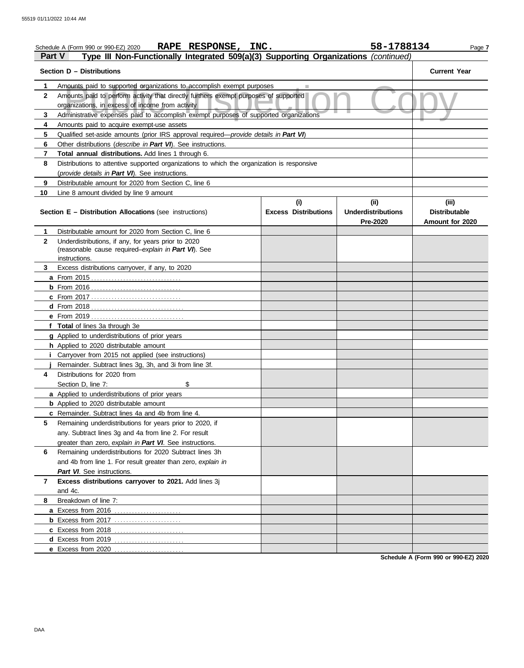|                                                                                                      | 58-1788134<br>RAPE RESPONSE, INC.<br>Schedule A (Form 990 or 990-EZ) 2020<br>Page 7                                                           |                             |                                       |                                         |  |  |  |  |
|------------------------------------------------------------------------------------------------------|-----------------------------------------------------------------------------------------------------------------------------------------------|-----------------------------|---------------------------------------|-----------------------------------------|--|--|--|--|
| Type III Non-Functionally Integrated 509(a)(3) Supporting Organizations (continued)<br><b>Part V</b> |                                                                                                                                               |                             |                                       |                                         |  |  |  |  |
|                                                                                                      | Section D - Distributions                                                                                                                     |                             |                                       | <b>Current Year</b>                     |  |  |  |  |
| 1.                                                                                                   | Amounts paid to supported organizations to accomplish exempt purposes                                                                         |                             |                                       |                                         |  |  |  |  |
| $\mathbf{2}$                                                                                         | Amounts paid to perform activity that directly furthers exempt purposes of supported<br>organizations, in excess of income from activity      |                             |                                       |                                         |  |  |  |  |
| 3                                                                                                    | Administrative expenses paid to accomplish exempt purposes of supported organizations                                                         |                             |                                       |                                         |  |  |  |  |
| 4                                                                                                    | Amounts paid to acquire exempt-use assets                                                                                                     |                             |                                       |                                         |  |  |  |  |
| 5                                                                                                    |                                                                                                                                               |                             |                                       |                                         |  |  |  |  |
| 6                                                                                                    | Other distributions ( <i>describe in Part VI</i> ). See instructions.                                                                         |                             |                                       |                                         |  |  |  |  |
| 7                                                                                                    | <b>Total annual distributions.</b> Add lines 1 through 6.                                                                                     |                             |                                       |                                         |  |  |  |  |
| 8                                                                                                    | Distributions to attentive supported organizations to which the organization is responsive<br>(provide details in Part VI). See instructions. |                             |                                       |                                         |  |  |  |  |
| 9                                                                                                    | Distributable amount for 2020 from Section C, line 6                                                                                          |                             |                                       |                                         |  |  |  |  |
| 10                                                                                                   | Line 8 amount divided by line 9 amount                                                                                                        |                             |                                       |                                         |  |  |  |  |
|                                                                                                      |                                                                                                                                               | (i)                         | (ii)                                  | (iii)                                   |  |  |  |  |
|                                                                                                      | <b>Section E - Distribution Allocations (see instructions)</b>                                                                                | <b>Excess Distributions</b> | <b>Underdistributions</b><br>Pre-2020 | <b>Distributable</b><br>Amount for 2020 |  |  |  |  |
| 1                                                                                                    | Distributable amount for 2020 from Section C, line 6                                                                                          |                             |                                       |                                         |  |  |  |  |
| $\mathbf{2}$                                                                                         | Underdistributions, if any, for years prior to 2020                                                                                           |                             |                                       |                                         |  |  |  |  |
|                                                                                                      | (reasonable cause required-explain in Part VI). See                                                                                           |                             |                                       |                                         |  |  |  |  |
|                                                                                                      | instructions.                                                                                                                                 |                             |                                       |                                         |  |  |  |  |
| 3                                                                                                    | Excess distributions carryover, if any, to 2020                                                                                               |                             |                                       |                                         |  |  |  |  |
|                                                                                                      |                                                                                                                                               |                             |                                       |                                         |  |  |  |  |
|                                                                                                      |                                                                                                                                               |                             |                                       |                                         |  |  |  |  |
|                                                                                                      | <b>c</b> From 2017                                                                                                                            |                             |                                       |                                         |  |  |  |  |
|                                                                                                      |                                                                                                                                               |                             |                                       |                                         |  |  |  |  |
|                                                                                                      | f Total of lines 3a through 3e                                                                                                                |                             |                                       |                                         |  |  |  |  |
|                                                                                                      | <b>g</b> Applied to underdistributions of prior years                                                                                         |                             |                                       |                                         |  |  |  |  |
|                                                                                                      | h Applied to 2020 distributable amount                                                                                                        |                             |                                       |                                         |  |  |  |  |
|                                                                                                      | <i>i</i> Carryover from 2015 not applied (see instructions)                                                                                   |                             |                                       |                                         |  |  |  |  |
|                                                                                                      | Remainder. Subtract lines 3g, 3h, and 3i from line 3f.                                                                                        |                             |                                       |                                         |  |  |  |  |
| 4                                                                                                    | Distributions for 2020 from                                                                                                                   |                             |                                       |                                         |  |  |  |  |
|                                                                                                      | \$<br>Section D, line 7:                                                                                                                      |                             |                                       |                                         |  |  |  |  |
|                                                                                                      | a Applied to underdistributions of prior years                                                                                                |                             |                                       |                                         |  |  |  |  |
|                                                                                                      | <b>b</b> Applied to 2020 distributable amount                                                                                                 |                             |                                       |                                         |  |  |  |  |
|                                                                                                      | c Remainder. Subtract lines 4a and 4b from line 4.                                                                                            |                             |                                       |                                         |  |  |  |  |
| 5                                                                                                    | Remaining underdistributions for years prior to 2020, if                                                                                      |                             |                                       |                                         |  |  |  |  |
|                                                                                                      | any. Subtract lines 3g and 4a from line 2. For result                                                                                         |                             |                                       |                                         |  |  |  |  |
|                                                                                                      | greater than zero, explain in Part VI. See instructions.                                                                                      |                             |                                       |                                         |  |  |  |  |
| 6                                                                                                    | Remaining underdistributions for 2020 Subtract lines 3h                                                                                       |                             |                                       |                                         |  |  |  |  |
|                                                                                                      | and 4b from line 1. For result greater than zero, explain in                                                                                  |                             |                                       |                                         |  |  |  |  |
|                                                                                                      | Part VI. See instructions.                                                                                                                    |                             |                                       |                                         |  |  |  |  |
| $\overline{7}$                                                                                       | Excess distributions carryover to 2021. Add lines 3j                                                                                          |                             |                                       |                                         |  |  |  |  |
|                                                                                                      | and 4c.                                                                                                                                       |                             |                                       |                                         |  |  |  |  |
| 8                                                                                                    | Breakdown of line 7:                                                                                                                          |                             |                                       |                                         |  |  |  |  |
|                                                                                                      | a Excess from 2016                                                                                                                            |                             |                                       |                                         |  |  |  |  |
|                                                                                                      | <b>b</b> Excess from 2017                                                                                                                     |                             |                                       |                                         |  |  |  |  |
|                                                                                                      |                                                                                                                                               |                             |                                       |                                         |  |  |  |  |
|                                                                                                      | d Excess from 2019<br>.                                                                                                                       |                             |                                       |                                         |  |  |  |  |
|                                                                                                      | e Excess from 2020                                                                                                                            |                             |                                       |                                         |  |  |  |  |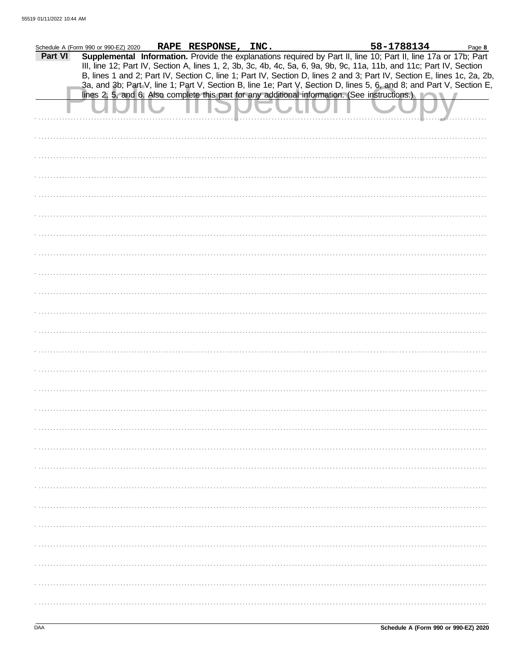|         | Schedule A (Form 990 or 990-EZ) 2020 | RAPE RESPONSE, INC. |                                                                                                | 58-1788134                                                                                                                                                                                                                                     | Page 8 |
|---------|--------------------------------------|---------------------|------------------------------------------------------------------------------------------------|------------------------------------------------------------------------------------------------------------------------------------------------------------------------------------------------------------------------------------------------|--------|
| Part VI |                                      |                     |                                                                                                | Supplemental Information. Provide the explanations required by Part II, line 10; Part II, line 17a or 17b; Part<br>III, line 12; Part IV, Section A, lines 1, 2, 3b, 3c, 4b, 4c, 5a, 6, 9a, 9b, 9c, 11a, 11b, and 11c; Part IV, Section        |        |
|         |                                      |                     |                                                                                                | B, lines 1 and 2; Part IV, Section C, line 1; Part IV, Section D, lines 2 and 3; Part IV, Section E, lines 1c, 2a, 2b,<br>3a, and 3b; Part V, line 1; Part V, Section B, line 1e; Part V, Section D, lines 5, 6, and 8; and Part V, Section E, |        |
|         |                                      |                     | lines 2, 5, and 6. Also complete this part for any additional information. (See instructions.) |                                                                                                                                                                                                                                                |        |
|         |                                      |                     |                                                                                                |                                                                                                                                                                                                                                                |        |
|         |                                      |                     |                                                                                                |                                                                                                                                                                                                                                                |        |
|         |                                      |                     |                                                                                                |                                                                                                                                                                                                                                                |        |
|         |                                      |                     |                                                                                                |                                                                                                                                                                                                                                                |        |
|         |                                      |                     |                                                                                                |                                                                                                                                                                                                                                                |        |
|         |                                      |                     |                                                                                                |                                                                                                                                                                                                                                                |        |
|         |                                      |                     |                                                                                                |                                                                                                                                                                                                                                                |        |
|         |                                      |                     |                                                                                                |                                                                                                                                                                                                                                                |        |
|         |                                      |                     |                                                                                                |                                                                                                                                                                                                                                                |        |
|         |                                      |                     |                                                                                                |                                                                                                                                                                                                                                                |        |
|         |                                      |                     |                                                                                                |                                                                                                                                                                                                                                                |        |
|         |                                      |                     |                                                                                                |                                                                                                                                                                                                                                                |        |
|         |                                      |                     |                                                                                                |                                                                                                                                                                                                                                                |        |
|         |                                      |                     |                                                                                                |                                                                                                                                                                                                                                                |        |
|         |                                      |                     |                                                                                                |                                                                                                                                                                                                                                                |        |
|         |                                      |                     |                                                                                                |                                                                                                                                                                                                                                                |        |
|         |                                      |                     |                                                                                                |                                                                                                                                                                                                                                                |        |
|         |                                      |                     |                                                                                                |                                                                                                                                                                                                                                                |        |
|         |                                      |                     |                                                                                                |                                                                                                                                                                                                                                                |        |
|         |                                      |                     |                                                                                                |                                                                                                                                                                                                                                                |        |
|         |                                      |                     |                                                                                                |                                                                                                                                                                                                                                                |        |
|         |                                      |                     |                                                                                                |                                                                                                                                                                                                                                                |        |
|         |                                      |                     |                                                                                                |                                                                                                                                                                                                                                                |        |
|         |                                      |                     |                                                                                                |                                                                                                                                                                                                                                                |        |
|         |                                      |                     |                                                                                                |                                                                                                                                                                                                                                                |        |
|         |                                      |                     |                                                                                                |                                                                                                                                                                                                                                                |        |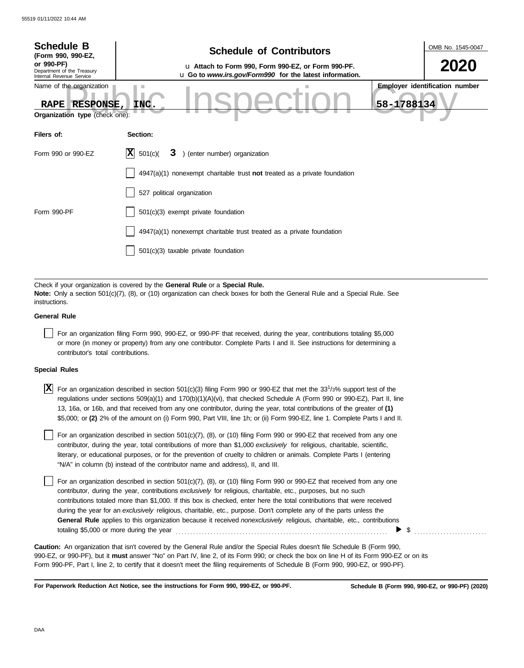| <b>Schedule B</b><br>(Form 990, 990-EZ,<br>or 990-PF)<br>Department of the Treasury<br>Internal Revenue Service<br>Name of the organization<br>RAPE RESPONSE,<br>Organization type (check one):                              | OMB No. 1545-0047<br><b>Schedule of Contributors</b><br>2020<br>u Attach to Form 990, Form 990-EZ, or Form 990-PF.<br>u Go to www.irs.gov/Form990 for the latest information.<br><b>Employer identification number</b><br>58-1788134<br>INC.  |  |  |  |  |  |  |
|------------------------------------------------------------------------------------------------------------------------------------------------------------------------------------------------------------------------------|-----------------------------------------------------------------------------------------------------------------------------------------------------------------------------------------------------------------------------------------------|--|--|--|--|--|--|
| Filers of:                                                                                                                                                                                                                   | Section:                                                                                                                                                                                                                                      |  |  |  |  |  |  |
| Form 990 or 990-EZ                                                                                                                                                                                                           | IX.<br>501(c)<br>) (enter number) organization<br>3                                                                                                                                                                                           |  |  |  |  |  |  |
|                                                                                                                                                                                                                              | $4947(a)(1)$ nonexempt charitable trust not treated as a private foundation                                                                                                                                                                   |  |  |  |  |  |  |
|                                                                                                                                                                                                                              | 527 political organization                                                                                                                                                                                                                    |  |  |  |  |  |  |
| Form 990-PF                                                                                                                                                                                                                  | 501(c)(3) exempt private foundation                                                                                                                                                                                                           |  |  |  |  |  |  |
|                                                                                                                                                                                                                              | 4947(a)(1) nonexempt charitable trust treated as a private foundation                                                                                                                                                                         |  |  |  |  |  |  |
|                                                                                                                                                                                                                              | $501(c)(3)$ taxable private foundation                                                                                                                                                                                                        |  |  |  |  |  |  |
|                                                                                                                                                                                                                              |                                                                                                                                                                                                                                               |  |  |  |  |  |  |
| Check if your organization is covered by the General Rule or a Special Rule.<br>Note: Only a section 501(c)(7), (8), or (10) organization can check boxes for both the General Rule and a Special Rule. See<br>instructions. |                                                                                                                                                                                                                                               |  |  |  |  |  |  |
| <b>General Rule</b>                                                                                                                                                                                                          |                                                                                                                                                                                                                                               |  |  |  |  |  |  |
| contributor's total contributions.                                                                                                                                                                                           | For an organization filing Form 990, 990-EZ, or 990-PF that received, during the year, contributions totaling \$5,000<br>or more (in money or property) from any one contributor. Complete Parts I and II. See instructions for determining a |  |  |  |  |  |  |
|                                                                                                                                                                                                                              |                                                                                                                                                                                                                                               |  |  |  |  |  |  |

## **Special Rules**

| $\boxed{\mathbf{X}}$ For an organization described in section 501(c)(3) filing Form 990 or 990-EZ that met the 33 <sup>1</sup> /3% support test of the |
|--------------------------------------------------------------------------------------------------------------------------------------------------------|
| regulations under sections 509(a)(1) and 170(b)(1)(A)(vi), that checked Schedule A (Form 990 or 990-EZ), Part II, line                                 |
| 13, 16a, or 16b, and that received from any one contributor, during the year, total contributions of the greater of (1)                                |
| \$5,000; or (2) 2% of the amount on (i) Form 990, Part VIII, line 1h; or (ii) Form 990-EZ, line 1. Complete Parts I and II.                            |

literary, or educational purposes, or for the prevention of cruelty to children or animals. Complete Parts I (entering For an organization described in section 501(c)(7), (8), or (10) filing Form 990 or 990-EZ that received from any one contributor, during the year, total contributions of more than \$1,000 *exclusively* for religious, charitable, scientific, "N/A" in column (b) instead of the contributor name and address), II, and III.

For an organization described in section 501(c)(7), (8), or (10) filing Form 990 or 990-EZ that received from any one contributor, during the year, contributions *exclusively* for religious, charitable, etc., purposes, but no such contributions totaled more than \$1,000. If this box is checked, enter here the total contributions that were received during the year for an *exclusively* religious, charitable, etc., purpose. Don't complete any of the parts unless the **General Rule** applies to this organization because it received *nonexclusively* religious, charitable, etc., contributions totaling \$5,000 or more during the year . . . . . . . . . . . . . . . . . . . . . . . . . . . . . . . . . . . . . . . . . . . . . . . . . . . . . . . . . . . . . . . . . . . . . . . . . \$ . . . . . . . . . . . . . . . . . . . . . . . . .

990-EZ, or 990-PF), but it **must** answer "No" on Part IV, line 2, of its Form 990; or check the box on line H of its Form 990-EZ or on its Form 990-PF, Part I, line 2, to certify that it doesn't meet the filing requirements of Schedule B (Form 990, 990-EZ, or 990-PF). **Caution:** An organization that isn't covered by the General Rule and/or the Special Rules doesn't file Schedule B (Form 990,

**For Paperwork Reduction Act Notice, see the instructions for Form 990, 990-EZ, or 990-PF.**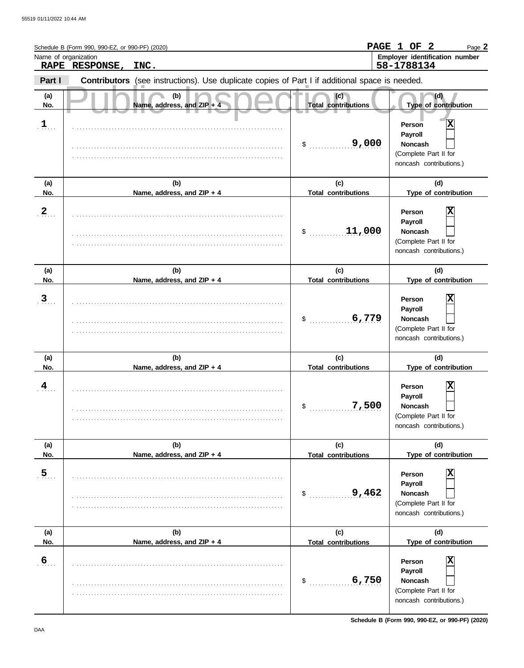| Name of organization | Schedule B (Form 990, 990-EZ, or 990-PF) (2020)<br>RAPE RESPONSE, | INC.                                                                                           |                                   | PAGE 1 OF 2<br>Page 2<br>Employer identification number<br>58-1788134                        |
|----------------------|-------------------------------------------------------------------|------------------------------------------------------------------------------------------------|-----------------------------------|----------------------------------------------------------------------------------------------|
| Part I               |                                                                   | Contributors (see instructions). Use duplicate copies of Part I if additional space is needed. |                                   |                                                                                              |
| (a)<br>No.           |                                                                   | (b)<br>Name, address, and ZIP +                                                                | (c)<br><b>Total contributions</b> | (d)<br>Type of contribution                                                                  |
| $\mathbf{1}_{\dots}$ |                                                                   |                                                                                                | 9,000<br>\$                       | X<br>Person<br>Payroll<br><b>Noncash</b><br>(Complete Part II for<br>noncash contributions.) |
| (a)<br>No.           |                                                                   | (b)<br>Name, address, and ZIP + 4                                                              | (c)<br><b>Total contributions</b> | (d)<br>Type of contribution                                                                  |
| $\overline{2}$ .     |                                                                   |                                                                                                | 11,000<br>\$                      | X<br>Person<br>Payroll<br><b>Noncash</b><br>(Complete Part II for<br>noncash contributions.) |
| (a)<br>No.           |                                                                   | (b)<br>Name, address, and ZIP + 4                                                              | (c)<br><b>Total contributions</b> | (d)<br>Type of contribution                                                                  |
| $\overline{3}$ .     |                                                                   |                                                                                                | 6,779<br>\$                       | X<br>Person<br>Payroll<br><b>Noncash</b><br>(Complete Part II for<br>noncash contributions.) |
| (a)<br>No.           |                                                                   | (b)<br>Name, address, and ZIP + 4                                                              | (c)<br><b>Total contributions</b> | (d)<br>Type of contribution                                                                  |
| $\overline{4}$       |                                                                   |                                                                                                | 7,500<br>\$                       | X<br>Person<br>Payroll<br>Noncash<br>(Complete Part II for<br>noncash contributions.)        |
| (a)<br>No.           |                                                                   | (b)<br>Name, address, and ZIP + 4                                                              | (c)<br><b>Total contributions</b> | (d)<br>Type of contribution                                                                  |
| $5_{\ldots}$         |                                                                   |                                                                                                | 9,462<br>\$                       | Person<br>Payroll<br>Noncash<br>(Complete Part II for<br>noncash contributions.)             |
| (a)<br>No.           |                                                                   | (b)<br>Name, address, and ZIP + 4                                                              | (c)<br><b>Total contributions</b> | (d)<br>Type of contribution                                                                  |
| $6_{\ldots}$         |                                                                   |                                                                                                | 6,750<br>\$                       | Person<br>Payroll<br>Noncash<br>(Complete Part II for<br>noncash contributions.)             |

**Schedule B (Form 990, 990-EZ, or 990-PF) (2020)**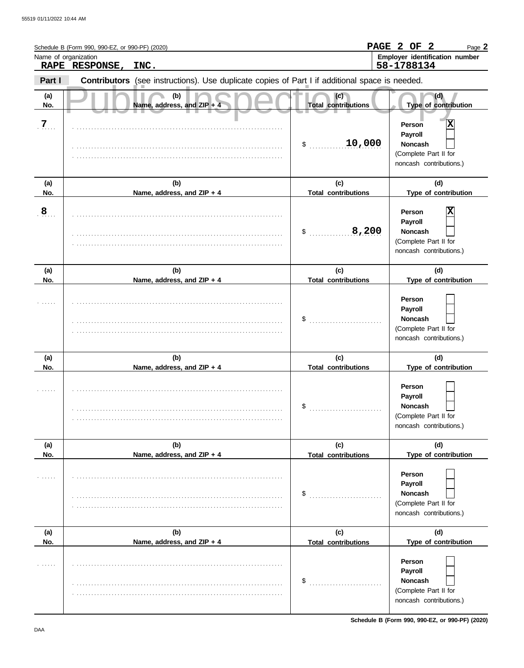| Name of organization | Schedule B (Form 990, 990-EZ, or 990-PF) (2020)<br>RAPE RESPONSE, | INC.                                                                                           |                                                                                                             | PAGE 2 OF 2<br>Page 2<br>Employer identification number<br>58-1788134                        |  |
|----------------------|-------------------------------------------------------------------|------------------------------------------------------------------------------------------------|-------------------------------------------------------------------------------------------------------------|----------------------------------------------------------------------------------------------|--|
| Part I               |                                                                   | Contributors (see instructions). Use duplicate copies of Part I if additional space is needed. |                                                                                                             |                                                                                              |  |
| (a)<br>No.           |                                                                   | (b)<br>Name, address, and ZIP + 4                                                              | (c)<br><b>Total contributions</b>                                                                           | (d)<br>Type of contribution                                                                  |  |
| $\overline{7}$       |                                                                   |                                                                                                | 10,000<br>\$                                                                                                | Χ<br>Person<br>Payroll<br><b>Noncash</b><br>(Complete Part II for<br>noncash contributions.) |  |
| (a)<br>No.           |                                                                   | (b)<br>Name, address, and ZIP + 4                                                              | (c)<br><b>Total contributions</b>                                                                           | (d)<br>Type of contribution                                                                  |  |
| 8                    |                                                                   |                                                                                                | X<br>Person<br>Payroll<br>8,200<br><b>Noncash</b><br>\$<br>(Complete Part II for<br>noncash contributions.) |                                                                                              |  |
| (a)<br>No.           |                                                                   | (b)<br>Name, address, and ZIP + 4                                                              | (c)<br><b>Total contributions</b>                                                                           | (d)<br>Type of contribution                                                                  |  |
|                      |                                                                   |                                                                                                | \$                                                                                                          | Person<br>Payroll<br><b>Noncash</b><br>(Complete Part II for<br>noncash contributions.)      |  |
| (a)<br>No.           |                                                                   | (b)<br>Name, address, and ZIP + 4                                                              | (c)<br><b>Total contributions</b>                                                                           | (d)<br>Type of contribution                                                                  |  |
|                      |                                                                   |                                                                                                | \$                                                                                                          | Person<br>Payroll<br>Noncash<br>(Complete Part II for<br>noncash contributions.)             |  |
| (a)<br>No.           |                                                                   | (b)<br>Name, address, and ZIP + 4                                                              | (c)<br><b>Total contributions</b>                                                                           | (d)<br>Type of contribution                                                                  |  |
|                      |                                                                   |                                                                                                | \$                                                                                                          | Person<br>Payroll<br>Noncash<br>(Complete Part II for<br>noncash contributions.)             |  |
| (a)<br>No.           |                                                                   | (b)<br>Name, address, and ZIP + 4                                                              | (c)<br><b>Total contributions</b>                                                                           | (d)<br>Type of contribution                                                                  |  |
|                      |                                                                   |                                                                                                | \$                                                                                                          | Person<br>Payroll<br>Noncash<br>(Complete Part II for<br>noncash contributions.)             |  |

**Schedule B (Form 990, 990-EZ, or 990-PF) (2020)**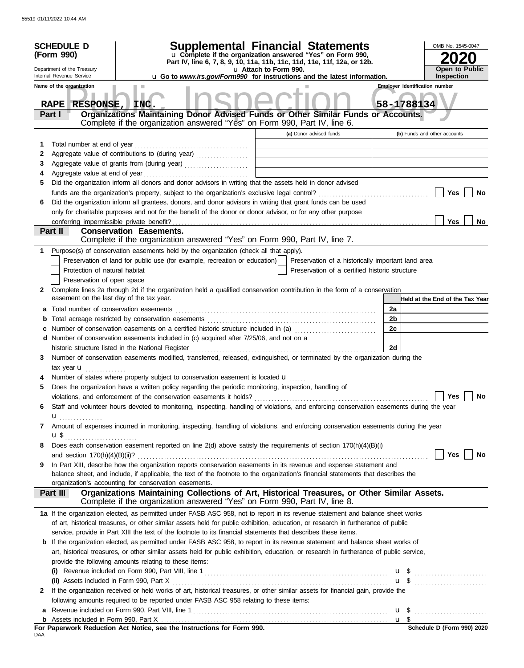|            | <b>SCHEDULE D</b>                                           |                                                                                                                                                                                                                                                          | Supplemental Financial Statements                                                                 |                       | OMB No. 1545-0047                     |  |  |
|------------|-------------------------------------------------------------|----------------------------------------------------------------------------------------------------------------------------------------------------------------------------------------------------------------------------------------------------------|---------------------------------------------------------------------------------------------------|-----------------------|---------------------------------------|--|--|
| (Form 990) |                                                             |                                                                                                                                                                                                                                                          | u Complete if the organization answered "Yes" on Form 990,                                        |                       |                                       |  |  |
|            | Department of the Treasury                                  |                                                                                                                                                                                                                                                          | Part IV, line 6, 7, 8, 9, 10, 11a, 11b, 11c, 11d, 11e, 11f, 12a, or 12b.<br>u Attach to Form 990. | <b>Open to Public</b> |                                       |  |  |
|            | Internal Revenue Service                                    |                                                                                                                                                                                                                                                          | <b>u</b> Go to <i>www.irs.gov/Form990</i> for instructions and the latest information.            |                       | <b>Inspection</b>                     |  |  |
|            | Name of the organization                                    |                                                                                                                                                                                                                                                          |                                                                                                   |                       | <b>Employer identification number</b> |  |  |
|            |                                                             |                                                                                                                                                                                                                                                          |                                                                                                   |                       |                                       |  |  |
|            | RESPONSE, INC.<br><b>RAPE</b><br>Part I                     | Organizations Maintaining Donor Advised Funds or Other Similar Funds or Accounts.                                                                                                                                                                        |                                                                                                   |                       | 58-1788134                            |  |  |
|            |                                                             | Complete if the organization answered "Yes" on Form 990, Part IV, line 6.                                                                                                                                                                                |                                                                                                   |                       |                                       |  |  |
|            |                                                             |                                                                                                                                                                                                                                                          | (a) Donor advised funds                                                                           |                       | (b) Funds and other accounts          |  |  |
| 1          | Total number at end of year                                 |                                                                                                                                                                                                                                                          |                                                                                                   |                       |                                       |  |  |
| 2          |                                                             | Aggregate value of contributions to (during year)                                                                                                                                                                                                        | the control of the control of<br>the contract of the contract of the contract of the contract of  |                       |                                       |  |  |
| 3          |                                                             |                                                                                                                                                                                                                                                          |                                                                                                   |                       |                                       |  |  |
| 4          | Aggregate value at end of year                              |                                                                                                                                                                                                                                                          |                                                                                                   |                       |                                       |  |  |
| 5          |                                                             | Did the organization inform all donors and donor advisors in writing that the assets held in donor advised                                                                                                                                               |                                                                                                   |                       |                                       |  |  |
|            |                                                             |                                                                                                                                                                                                                                                          |                                                                                                   |                       | Yes<br>No                             |  |  |
| 6          |                                                             | Did the organization inform all grantees, donors, and donor advisors in writing that grant funds can be used                                                                                                                                             |                                                                                                   |                       |                                       |  |  |
|            |                                                             | only for charitable purposes and not for the benefit of the donor or donor advisor, or for any other purpose                                                                                                                                             |                                                                                                   |                       |                                       |  |  |
|            |                                                             |                                                                                                                                                                                                                                                          |                                                                                                   |                       | Yes<br>No                             |  |  |
|            | Part II                                                     | <b>Conservation Easements.</b>                                                                                                                                                                                                                           |                                                                                                   |                       |                                       |  |  |
|            |                                                             | Complete if the organization answered "Yes" on Form 990, Part IV, line 7.                                                                                                                                                                                |                                                                                                   |                       |                                       |  |  |
| 1          |                                                             | Purpose(s) of conservation easements held by the organization (check all that apply).                                                                                                                                                                    |                                                                                                   |                       |                                       |  |  |
|            |                                                             | Preservation of land for public use (for example, recreation or education)                                                                                                                                                                               | Preservation of a historically important land area                                                |                       |                                       |  |  |
|            | Protection of natural habitat<br>Preservation of open space |                                                                                                                                                                                                                                                          | Preservation of a certified historic structure                                                    |                       |                                       |  |  |
| 2          |                                                             | Complete lines 2a through 2d if the organization held a qualified conservation contribution in the form of a conservation                                                                                                                                |                                                                                                   |                       |                                       |  |  |
|            | easement on the last day of the tax year.                   |                                                                                                                                                                                                                                                          |                                                                                                   |                       | Held at the End of the Tax Year       |  |  |
| a          |                                                             |                                                                                                                                                                                                                                                          |                                                                                                   | 2a                    |                                       |  |  |
| b          |                                                             |                                                                                                                                                                                                                                                          |                                                                                                   | 2b                    |                                       |  |  |
|            |                                                             | Number of conservation easements on a certified historic structure included in (a) [[11] Number of conservation easements on a certified historic structure included in (a)                                                                              |                                                                                                   | 2c                    |                                       |  |  |
|            |                                                             | d Number of conservation easements included in (c) acquired after 7/25/06, and not on a                                                                                                                                                                  |                                                                                                   |                       |                                       |  |  |
|            |                                                             | historic structure listed in the National Register                                                                                                                                                                                                       |                                                                                                   | 2d                    |                                       |  |  |
| 3          |                                                             | Number of conservation easements modified, transferred, released, extinguished, or terminated by the organization during the                                                                                                                             |                                                                                                   |                       |                                       |  |  |
|            | tax year <b>u</b>                                           |                                                                                                                                                                                                                                                          |                                                                                                   |                       |                                       |  |  |
|            |                                                             | Number of states where property subject to conservation easement is located u                                                                                                                                                                            |                                                                                                   |                       |                                       |  |  |
| 5          |                                                             | Does the organization have a written policy regarding the periodic monitoring, inspection, handling of                                                                                                                                                   |                                                                                                   |                       |                                       |  |  |
|            |                                                             |                                                                                                                                                                                                                                                          |                                                                                                   |                       |                                       |  |  |
| 6          |                                                             | Staff and volunteer hours devoted to monitoring, inspecting, handling of violations, and enforcing conservation easements during the year                                                                                                                |                                                                                                   |                       |                                       |  |  |
|            | <b>u</b>                                                    |                                                                                                                                                                                                                                                          |                                                                                                   |                       |                                       |  |  |
| 7          |                                                             | Amount of expenses incurred in monitoring, inspecting, handling of violations, and enforcing conservation easements during the year                                                                                                                      |                                                                                                   |                       |                                       |  |  |
|            | u\$ <sub></sub>                                             |                                                                                                                                                                                                                                                          |                                                                                                   |                       |                                       |  |  |
| 8          |                                                             | Does each conservation easement reported on line 2(d) above satisfy the requirements of section 170(h)(4)(B)(i)                                                                                                                                          |                                                                                                   |                       |                                       |  |  |
|            |                                                             |                                                                                                                                                                                                                                                          |                                                                                                   |                       | Yes  <br>No                           |  |  |
| 9          |                                                             | In Part XIII, describe how the organization reports conservation easements in its revenue and expense statement and<br>balance sheet, and include, if applicable, the text of the footnote to the organization's financial statements that describes the |                                                                                                   |                       |                                       |  |  |
|            |                                                             | organization's accounting for conservation easements.                                                                                                                                                                                                    |                                                                                                   |                       |                                       |  |  |
|            | Part III                                                    | Organizations Maintaining Collections of Art, Historical Treasures, or Other Similar Assets.                                                                                                                                                             |                                                                                                   |                       |                                       |  |  |
|            |                                                             | Complete if the organization answered "Yes" on Form 990, Part IV, line 8.                                                                                                                                                                                |                                                                                                   |                       |                                       |  |  |
|            |                                                             | 1a If the organization elected, as permitted under FASB ASC 958, not to report in its revenue statement and balance sheet works                                                                                                                          |                                                                                                   |                       |                                       |  |  |
|            |                                                             | of art, historical treasures, or other similar assets held for public exhibition, education, or research in furtherance of public                                                                                                                        |                                                                                                   |                       |                                       |  |  |
|            |                                                             | service, provide in Part XIII the text of the footnote to its financial statements that describes these items.                                                                                                                                           |                                                                                                   |                       |                                       |  |  |
|            |                                                             | <b>b</b> If the organization elected, as permitted under FASB ASC 958, to report in its revenue statement and balance sheet works of                                                                                                                     |                                                                                                   |                       |                                       |  |  |
|            |                                                             | art, historical treasures, or other similar assets held for public exhibition, education, or research in furtherance of public service,                                                                                                                  |                                                                                                   |                       |                                       |  |  |
|            |                                                             | provide the following amounts relating to these items:                                                                                                                                                                                                   |                                                                                                   |                       |                                       |  |  |
|            |                                                             |                                                                                                                                                                                                                                                          |                                                                                                   |                       | $\mathbf{u}$ \$                       |  |  |
|            |                                                             |                                                                                                                                                                                                                                                          |                                                                                                   |                       |                                       |  |  |
| 2          |                                                             | If the organization received or held works of art, historical treasures, or other similar assets for financial gain, provide the                                                                                                                         |                                                                                                   |                       |                                       |  |  |
|            |                                                             | following amounts required to be reported under FASB ASC 958 relating to these items:                                                                                                                                                                    |                                                                                                   |                       |                                       |  |  |
|            |                                                             |                                                                                                                                                                                                                                                          |                                                                                                   |                       |                                       |  |  |
|            |                                                             |                                                                                                                                                                                                                                                          |                                                                                                   |                       |                                       |  |  |
| DAA        |                                                             | For Paperwork Reduction Act Notice, see the Instructions for Form 990.                                                                                                                                                                                   |                                                                                                   |                       | Schedule D (Form 990) 2020            |  |  |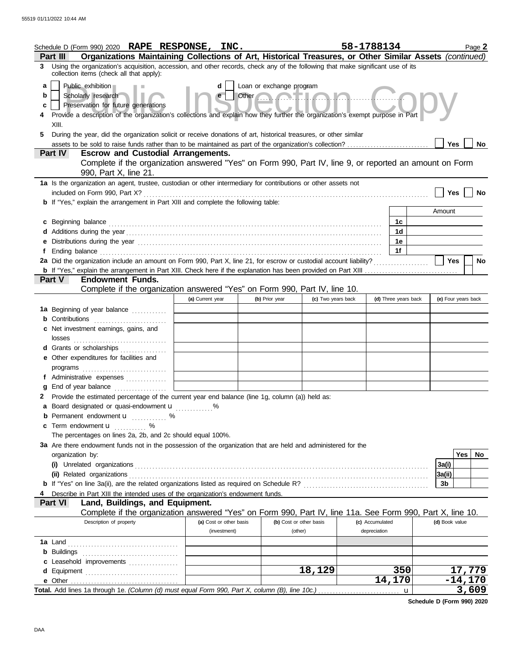|             | Schedule D (Form 990) 2020 RAPE RESPONSE, INC.<br>Organizations Maintaining Collections of Art, Historical Treasures, or Other Similar Assets (continued)<br><b>Part III</b>                                                                                          |                         |                                                                      |                         | 58-1788134      |                      | Page 2              |
|-------------|-----------------------------------------------------------------------------------------------------------------------------------------------------------------------------------------------------------------------------------------------------------------------|-------------------------|----------------------------------------------------------------------|-------------------------|-----------------|----------------------|---------------------|
|             | 3 Using the organization's acquisition, accession, and other records, check any of the following that make significant use of its                                                                                                                                     |                         |                                                                      |                         |                 |                      |                     |
| a<br>b<br>c | collection items (check all that apply):<br>Public exhibition<br>Scholarly research<br>Preservation for future generations<br>Provide a description of the organization's collections and explain how they further the organization's exempt purpose in Part<br>XIII. |                         | Loan or exchange program<br>Other Communication of the Communication |                         |                 |                      |                     |
| 5.          | During the year, did the organization solicit or receive donations of art, historical treasures, or other similar                                                                                                                                                     |                         |                                                                      |                         |                 |                      |                     |
|             | <b>Escrow and Custodial Arrangements.</b><br><b>Part IV</b>                                                                                                                                                                                                           |                         |                                                                      |                         |                 |                      | Yes<br>No           |
|             | Complete if the organization answered "Yes" on Form 990, Part IV, line 9, or reported an amount on Form<br>990, Part X, line 21.                                                                                                                                      |                         |                                                                      |                         |                 |                      |                     |
|             | 1a Is the organization an agent, trustee, custodian or other intermediary for contributions or other assets not                                                                                                                                                       |                         |                                                                      |                         |                 |                      |                     |
|             | <b>b</b> If "Yes," explain the arrangement in Part XIII and complete the following table:                                                                                                                                                                             |                         |                                                                      |                         |                 |                      | Yes<br>No           |
|             |                                                                                                                                                                                                                                                                       |                         |                                                                      |                         |                 |                      | Amount              |
|             | c Beginning balance                                                                                                                                                                                                                                                   |                         |                                                                      |                         |                 | 1c                   |                     |
|             |                                                                                                                                                                                                                                                                       |                         |                                                                      |                         |                 | 1d                   |                     |
|             | e Distributions during the year manufactured contains and the year manufactured with the year manufactured with the state of the state of the state of the state of the state of the state of the state of the state of the st                                        |                         |                                                                      |                         |                 | 1e                   |                     |
|             |                                                                                                                                                                                                                                                                       |                         |                                                                      |                         |                 | 1f                   |                     |
|             | 2a Did the organization include an amount on Form 990, Part X, line 21, for escrow or custodial account liability?                                                                                                                                                    |                         |                                                                      |                         |                 |                      | <b>Yes</b><br>No    |
|             |                                                                                                                                                                                                                                                                       |                         |                                                                      |                         |                 |                      |                     |
|             | <b>Endowment Funds.</b><br><b>Part V</b><br>Complete if the organization answered "Yes" on Form 990, Part IV, line 10.                                                                                                                                                |                         |                                                                      |                         |                 |                      |                     |
|             |                                                                                                                                                                                                                                                                       | (a) Current year        | (b) Prior year                                                       | (c) Two years back      |                 | (d) Three years back | (e) Four years back |
|             | 1a Beginning of year balance                                                                                                                                                                                                                                          |                         |                                                                      |                         |                 |                      |                     |
|             | <b>b</b> Contributions <b>contributions</b>                                                                                                                                                                                                                           |                         |                                                                      |                         |                 |                      |                     |
|             | c Net investment earnings, gains, and<br>losses                                                                                                                                                                                                                       |                         |                                                                      |                         |                 |                      |                     |
|             | d Grants or scholarships                                                                                                                                                                                                                                              |                         |                                                                      |                         |                 |                      |                     |
|             | e Other expenditures for facilities and                                                                                                                                                                                                                               |                         |                                                                      |                         |                 |                      |                     |
|             | programs                                                                                                                                                                                                                                                              |                         |                                                                      |                         |                 |                      |                     |
|             | f Administrative expenses                                                                                                                                                                                                                                             |                         |                                                                      |                         |                 |                      |                     |
| g           | End of year balance                                                                                                                                                                                                                                                   |                         |                                                                      |                         |                 |                      |                     |
| 2           | Provide the estimated percentage of the current year end balance (line 1g, column (a)) held as:                                                                                                                                                                       |                         |                                                                      |                         |                 |                      |                     |
|             | <b>a</b> Board designated or quasi-endowment <b>u</b> %<br><b>b</b> Permanent endowment <b>u</b> %                                                                                                                                                                    |                         |                                                                      |                         |                 |                      |                     |
|             | <b>c</b> Term endowment $\mathbf{u}$                                                                                                                                                                                                                                  |                         |                                                                      |                         |                 |                      |                     |
|             | The percentages on lines 2a, 2b, and 2c should equal 100%.                                                                                                                                                                                                            |                         |                                                                      |                         |                 |                      |                     |
|             | 3a Are there endowment funds not in the possession of the organization that are held and administered for the                                                                                                                                                         |                         |                                                                      |                         |                 |                      |                     |
|             | organization by:                                                                                                                                                                                                                                                      |                         |                                                                      |                         |                 |                      | <b>Yes</b><br>No    |
|             |                                                                                                                                                                                                                                                                       |                         |                                                                      |                         |                 |                      | 3a(i)               |
|             |                                                                                                                                                                                                                                                                       |                         |                                                                      |                         |                 |                      | 3a(ii)              |
|             |                                                                                                                                                                                                                                                                       |                         |                                                                      |                         |                 |                      | 3b                  |
|             | Describe in Part XIII the intended uses of the organization's endowment funds.<br>Land, Buildings, and Equipment.<br><b>Part VI</b>                                                                                                                                   |                         |                                                                      |                         |                 |                      |                     |
|             | Complete if the organization answered "Yes" on Form 990, Part IV, line 11a. See Form 990, Part X, line 10.                                                                                                                                                            |                         |                                                                      |                         |                 |                      |                     |
|             | Description of property                                                                                                                                                                                                                                               | (a) Cost or other basis |                                                                      | (b) Cost or other basis | (c) Accumulated |                      | (d) Book value      |
|             |                                                                                                                                                                                                                                                                       | (investment)            |                                                                      | (other)                 | depreciation    |                      |                     |
|             |                                                                                                                                                                                                                                                                       |                         |                                                                      |                         |                 |                      |                     |
|             |                                                                                                                                                                                                                                                                       |                         |                                                                      |                         |                 |                      |                     |
|             |                                                                                                                                                                                                                                                                       |                         |                                                                      |                         |                 |                      |                     |
|             | d Equipment                                                                                                                                                                                                                                                           |                         |                                                                      | 18,129                  |                 | 350                  | 17,779              |
|             |                                                                                                                                                                                                                                                                       |                         |                                                                      |                         |                 | 14,170               | $-14,170$           |
|             |                                                                                                                                                                                                                                                                       |                         |                                                                      |                         |                 | u                    | 3,609               |

**Schedule D (Form 990) 2020**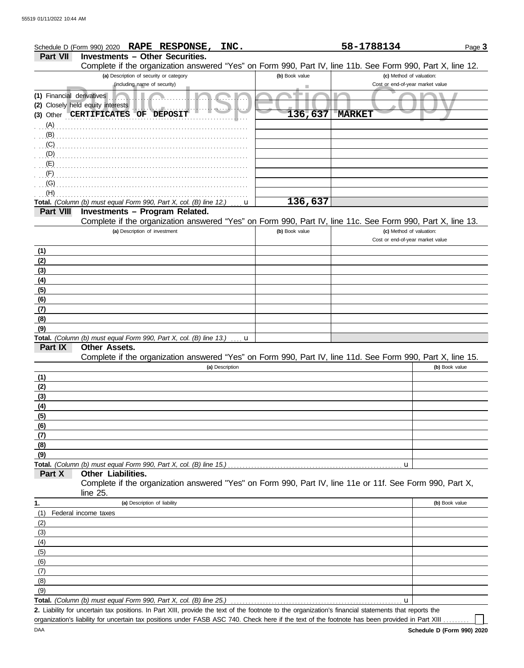|                           | Schedule D (Form 990) 2020 RAPE RESPONSE,<br>INC.                                                                                                    |                | 58-1788134                                                   | Page 3         |
|---------------------------|------------------------------------------------------------------------------------------------------------------------------------------------------|----------------|--------------------------------------------------------------|----------------|
| <b>Part VII</b>           | <b>Investments - Other Securities.</b>                                                                                                               |                |                                                              |                |
|                           | Complete if the organization answered "Yes" on Form 990, Part IV, line 11b. See Form 990, Part X, line 12.                                           |                |                                                              |                |
|                           | (a) Description of security or category<br>(including name of security)                                                                              | (b) Book value | (c) Method of valuation:<br>Cost or end-of-year market value |                |
| (1) Financial derivatives |                                                                                                                                                      |                |                                                              |                |
|                           | (2) Closely held equity interests                                                                                                                    |                |                                                              |                |
|                           | (3) Other CERTIFICATES OF<br><b>DEPOSIT</b>                                                                                                          | 136,637        | <b>MARKET</b>                                                |                |
| (A)                       |                                                                                                                                                      |                |                                                              |                |
| (B)                       |                                                                                                                                                      |                |                                                              |                |
| (C)                       |                                                                                                                                                      |                |                                                              |                |
| (D)                       |                                                                                                                                                      |                |                                                              |                |
| (E)                       |                                                                                                                                                      |                |                                                              |                |
| (F)                       |                                                                                                                                                      |                |                                                              |                |
| (G)                       |                                                                                                                                                      |                |                                                              |                |
| (H)                       |                                                                                                                                                      | 136,637        |                                                              |                |
| <b>Part VIII</b>          | Total. (Column (b) must equal Form 990, Part X, col. (B) line 12.)<br>u<br>Investments - Program Related.                                            |                |                                                              |                |
|                           | Complete if the organization answered "Yes" on Form 990, Part IV, line 11c. See Form 990, Part X, line 13.                                           |                |                                                              |                |
|                           | (a) Description of investment                                                                                                                        | (b) Book value | (c) Method of valuation:                                     |                |
|                           |                                                                                                                                                      |                | Cost or end-of-year market value                             |                |
| (1)                       |                                                                                                                                                      |                |                                                              |                |
| (2)                       |                                                                                                                                                      |                |                                                              |                |
| (3)                       |                                                                                                                                                      |                |                                                              |                |
| (4)                       |                                                                                                                                                      |                |                                                              |                |
| (5)                       |                                                                                                                                                      |                |                                                              |                |
| (6)<br>(7)                |                                                                                                                                                      |                |                                                              |                |
| (8)                       |                                                                                                                                                      |                |                                                              |                |
| (9)                       |                                                                                                                                                      |                |                                                              |                |
|                           | Total. (Column (b) must equal Form 990, Part X, col. (B) line 13.)<br>. <b>u</b>                                                                     |                |                                                              |                |
| Part IX                   | <b>Other Assets.</b>                                                                                                                                 |                |                                                              |                |
|                           | Complete if the organization answered "Yes" on Form 990, Part IV, line 11d. See Form 990, Part X, line 15.                                           |                |                                                              |                |
|                           | (a) Description                                                                                                                                      |                |                                                              | (b) Book value |
| (1)                       |                                                                                                                                                      |                |                                                              |                |
| (2)                       |                                                                                                                                                      |                |                                                              |                |
| (3)<br>(4)                |                                                                                                                                                      |                |                                                              |                |
| (5)                       |                                                                                                                                                      |                |                                                              |                |
| (6)                       |                                                                                                                                                      |                |                                                              |                |
| (7)                       |                                                                                                                                                      |                |                                                              |                |
| (8)                       |                                                                                                                                                      |                |                                                              |                |
| (9)                       |                                                                                                                                                      |                |                                                              |                |
|                           |                                                                                                                                                      |                | u                                                            |                |
| Part X                    | Other Liabilities.                                                                                                                                   |                |                                                              |                |
|                           | Complete if the organization answered "Yes" on Form 990, Part IV, line 11e or 11f. See Form 990, Part X,<br>line 25.                                 |                |                                                              |                |
| 1.                        | (a) Description of liability                                                                                                                         |                |                                                              | (b) Book value |
| (1)                       | Federal income taxes                                                                                                                                 |                |                                                              |                |
| (2)                       |                                                                                                                                                      |                |                                                              |                |
| (3)                       |                                                                                                                                                      |                |                                                              |                |
| (4)                       |                                                                                                                                                      |                |                                                              |                |
| (5)                       |                                                                                                                                                      |                |                                                              |                |
| (6)                       |                                                                                                                                                      |                |                                                              |                |
| (7)                       |                                                                                                                                                      |                |                                                              |                |
| (8)                       |                                                                                                                                                      |                |                                                              |                |
| (9)                       | Total. (Column (b) must equal Form 990, Part X, col. (B) line 25.)                                                                                   |                | u                                                            |                |
|                           | 2. Liability for uncertain tax positions. In Part XIII, provide the text of the footnote to the organization's financial statements that reports the |                |                                                              |                |
|                           | organization's liability for uncertain tax positions under FASB ASC 740. Check here if the text of the footnote has been provided in Part XIII       |                |                                                              |                |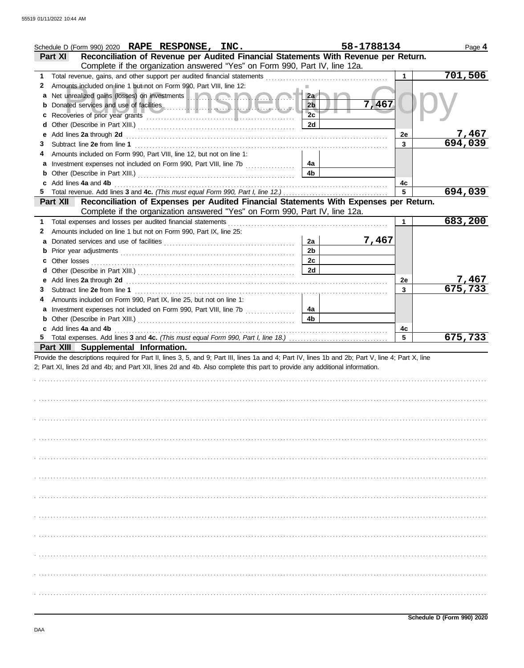|    | Schedule D (Form 990) 2020 RAPE RESPONSE, INC.                                                                                                                                                                                       | 58-1788134     |         | Page 4       |
|----|--------------------------------------------------------------------------------------------------------------------------------------------------------------------------------------------------------------------------------------|----------------|---------|--------------|
|    | Reconciliation of Revenue per Audited Financial Statements With Revenue per Return.<br><b>Part XI</b>                                                                                                                                |                |         |              |
|    | Complete if the organization answered "Yes" on Form 990, Part IV, line 12a.                                                                                                                                                          |                |         |              |
| 1. |                                                                                                                                                                                                                                      |                |         | 701,506      |
| 2  | Amounts included on line 1 but not on Form 990, Part VIII, line 12:                                                                                                                                                                  |                |         |              |
| a  |                                                                                                                                                                                                                                      | 2a             |         |              |
| b  | Donated services and use of facilities <b>All and Service and Service Report in the service of the service of the service of the service of the service of the service of the service of the service of the service of the servi</b> | 2 <sub>b</sub> | 7,467   |              |
| с  |                                                                                                                                                                                                                                      | 2c             |         |              |
| d  |                                                                                                                                                                                                                                      | 2d             |         |              |
| е  | Add lines 2a through 2d [11] All and the contract of the contract of the contract of the contract of the contract of the contract of the contract of the contract of the contract of the contract of the contract of the contr       |                | 2e      | <u>7,467</u> |
| 3  |                                                                                                                                                                                                                                      |                | 3       | 694,039      |
| 4  | Amounts included on Form 990, Part VIII, line 12, but not on line 1:                                                                                                                                                                 |                |         |              |
| a  |                                                                                                                                                                                                                                      | 4a             |         |              |
| b  |                                                                                                                                                                                                                                      | 4 <sub>b</sub> |         |              |
| c  | Add lines 4a and 4b                                                                                                                                                                                                                  |                | 4c      |              |
| 5  | Total revenue. Add lines 3 and 4c. (This must equal Form 990, Part I, line 12.)                                                                                                                                                      |                | 5       | 694,039      |
|    | Reconciliation of Expenses per Audited Financial Statements With Expenses per Return.<br><b>Part XII</b>                                                                                                                             |                |         |              |
|    | Complete if the organization answered "Yes" on Form 990, Part IV, line 12a.                                                                                                                                                          |                |         |              |
| 1. |                                                                                                                                                                                                                                      |                | 1       | 683,200      |
| 2  | Amounts included on line 1 but not on Form 990, Part IX, line 25:                                                                                                                                                                    | 2a             | 7,467   |              |
| a  |                                                                                                                                                                                                                                      | 2 <sub>b</sub> |         |              |
| b  |                                                                                                                                                                                                                                      | 2c             |         |              |
| c  |                                                                                                                                                                                                                                      | 2d             |         |              |
| d  |                                                                                                                                                                                                                                      |                |         | 7,467        |
| е  | Add lines 2a through 2d [11, 12] Add [12] Add lines 2a through 2d [12] Add lines 2a through 2d [12] Add [12] A                                                                                                                       |                | 2e<br>3 | 675,733      |
| 3  |                                                                                                                                                                                                                                      |                |         |              |
| 4  | Amounts included on Form 990, Part IX, line 25, but not on line 1:<br>a Investment expenses not included on Form 990, Part VIII, line 7b                                                                                             | 4a             |         |              |
|    |                                                                                                                                                                                                                                      |                |         |              |
|    |                                                                                                                                                                                                                                      |                |         |              |
| b  |                                                                                                                                                                                                                                      | 4 <sub>b</sub> |         |              |
|    | c Add lines 4a and 4b                                                                                                                                                                                                                |                | 4c      |              |
|    |                                                                                                                                                                                                                                      |                | 5       | 675,733      |
|    | Part XIII Supplemental Information.                                                                                                                                                                                                  |                |         |              |
|    | Provide the descriptions required for Part II, lines 3, 5, and 9; Part III, lines 1a and 4; Part IV, lines 1b and 2b; Part V, line 4; Part X, line                                                                                   |                |         |              |
|    | 2; Part XI, lines 2d and 4b; and Part XII, lines 2d and 4b. Also complete this part to provide any additional information.                                                                                                           |                |         |              |
|    |                                                                                                                                                                                                                                      |                |         |              |
|    |                                                                                                                                                                                                                                      |                |         |              |
|    |                                                                                                                                                                                                                                      |                |         |              |
|    |                                                                                                                                                                                                                                      |                |         |              |
|    |                                                                                                                                                                                                                                      |                |         |              |
|    |                                                                                                                                                                                                                                      |                |         |              |
|    |                                                                                                                                                                                                                                      |                |         |              |
|    |                                                                                                                                                                                                                                      |                |         |              |
|    |                                                                                                                                                                                                                                      |                |         |              |
|    |                                                                                                                                                                                                                                      |                |         |              |
|    |                                                                                                                                                                                                                                      |                |         |              |
|    |                                                                                                                                                                                                                                      |                |         |              |
|    |                                                                                                                                                                                                                                      |                |         |              |
|    |                                                                                                                                                                                                                                      |                |         |              |
|    |                                                                                                                                                                                                                                      |                |         |              |
|    |                                                                                                                                                                                                                                      |                |         |              |
|    |                                                                                                                                                                                                                                      |                |         |              |
|    |                                                                                                                                                                                                                                      |                |         |              |
|    |                                                                                                                                                                                                                                      |                |         |              |
|    |                                                                                                                                                                                                                                      |                |         |              |
|    |                                                                                                                                                                                                                                      |                |         |              |
|    |                                                                                                                                                                                                                                      |                |         |              |
|    |                                                                                                                                                                                                                                      |                |         |              |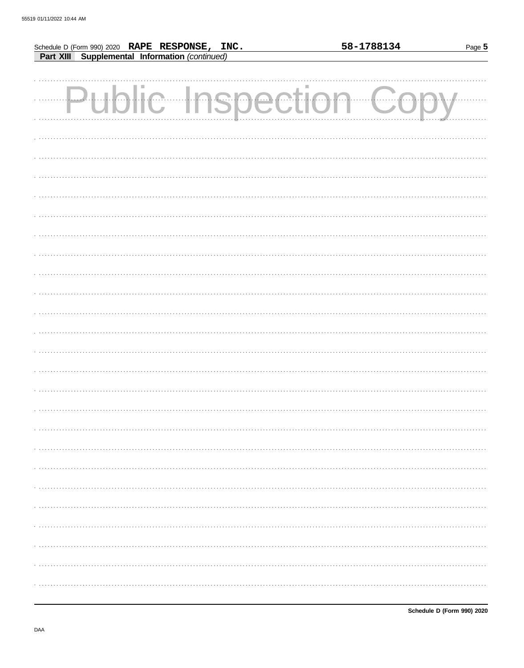|                                                                                                  |  |  | 58-1788134         | Page 5 |
|--------------------------------------------------------------------------------------------------|--|--|--------------------|--------|
| Schedule D (Form 990) 2020 RAPE RESPONSE, INC.<br>Part XIII Supplemental Information (continued) |  |  |                    |        |
|                                                                                                  |  |  |                    |        |
|                                                                                                  |  |  |                    |        |
|                                                                                                  |  |  |                    |        |
| . <u>.</u>                                                                                       |  |  | blic Inspection Cc |        |
|                                                                                                  |  |  |                    |        |
|                                                                                                  |  |  |                    |        |
|                                                                                                  |  |  |                    |        |
|                                                                                                  |  |  |                    |        |
|                                                                                                  |  |  |                    |        |
|                                                                                                  |  |  |                    |        |
|                                                                                                  |  |  |                    |        |
|                                                                                                  |  |  |                    |        |
|                                                                                                  |  |  |                    |        |
|                                                                                                  |  |  |                    |        |
|                                                                                                  |  |  |                    |        |
|                                                                                                  |  |  |                    |        |
|                                                                                                  |  |  |                    |        |
|                                                                                                  |  |  |                    |        |
|                                                                                                  |  |  |                    |        |
|                                                                                                  |  |  |                    |        |
|                                                                                                  |  |  |                    |        |
|                                                                                                  |  |  |                    |        |
|                                                                                                  |  |  |                    |        |
|                                                                                                  |  |  |                    |        |
|                                                                                                  |  |  |                    |        |
|                                                                                                  |  |  |                    |        |
|                                                                                                  |  |  |                    |        |
|                                                                                                  |  |  |                    |        |
|                                                                                                  |  |  |                    |        |
|                                                                                                  |  |  |                    |        |
|                                                                                                  |  |  |                    |        |
|                                                                                                  |  |  |                    |        |
|                                                                                                  |  |  |                    |        |
|                                                                                                  |  |  |                    |        |
|                                                                                                  |  |  |                    |        |
|                                                                                                  |  |  |                    |        |
|                                                                                                  |  |  |                    |        |
|                                                                                                  |  |  |                    |        |
|                                                                                                  |  |  |                    |        |
|                                                                                                  |  |  |                    |        |
|                                                                                                  |  |  |                    |        |
|                                                                                                  |  |  |                    |        |
|                                                                                                  |  |  |                    |        |
|                                                                                                  |  |  |                    |        |
|                                                                                                  |  |  |                    |        |
|                                                                                                  |  |  |                    |        |
|                                                                                                  |  |  |                    |        |
|                                                                                                  |  |  |                    |        |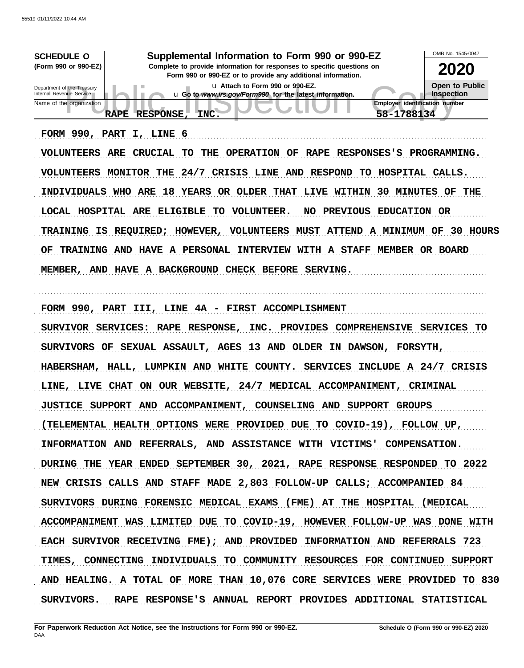| <b>SCHEDULE O</b><br>(Form 990 or 990-EZ)<br>Department of the Treasury<br>Internal Revenue Service<br>Name of the organization                                                                                                                                | Supplemental Information to Form 990 or 990-EZ<br>Complete to provide information for responses to specific questions on<br>Form 990 or 990-EZ or to provide any additional information.<br>u Attach to Form 990 or 990-EZ.<br>u Go to www.irs.gov/Form990 for the latest information.                                                                                                                                                                                                                                                                                                                                                                                                                | OMB No. 1545-0047<br><b>2020</b><br><b>Open to Public</b><br>Inspection<br><b>Employer identification number</b>                                                                            |
|----------------------------------------------------------------------------------------------------------------------------------------------------------------------------------------------------------------------------------------------------------------|-------------------------------------------------------------------------------------------------------------------------------------------------------------------------------------------------------------------------------------------------------------------------------------------------------------------------------------------------------------------------------------------------------------------------------------------------------------------------------------------------------------------------------------------------------------------------------------------------------------------------------------------------------------------------------------------------------|---------------------------------------------------------------------------------------------------------------------------------------------------------------------------------------------|
| <b>RAPE</b><br>FORM 990, PART<br><b>VOLUNTEERS</b><br>ARE<br><b>VOLUNTEERS</b><br><b>MONITOR</b><br>INDIVIDUALS WHO<br>LOCAL HOSPITAL ARE<br><b>REQUIRED;</b><br><b>TRAINING</b><br>IS<br>OF<br><b>TRAINING</b><br>AND<br><b>HAVE</b><br>MEMBER,<br><b>AND</b> | <b>RESPONSE,</b><br>INC.<br>I, LINE 6<br><b>CRUCIAL</b><br><b>TO</b><br>THE<br><b>OPERATION</b><br><b>RAPE</b><br>OF<br>24/7<br><b>CRISIS</b><br><b>RESPOND</b><br>THE<br>LINE<br>AND<br>TO .<br>18<br><b>YEARS</b><br>OR OLDER<br><b>THAT</b><br>LIVE WITHIN<br>ARE<br><b>ELIGIBLE</b><br>TO<br><b>VOLUNTEER.</b><br><b>PREVIOUS</b><br>NO.<br><b>VOLUNTEERS</b><br><b>MUST</b><br><b>ATTEND</b><br>HOWEVER,<br><b>A PERSONAL</b><br>INTERVIEW WITH A STAFF<br><b>HAVE</b><br>A BACKGROUND<br><b>CHECK BEFORE</b><br>SERVING.                                                                                                                                                                        | 58-1788134<br><b>RESPONSES'S</b><br>PROGRAMMING.<br>HOSPITAL CALLS.<br>30<br><b>MINUTES</b><br>THE<br>OF<br>EDUCATION OR<br>A MINIMUM OF<br>30<br><b>HOURS</b><br><b>MEMBER</b><br>OR BOARD |
| FORM 990, PART III,<br><b>SERVICES:</b><br>SURVIVOR<br><b>SURVIVORS</b><br>OF<br><b>HABERSHAM,</b><br>HALL,<br><b>CHAT</b><br>LINE, LIVE<br><b>JUSTICE SUPPORT</b>                                                                                             | 4A - FIRST<br><b>ACCOMPLISHMENT</b><br><b>LINE</b><br><b>RESPONSE,</b><br>INC.<br><b>RAPE</b><br><b>PROVIDES</b><br>SEXUAL ASSAULT,<br><b>AGES</b><br>13<br><b>AND</b><br><b>OLDER</b><br>ΙN<br>LUMPKIN<br><b>WHITE</b><br>COUNTY.<br><b>SERVICES</b><br><b>AND</b><br>ON<br>OUR<br>WEBSITE,<br>24/7<br><b>MEDICAL</b><br><b>ACCOMPANIMENT</b><br>AND ACCOMPANIMENT, COUNSELING AND SUPPORT GROUPS                                                                                                                                                                                                                                                                                                    | <b>COMPREHENSIVE</b><br><b>SERVICES</b><br>TО<br><b>DAWSON,</b><br><b>FORSYTH,</b><br><b>INCLUDE</b><br>A 24/7 CRISIS<br><b>CRIMINAL</b>                                                    |
|                                                                                                                                                                                                                                                                | (TELEMENTAL HEALTH OPTIONS WERE PROVIDED DUE TO COVID-19), FOLLOW UP,<br>INFORMATION AND REFERRALS, AND ASSISTANCE WITH VICTIMS' COMPENSATION.<br>DURING THE YEAR ENDED SEPTEMBER 30, 2021, RAPE RESPONSE RESPONDED TO 2022<br>NEW CRISIS CALLS AND STAFF MADE 2,803 FOLLOW-UP CALLS; ACCOMPANIED 84<br>SURVIVORS DURING FORENSIC MEDICAL EXAMS (FME) AT THE HOSPITAL (MEDICAL<br>ACCOMPANIMENT WAS LIMITED DUE TO COVID-19, HOWEVER FOLLOW-UP WAS DONE WITH<br>EACH SURVIVOR RECEIVING FME); AND PROVIDED INFORMATION AND REFERRALS 723<br>TIMES, CONNECTING INDIVIDUALS TO COMMUNITY RESOURCES FOR CONTINUED SUPPORT<br>AND HEALING. A TOTAL OF MORE THAN 10,076 CORE SERVICES WERE PROVIDED TO 830 |                                                                                                                                                                                             |
|                                                                                                                                                                                                                                                                | SURVIVORS. RAPE RESPONSE'S ANNUAL REPORT PROVIDES ADDITIONAL STATISTICAL                                                                                                                                                                                                                                                                                                                                                                                                                                                                                                                                                                                                                              |                                                                                                                                                                                             |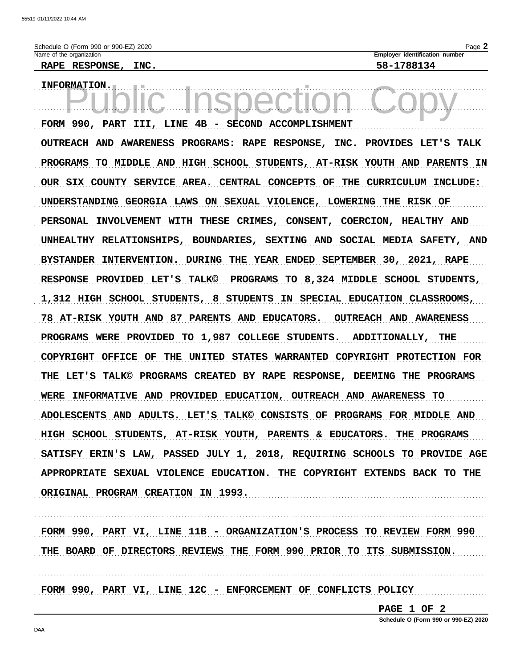RAPE RESPONSE, INC.

a a

Page 2

INFORMATION.

FORM 990, PART III, LINE 4B - SECOND ACCOMPLISHMENT OUTREACH AND AWARENESS PROGRAMS: RAPE RESPONSE, INC. PROVIDES LET'S TALK PROGRAMS TO MIDDLE AND HIGH SCHOOL STUDENTS, AT-RISK YOUTH AND PARENTS IN OUR SIX COUNTY SERVICE AREA. CENTRAL CONCEPTS OF THE CURRICULUM INCLUDE: UNDERSTANDING GEORGIA LAWS ON SEXUAL VIOLENCE, LOWERING THE RISK OF PERSONAL INVOLVEMENT WITH THESE CRIMES, CONSENT, COERCION, HEALTHY AND UNHEALTHY RELATIONSHIPS, BOUNDARIES, SEXTING AND SOCIAL MEDIA SAFETY, AND BYSTANDER INTERVENTION. DURING THE YEAR ENDED SEPTEMBER 30, 2021, RAPE RESPONSE PROVIDED LET'S TALK© PROGRAMS TO 8,324 MIDDLE SCHOOL STUDENTS, 1,312 HIGH SCHOOL STUDENTS, 8 STUDENTS IN SPECIAL EDUCATION CLASSROOMS, 78 AT-RISK YOUTH AND 87 PARENTS AND EDUCATORS. OUTREACH AND AWARENESS PROGRAMS WERE PROVIDED TO 1,987 COLLEGE STUDENTS. ADDITIONALLY, THE COPYRIGHT OFFICE OF THE UNITED STATES WARRANTED COPYRIGHT PROTECTION FOR THE LET'S TALK© PROGRAMS CREATED BY RAPE RESPONSE, DEEMING THE PROGRAMS WERE INFORMATIVE AND PROVIDED EDUCATION, OUTREACH AND AWARENESS TO ADOLESCENTS AND ADULTS. LET'S TALK© CONSISTS OF PROGRAMS FOR MIDDLE AND HIGH SCHOOL STUDENTS, AT-RISK YOUTH, PARENTS & EDUCATORS. THE PROGRAMS SATISFY ERIN'S LAW, PASSED JULY 1, 2018, REQUIRING SCHOOLS TO PROVIDE AGE APPROPRIATE SEXUAL VIOLENCE EDUCATION. THE COPYRIGHT EXTENDS BACK TO THE ORIGINAL PROGRAM CREATION IN 1993.

FORM 990, PART VI, LINE 11B - ORGANIZATION'S PROCESS TO REVIEW FORM 990 THE BOARD OF DIRECTORS REVIEWS THE FORM 990 PRIOR TO ITS SUBMISSION.

FORM 990, PART VI, LINE 12C - ENFORCEMENT OF CONFLICTS POLICY

PAGE 1 OF 2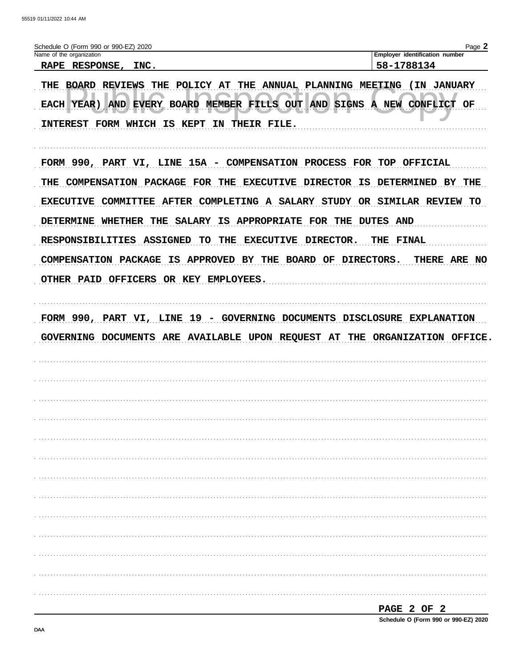| Schedule O (Form 990 or 990-EZ) 2020                                                                                                                                                                                                                                                                                                                                                                                                                                            | Page 2                                              |
|---------------------------------------------------------------------------------------------------------------------------------------------------------------------------------------------------------------------------------------------------------------------------------------------------------------------------------------------------------------------------------------------------------------------------------------------------------------------------------|-----------------------------------------------------|
| Name of the organization<br>RAPE RESPONSE, INC.                                                                                                                                                                                                                                                                                                                                                                                                                                 | <b>Employer identification number</b><br>58-1788134 |
| THE BOARD REVIEWS THE POLICY AT THE ANNUAL PLANNING MEETING (IN JANUARY<br>EACH YEAR) AND EVERY BOARD MEMBER FILLS OUT AND SIGNS A NEW CONFLICT OF<br>INTEREST FORM WHICH IS KEPT IN THEIR FILE.                                                                                                                                                                                                                                                                                |                                                     |
| FORM 990, PART VI, LINE 15A - COMPENSATION PROCESS FOR TOP OFFICIAL<br>COMPENSATION PACKAGE FOR THE EXECUTIVE DIRECTOR IS DETERMINED BY THE<br>THE<br>EXECUTIVE COMMITTEE AFTER COMPLETING A SALARY STUDY OR SIMILAR REVIEW TO<br>DETERMINE WHETHER THE SALARY IS APPROPRIATE FOR THE DUTES AND<br>RESPONSIBILITIES ASSIGNED TO<br>THE EXECUTIVE DIRECTOR.<br>COMPENSATION PACKAGE IS APPROVED BY THE BOARD OF DIRECTORS. THERE ARE NO<br>OTHER PAID OFFICERS OR KEY EMPLOYEES. | THE FINAL                                           |
| FORM 990, PART VI, LINE 19 - GOVERNING DOCUMENTS DISCLOSURE EXPLANATION<br>GOVERNING DOCUMENTS ARE AVAILABLE UPON REQUEST AT THE ORGANIZATION OFFICE.                                                                                                                                                                                                                                                                                                                           |                                                     |
|                                                                                                                                                                                                                                                                                                                                                                                                                                                                                 |                                                     |
|                                                                                                                                                                                                                                                                                                                                                                                                                                                                                 |                                                     |
|                                                                                                                                                                                                                                                                                                                                                                                                                                                                                 |                                                     |
|                                                                                                                                                                                                                                                                                                                                                                                                                                                                                 |                                                     |
|                                                                                                                                                                                                                                                                                                                                                                                                                                                                                 |                                                     |
|                                                                                                                                                                                                                                                                                                                                                                                                                                                                                 |                                                     |
|                                                                                                                                                                                                                                                                                                                                                                                                                                                                                 |                                                     |
|                                                                                                                                                                                                                                                                                                                                                                                                                                                                                 |                                                     |
|                                                                                                                                                                                                                                                                                                                                                                                                                                                                                 |                                                     |
|                                                                                                                                                                                                                                                                                                                                                                                                                                                                                 |                                                     |
|                                                                                                                                                                                                                                                                                                                                                                                                                                                                                 | PAGE 2 OF 2                                         |